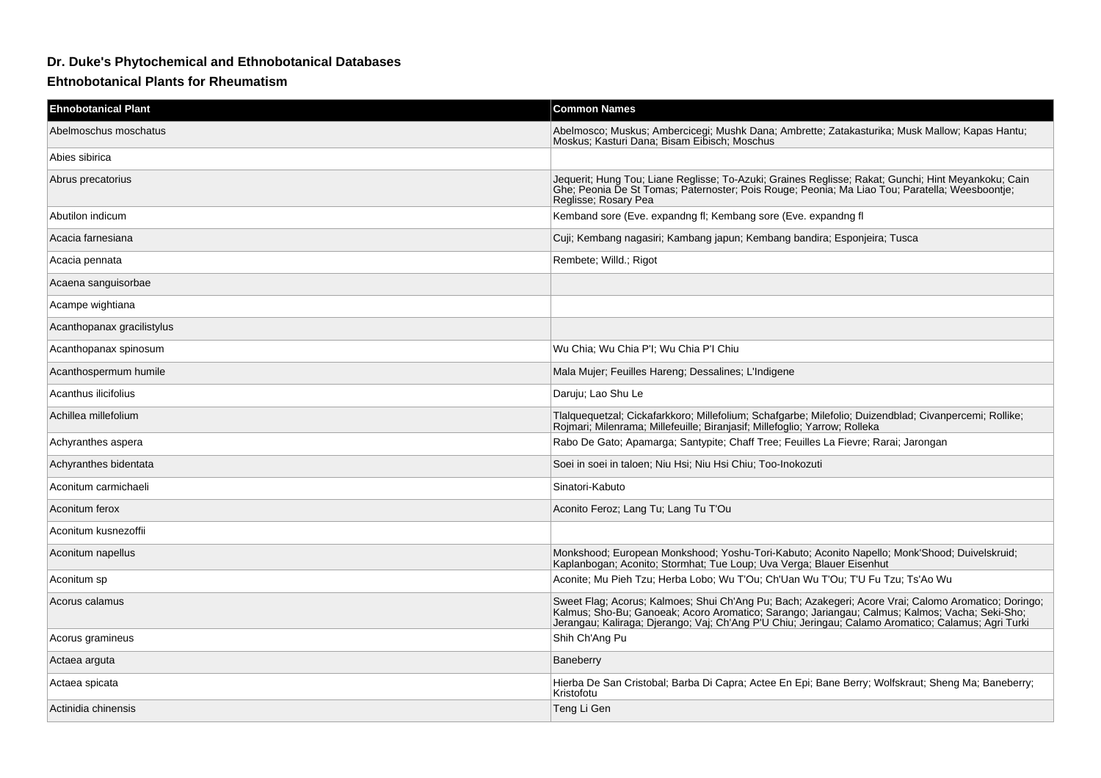## **Dr. Duke's Phytochemical and Ethnobotanical Databases**

**Ehtnobotanical Plants for Rheumatism**

| <b>Ehnobotanical Plant</b> | <b>Common Names</b>                                                                                                                                                                                                                                                                                           |
|----------------------------|---------------------------------------------------------------------------------------------------------------------------------------------------------------------------------------------------------------------------------------------------------------------------------------------------------------|
| Abelmoschus moschatus      | Abelmosco; Muskus; Ambercicegi; Mushk Dana; Ambrette; Zatakasturika; Musk Mallow; Kapas Hantu;<br>Moskus; Kasturi Dana; Bisam Eibisch; Moschus                                                                                                                                                                |
| Abies sibirica             |                                                                                                                                                                                                                                                                                                               |
| Abrus precatorius          | Jequerit; Hung Tou; Liane Reglisse; To-Azuki; Graines Reglisse; Rakat; Gunchi; Hint Meyankoku; Cain<br>Ghe; Peonia De St Tomas; Paternoster; Pois Rouge; Peonia; Ma Liao Tou; Paratella; Weesboontje;<br>Reglisse; Rosary Pea                                                                                 |
| Abutilon indicum           | Kemband sore (Eve. expandng fl; Kembang sore (Eve. expandng fl                                                                                                                                                                                                                                                |
| Acacia farnesiana          | Cuji; Kembang nagasiri; Kambang japun; Kembang bandira; Esponjeira; Tusca                                                                                                                                                                                                                                     |
| Acacia pennata             | Rembete; Willd.; Rigot                                                                                                                                                                                                                                                                                        |
| Acaena sanguisorbae        |                                                                                                                                                                                                                                                                                                               |
| Acampe wightiana           |                                                                                                                                                                                                                                                                                                               |
| Acanthopanax gracilistylus |                                                                                                                                                                                                                                                                                                               |
| Acanthopanax spinosum      | Wu Chia; Wu Chia P'I; Wu Chia P'I Chiu                                                                                                                                                                                                                                                                        |
| Acanthospermum humile      | Mala Mujer; Feuilles Hareng; Dessalines; L'Indigene                                                                                                                                                                                                                                                           |
| Acanthus ilicifolius       | Daruju; Lao Shu Le                                                                                                                                                                                                                                                                                            |
| Achillea millefolium       | Tlalquequetzal; Cickafarkkoro; Millefolium; Schafgarbe; Milefolio; Duizendblad; Civanpercemi; Rollike;<br>Rojmari; Milenrama; Millefeuille; Biranjasif; Millefoglio; Yarrow; Rolleka                                                                                                                          |
| Achyranthes aspera         | Rabo De Gato; Apamarga; Santypite; Chaff Tree; Feuilles La Fievre; Rarai; Jarongan                                                                                                                                                                                                                            |
| Achyranthes bidentata      | Soei in soei in taloen; Niu Hsi; Niu Hsi Chiu; Too-Inokozuti                                                                                                                                                                                                                                                  |
| Aconitum carmichaeli       | Sinatori-Kabuto                                                                                                                                                                                                                                                                                               |
| Aconitum ferox             | Aconito Feroz; Lang Tu; Lang Tu T'Ou                                                                                                                                                                                                                                                                          |
| Aconitum kusnezoffii       |                                                                                                                                                                                                                                                                                                               |
| Aconitum napellus          | Monkshood; European Monkshood; Yoshu-Tori-Kabuto; Aconito Napello; Monk'Shood; Duivelskruid;<br>Kaplanbogan; Aconito; Stormhat; Tue Loup; Uva Verga; Blauer Eisenhut                                                                                                                                          |
| Aconitum sp                | Aconite; Mu Pieh Tzu; Herba Lobo; Wu T'Ou; Ch'Uan Wu T'Ou; T'U Fu Tzu; Ts'Ao Wu                                                                                                                                                                                                                               |
| Acorus calamus             | Sweet Flag; Acorus; Kalmoes; Shui Ch'Ang Pu; Bach; Azakegeri; Acore Vrai; Calomo Aromatico; Doringo;<br>Kalmus; Sho-Bu; Ganoeak; Acoro Aromatico; Sarango; Jariangau; Calmus; Kalmos; Vacha; Seki-Sho;<br>Jerangau; Kaliraga; Djerango; Vaj; Ch'Ang P'U Chiu; Jeringau; Calamo Aromatico; Calamus; Agri Turki |
| Acorus gramineus           | Shih Ch'Ang Pu                                                                                                                                                                                                                                                                                                |
| Actaea arguta              | Baneberry                                                                                                                                                                                                                                                                                                     |
| Actaea spicata             | Hierba De San Cristobal; Barba Di Capra; Actee En Epi; Bane Berry; Wolfskraut; Sheng Ma; Baneberry;<br>Kristofotu                                                                                                                                                                                             |
| Actinidia chinensis        | Teng Li Gen                                                                                                                                                                                                                                                                                                   |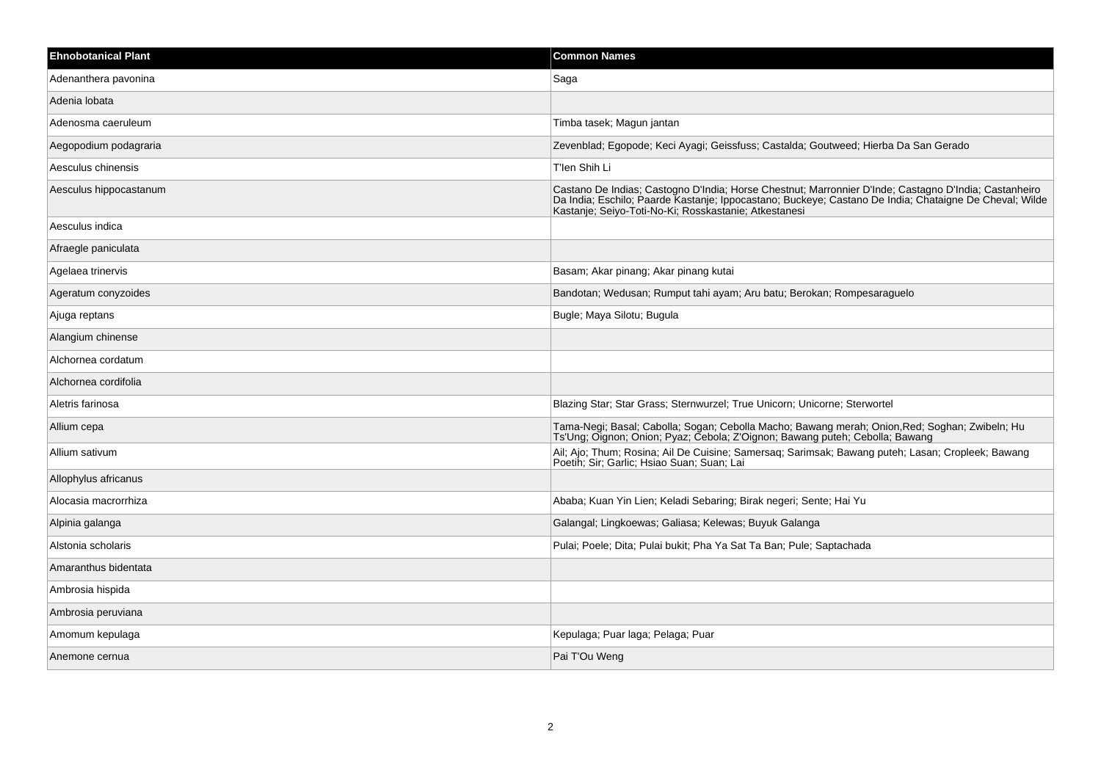| <b>Ehnobotanical Plant</b> | <b>Common Names</b>                                                                                                                                                                                                                                                      |
|----------------------------|--------------------------------------------------------------------------------------------------------------------------------------------------------------------------------------------------------------------------------------------------------------------------|
| Adenanthera pavonina       | Saga                                                                                                                                                                                                                                                                     |
| Adenia lobata              |                                                                                                                                                                                                                                                                          |
| Adenosma caeruleum         | Timba tasek; Magun jantan                                                                                                                                                                                                                                                |
| Aegopodium podagraria      | Zevenblad; Egopode; Keci Ayagi; Geissfuss; Castalda; Goutweed; Hierba Da San Gerado                                                                                                                                                                                      |
| Aesculus chinensis         | T'len Shih Li                                                                                                                                                                                                                                                            |
| Aesculus hippocastanum     | Castano De Indias; Castogno D'India; Horse Chestnut; Marronnier D'Inde; Castagno D'India; Castanheiro<br>Da India; Eschilo; Paarde Kastanje; Ippocastano; Buckeye; Castano De India; Chataigne De Cheval; Wilde<br>Kastanje; Seiyo-Toti-No-Ki; Rosskastanie; Atkestanesi |
| Aesculus indica            |                                                                                                                                                                                                                                                                          |
| Afraegle paniculata        |                                                                                                                                                                                                                                                                          |
| Agelaea trinervis          | Basam; Akar pinang; Akar pinang kutai                                                                                                                                                                                                                                    |
| Ageratum conyzoides        | Bandotan; Wedusan; Rumput tahi ayam; Aru batu; Berokan; Rompesaraguelo                                                                                                                                                                                                   |
| Ajuga reptans              | Bugle; Maya Silotu; Bugula                                                                                                                                                                                                                                               |
| Alangium chinense          |                                                                                                                                                                                                                                                                          |
| Alchornea cordatum         |                                                                                                                                                                                                                                                                          |
| Alchornea cordifolia       |                                                                                                                                                                                                                                                                          |
| Aletris farinosa           | Blazing Star; Star Grass; Sternwurzel; True Unicorn; Unicorne; Sterwortel                                                                                                                                                                                                |
| Allium cepa                | Tama-Negi; Basal; Cabolla; Sogan; Cebolla Macho; Bawang merah; Onion,Red; Soghan; Zwibeln; Hu<br>Ts'Ung; Oignon; Onion; Pyaz; Cebola; Z'Oignon; Bawang puteh; Cebolla; Bawang                                                                                            |
| Allium sativum             | Ail; Ajo; Thum; Rosina; Ail De Cuisine; Samersaq; Sarimsak; Bawang puteh; Lasan; Cropleek; Bawang<br>Poetih; Sir; Garlic; Hsiao Suan; Suan; Lai                                                                                                                          |
| Allophylus africanus       |                                                                                                                                                                                                                                                                          |
| Alocasia macrorrhiza       | Ababa; Kuan Yin Lien; Keladi Sebaring; Birak negeri; Sente; Hai Yu                                                                                                                                                                                                       |
| Alpinia galanga            | Galangal; Lingkoewas; Galiasa; Kelewas; Buyuk Galanga                                                                                                                                                                                                                    |
| Alstonia scholaris         | Pulai: Poele: Dita: Pulai bukit: Pha Ya Sat Ta Ban: Pule: Saptachada                                                                                                                                                                                                     |
| Amaranthus bidentata       |                                                                                                                                                                                                                                                                          |
| Ambrosia hispida           |                                                                                                                                                                                                                                                                          |
| Ambrosia peruviana         |                                                                                                                                                                                                                                                                          |
| Amomum kepulaga            | Kepulaga; Puar laga; Pelaga; Puar                                                                                                                                                                                                                                        |
| Anemone cernua             | Pai T'Ou Weng                                                                                                                                                                                                                                                            |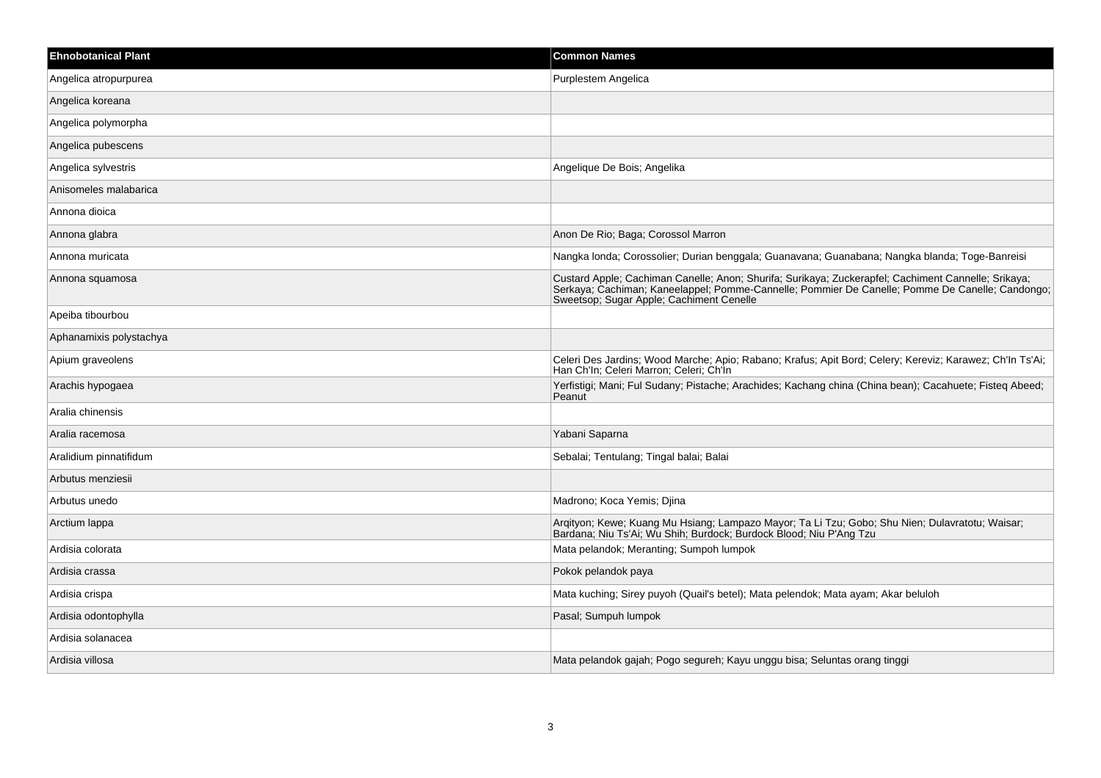| <b>Ehnobotanical Plant</b> | <b>Common Names</b>                                                                                                                                                                                                                                |
|----------------------------|----------------------------------------------------------------------------------------------------------------------------------------------------------------------------------------------------------------------------------------------------|
| Angelica atropurpurea      | Purplestem Angelica                                                                                                                                                                                                                                |
| Angelica koreana           |                                                                                                                                                                                                                                                    |
| Angelica polymorpha        |                                                                                                                                                                                                                                                    |
| Angelica pubescens         |                                                                                                                                                                                                                                                    |
| Angelica sylvestris        | Angelique De Bois; Angelika                                                                                                                                                                                                                        |
| Anisomeles malabarica      |                                                                                                                                                                                                                                                    |
| Annona dioica              |                                                                                                                                                                                                                                                    |
| Annona glabra              | Anon De Rio; Baga; Corossol Marron                                                                                                                                                                                                                 |
| Annona muricata            | Nangka londa; Corossolier; Durian benggala; Guanavana; Guanabana; Nangka blanda; Toge-Banreisi                                                                                                                                                     |
| Annona squamosa            | Custard Apple; Cachiman Canelle; Anon; Shurifa; Surikaya; Zuckerapfel; Cachiment Cannelle; Srikaya;<br>Serkaya; Cachiman; Kaneelappel; Pomme-Cannelle; Pommier De Canelle; Pomme De Canelle; Candongo;<br>Sweetsop; Sugar Apple; Cachiment Cenelle |
| Apeiba tibourbou           |                                                                                                                                                                                                                                                    |
| Aphanamixis polystachya    |                                                                                                                                                                                                                                                    |
| Apium graveolens           | Celeri Des Jardins; Wood Marche; Apio; Rabano; Krafus; Apit Bord; Celery; Kereviz; Karawez; Ch'In Ts'Ai;<br>Han Ch'In; Celeri Marron; Celeri; Ch'In                                                                                                |
| Arachis hypogaea           | Yerfistigi; Mani; Ful Sudany; Pistache; Arachides; Kachang china (China bean); Cacahuete; Fisteq Abeed;<br>Peanut                                                                                                                                  |
| Aralia chinensis           |                                                                                                                                                                                                                                                    |
| Aralia racemosa            | Yabani Saparna                                                                                                                                                                                                                                     |
| Aralidium pinnatifidum     | Sebalai; Tentulang; Tingal balai; Balai                                                                                                                                                                                                            |
| Arbutus menziesii          |                                                                                                                                                                                                                                                    |
| Arbutus unedo              | Madrono; Koca Yemis; Djina                                                                                                                                                                                                                         |
| Arctium lappa              | Arqityon; Kewe; Kuang Mu Hsiang; Lampazo Mayor; Ta Li Tzu; Gobo; Shu Nien; Dulavratotu; Waisar;<br>Bardana; Niu Ts'Ai; Wu Shih; Burdock; Burdock Blood; Niu P'Ang Tzu                                                                              |
| Ardisia colorata           | Mata pelandok; Meranting; Sumpoh lumpok                                                                                                                                                                                                            |
| Ardisia crassa             | Pokok pelandok paya                                                                                                                                                                                                                                |
| Ardisia crispa             | Mata kuching; Sirey puyoh (Quail's betel); Mata pelendok; Mata ayam; Akar beluloh                                                                                                                                                                  |
| Ardisia odontophylla       | Pasal; Sumpuh lumpok                                                                                                                                                                                                                               |
| Ardisia solanacea          |                                                                                                                                                                                                                                                    |
| Ardisia villosa            | Mata pelandok gajah; Pogo segureh; Kayu unggu bisa; Seluntas orang tinggi                                                                                                                                                                          |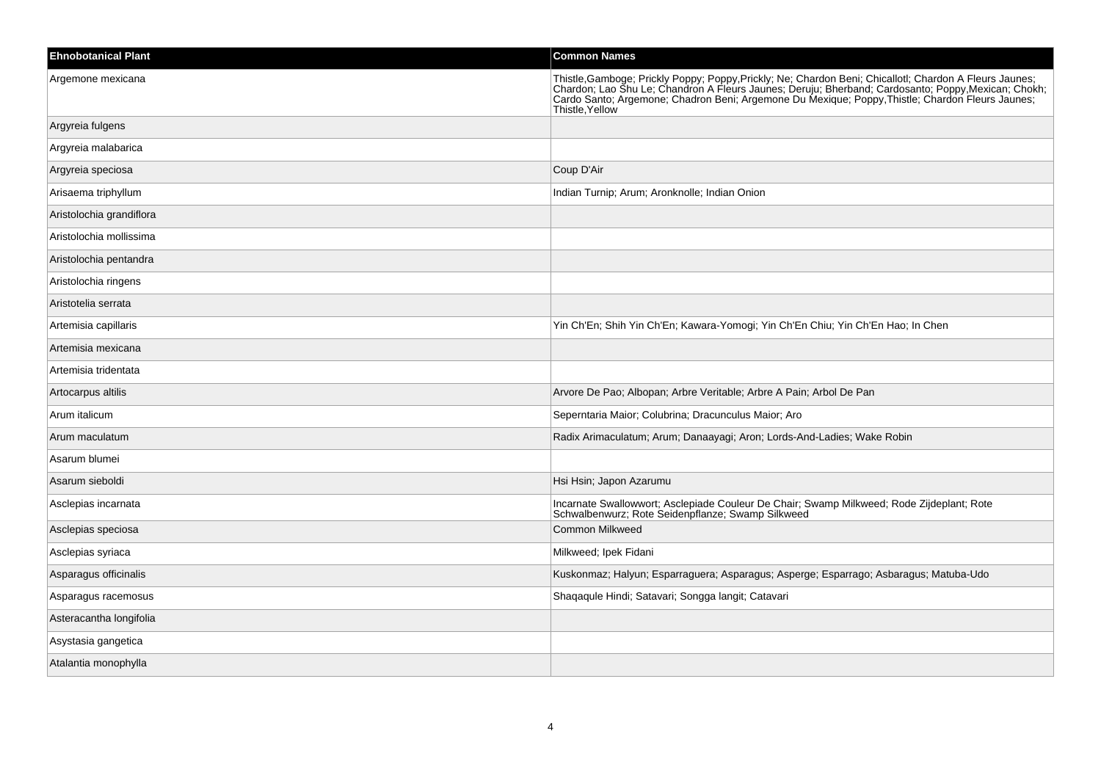| <b>Ehnobotanical Plant</b> | <b>Common Names</b>                                                                                                                                                                                                                                     |
|----------------------------|---------------------------------------------------------------------------------------------------------------------------------------------------------------------------------------------------------------------------------------------------------|
| Argemone mexicana          | Thistle, Gamboge; Prickly Poppy; Poppy, Prickly; Ne; Chardon Beni; Chicallotl; Chardon A Fleurs Jaunes;<br>Chardon; Lao Shu Le; Chandron A Fleurs Jaunes; Deruju; Bherband; Cardosanto; Poppy, Mexican; Chokh;<br>Cardo Santo; Argem<br>Thistle, Yellow |
| Argyreia fulgens           |                                                                                                                                                                                                                                                         |
| Argyreia malabarica        |                                                                                                                                                                                                                                                         |
| Argyreia speciosa          | Coup D'Air                                                                                                                                                                                                                                              |
| Arisaema triphyllum        | Indian Turnip; Arum; Aronknolle; Indian Onion                                                                                                                                                                                                           |
| Aristolochia grandiflora   |                                                                                                                                                                                                                                                         |
| Aristolochia mollissima    |                                                                                                                                                                                                                                                         |
| Aristolochia pentandra     |                                                                                                                                                                                                                                                         |
| Aristolochia ringens       |                                                                                                                                                                                                                                                         |
| Aristotelia serrata        |                                                                                                                                                                                                                                                         |
| Artemisia capillaris       | Yin Ch'En; Shih Yin Ch'En; Kawara-Yomogi; Yin Ch'En Chiu; Yin Ch'En Hao; In Chen                                                                                                                                                                        |
| Artemisia mexicana         |                                                                                                                                                                                                                                                         |
| Artemisia tridentata       |                                                                                                                                                                                                                                                         |
| Artocarpus altilis         | Arvore De Pao; Albopan; Arbre Veritable; Arbre A Pain; Arbol De Pan                                                                                                                                                                                     |
| Arum italicum              | Seperntaria Maior; Colubrina; Dracunculus Maior; Aro                                                                                                                                                                                                    |
| Arum maculatum             | Radix Arimaculatum; Arum; Danaayagi; Aron; Lords-And-Ladies; Wake Robin                                                                                                                                                                                 |
| Asarum blumei              |                                                                                                                                                                                                                                                         |
| Asarum sieboldi            | Hsi Hsin; Japon Azarumu                                                                                                                                                                                                                                 |
| Asclepias incarnata        | Incarnate Swallowwort; Asclepiade Couleur De Chair; Swamp Milkweed; Rode Zijdeplant; Rote<br>Schwalbenwurz; Rote Seidenpflanze; Swamp Silkweed                                                                                                          |
| Asclepias speciosa         | <b>Common Milkweed</b>                                                                                                                                                                                                                                  |
| Asclepias syriaca          | Milkweed; Ipek Fidani                                                                                                                                                                                                                                   |
| Asparagus officinalis      | Kuskonmaz; Halyun; Esparraguera; Asparagus; Asperge; Esparrago; Asbaragus; Matuba-Udo                                                                                                                                                                   |
| Asparagus racemosus        | Shaqaqule Hindi; Satavari; Songga langit; Catavari                                                                                                                                                                                                      |
| Asteracantha longifolia    |                                                                                                                                                                                                                                                         |
| Asystasia gangetica        |                                                                                                                                                                                                                                                         |
| Atalantia monophylla       |                                                                                                                                                                                                                                                         |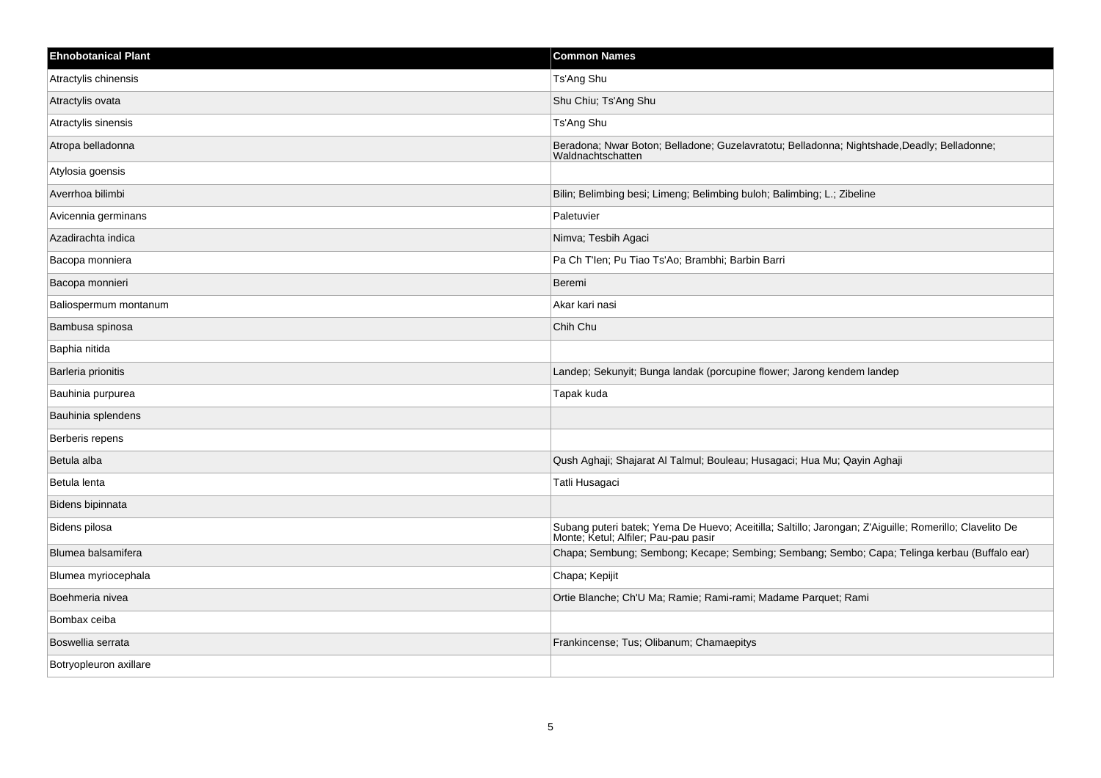| <b>Ehnobotanical Plant</b> | <b>Common Names</b>                                                                                                                            |
|----------------------------|------------------------------------------------------------------------------------------------------------------------------------------------|
| Atractylis chinensis       | Ts'Ang Shu                                                                                                                                     |
| Atractylis ovata           | Shu Chiu; Ts'Ang Shu                                                                                                                           |
| Atractylis sinensis        | Ts'Ang Shu                                                                                                                                     |
| Atropa belladonna          | Beradona; Nwar Boton; Belladone; Guzelavratotu; Belladonna; Nightshade,Deadly; Belladonne;<br>Waldnachtschatten                                |
| Atylosia goensis           |                                                                                                                                                |
| Averrhoa bilimbi           | Bilin; Belimbing besi; Limeng; Belimbing buloh; Balimbing; L.; Zibeline                                                                        |
| Avicennia germinans        | Paletuvier                                                                                                                                     |
| Azadirachta indica         | Nimva; Tesbih Agaci                                                                                                                            |
| Bacopa monniera            | Pa Ch T'len; Pu Tiao Ts'Ao; Brambhi; Barbin Barri                                                                                              |
| Bacopa monnieri            | Beremi                                                                                                                                         |
| Baliospermum montanum      | Akar kari nasi                                                                                                                                 |
| Bambusa spinosa            | Chih Chu                                                                                                                                       |
| Baphia nitida              |                                                                                                                                                |
| Barleria prionitis         | Landep; Sekunyit; Bunga landak (porcupine flower; Jarong kendem landep                                                                         |
| Bauhinia purpurea          | Tapak kuda                                                                                                                                     |
| Bauhinia splendens         |                                                                                                                                                |
| Berberis repens            |                                                                                                                                                |
| Betula alba                | Qush Aghaji; Shajarat Al Talmul; Bouleau; Husagaci; Hua Mu; Qayin Aghaji                                                                       |
| Betula lenta               | Tatli Husagaci                                                                                                                                 |
| Bidens bipinnata           |                                                                                                                                                |
| Bidens pilosa              | Subang puteri batek; Yema De Huevo; Aceitilla; Saltillo; Jarongan; Z'Aiguille; Romerillo; Clavelito De<br>Monte; Ketul; Alfiler; Pau-pau pasir |
| Blumea balsamifera         | Chapa; Sembung; Sembong; Kecape; Sembing; Sembang; Sembo; Capa; Telinga kerbau (Buffalo ear)                                                   |
| Blumea myriocephala        | Chapa; Kepijit                                                                                                                                 |
| Boehmeria nivea            | Ortie Blanche; Ch'U Ma; Ramie; Rami-rami; Madame Parquet; Rami                                                                                 |
| Bombax ceiba               |                                                                                                                                                |
| Boswellia serrata          | Frankincense; Tus; Olibanum; Chamaepitys                                                                                                       |
| Botryopleuron axillare     |                                                                                                                                                |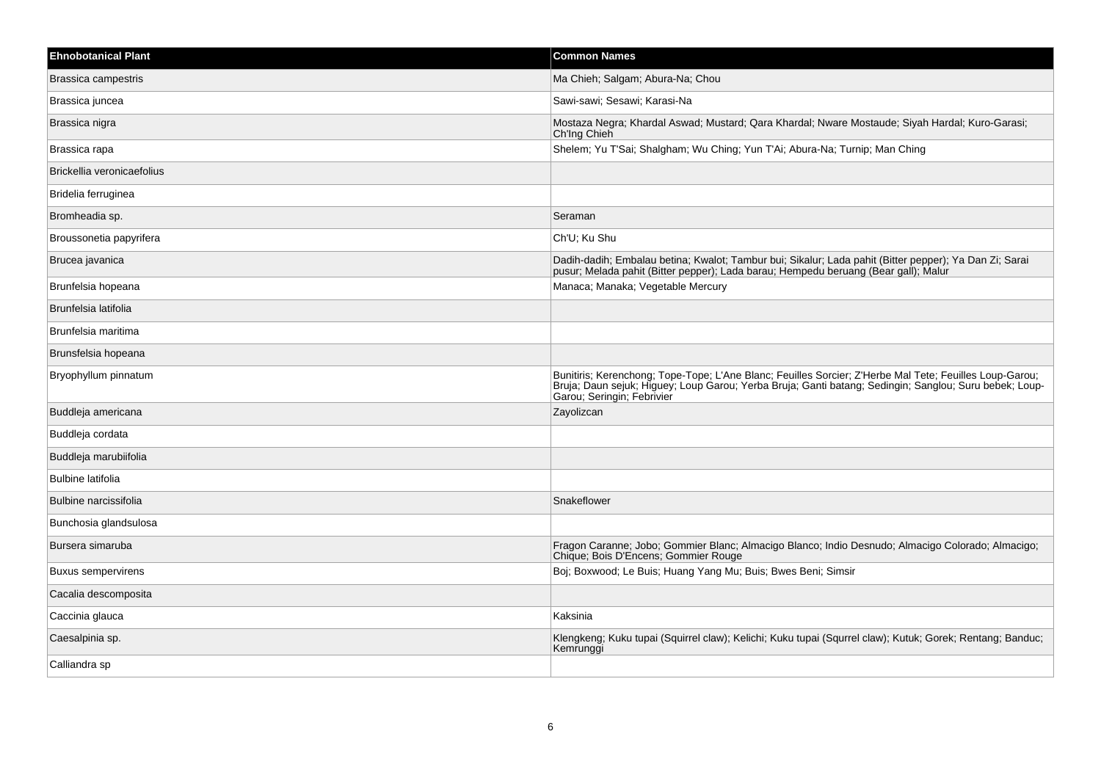| <b>Ehnobotanical Plant</b> | <b>Common Names</b>                                                                                                                                                                                                                             |
|----------------------------|-------------------------------------------------------------------------------------------------------------------------------------------------------------------------------------------------------------------------------------------------|
| Brassica campestris        | Ma Chieh; Salgam; Abura-Na; Chou                                                                                                                                                                                                                |
| Brassica juncea            | Sawi-sawi; Sesawi; Karasi-Na                                                                                                                                                                                                                    |
| Brassica nigra             | Mostaza Negra; Khardal Aswad; Mustard; Qara Khardal; Nware Mostaude; Siyah Hardal; Kuro-Garasi;<br>Ch'Ing Chieh                                                                                                                                 |
| Brassica rapa              | Shelem; Yu T'Sai; Shalgham; Wu Ching; Yun T'Ai; Abura-Na; Turnip; Man Ching                                                                                                                                                                     |
| Brickellia veronicaefolius |                                                                                                                                                                                                                                                 |
| Bridelia ferruginea        |                                                                                                                                                                                                                                                 |
| Bromheadia sp.             | Seraman                                                                                                                                                                                                                                         |
| Broussonetia papyrifera    | Ch'U; Ku Shu                                                                                                                                                                                                                                    |
| Brucea javanica            | Dadih-dadih; Embalau betina; Kwalot; Tambur bui; Sikalur; Lada pahit (Bitter pepper); Ya Dan Zi; Sarai<br>pusur; Melada pahit (Bitter pepper); Lada barau; Hempedu beruang (Bear gall); Malur                                                   |
| Brunfelsia hopeana         | Manaca; Manaka; Vegetable Mercury                                                                                                                                                                                                               |
| Brunfelsia latifolia       |                                                                                                                                                                                                                                                 |
| Brunfelsia maritima        |                                                                                                                                                                                                                                                 |
| Brunsfelsia hopeana        |                                                                                                                                                                                                                                                 |
| Bryophyllum pinnatum       | Bunitiris; Kerenchong; Tope-Tope; L'Ane Blanc; Feuilles Sorcier; Z'Herbe Mal Tete; Feuilles Loup-Garou;<br>Bruja; Daun sejuk; Higuey; Loup Garou; Yerba Bruja; Ganti batang; Sedingin; Sanglou; Suru bebek; Loup-<br>Garou; Seringin; Febrivier |
| Buddleja americana         | Zayolizcan                                                                                                                                                                                                                                      |
| Buddleja cordata           |                                                                                                                                                                                                                                                 |
| Buddleja marubiifolia      |                                                                                                                                                                                                                                                 |
| <b>Bulbine latifolia</b>   |                                                                                                                                                                                                                                                 |
| Bulbine narcissifolia      | Snakeflower                                                                                                                                                                                                                                     |
| Bunchosia glandsulosa      |                                                                                                                                                                                                                                                 |
| Bursera simaruba           | Fragon Caranne; Jobo; Gommier Blanc; Almacigo Blanco; Indio Desnudo; Almacigo Colorado; Almacigo;<br>Chique; Bois D'Encens; Gommier Rouge                                                                                                       |
| Buxus sempervirens         | Boj; Boxwood; Le Buis; Huang Yang Mu; Buis; Bwes Beni; Simsir                                                                                                                                                                                   |
| Cacalia descomposita       |                                                                                                                                                                                                                                                 |
| Caccinia glauca            | Kaksinia                                                                                                                                                                                                                                        |
| Caesalpinia sp.            | Klengkeng; Kuku tupai (Squirrel claw); Kelichi; Kuku tupai (Squrrel claw); Kutuk; Gorek; Rentang; Banduc;<br>Kemrunggi                                                                                                                          |
| Calliandra sp              |                                                                                                                                                                                                                                                 |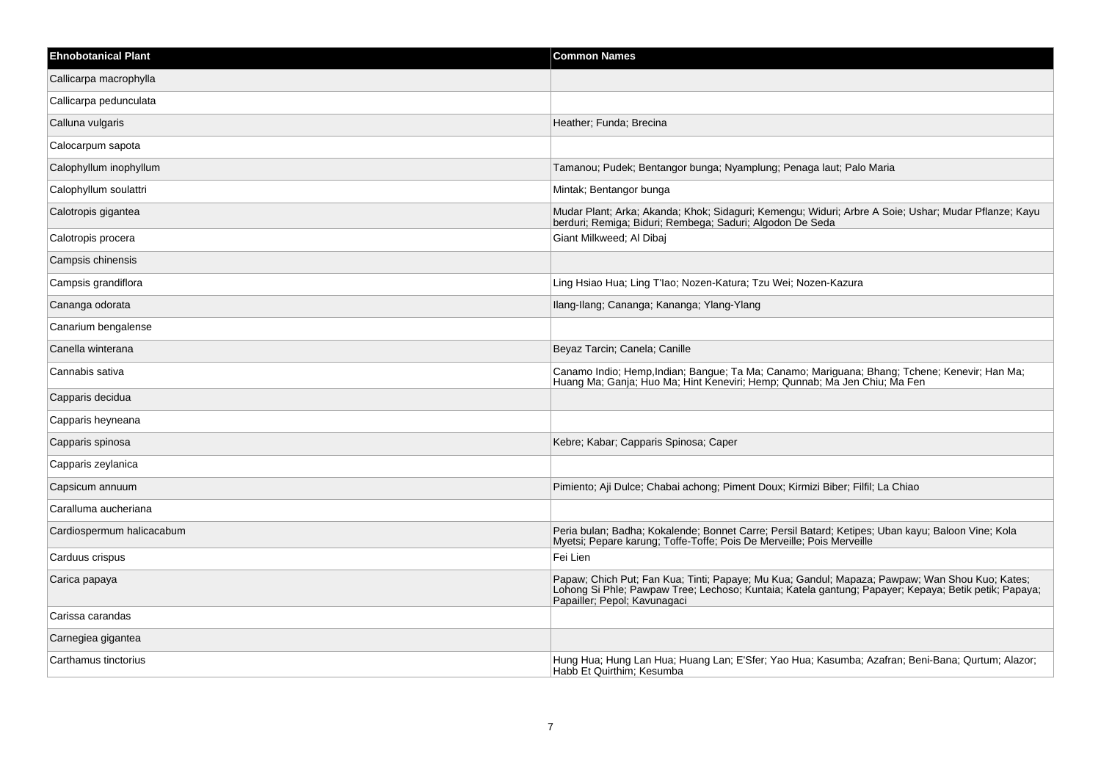| <b>Ehnobotanical Plant</b> | <b>Common Names</b>                                                                                                                                                                                                                    |
|----------------------------|----------------------------------------------------------------------------------------------------------------------------------------------------------------------------------------------------------------------------------------|
| Callicarpa macrophylla     |                                                                                                                                                                                                                                        |
| Callicarpa pedunculata     |                                                                                                                                                                                                                                        |
| Calluna vulgaris           | Heather; Funda; Brecina                                                                                                                                                                                                                |
| Calocarpum sapota          |                                                                                                                                                                                                                                        |
| Calophyllum inophyllum     | Tamanou; Pudek; Bentangor bunga; Nyamplung; Penaga laut; Palo Maria                                                                                                                                                                    |
| Calophyllum soulattri      | Mintak; Bentangor bunga                                                                                                                                                                                                                |
| Calotropis gigantea        | Mudar Plant; Arka; Akanda; Khok; Sidaguri; Kemengu; Widuri; Arbre A Soie; Ushar; Mudar Pflanze; Kayu<br>berduri; Remiga; Biduri; Rembega; Saduri; Algodon De Seda                                                                      |
| Calotropis procera         | Giant Milkweed; Al Dibaj                                                                                                                                                                                                               |
| Campsis chinensis          |                                                                                                                                                                                                                                        |
| Campsis grandiflora        | Ling Hsiao Hua; Ling T'lao; Nozen-Katura; Tzu Wei; Nozen-Kazura                                                                                                                                                                        |
| Cananga odorata            | Ilang-Ilang; Cananga; Kananga; Ylang-Ylang                                                                                                                                                                                             |
| Canarium bengalense        |                                                                                                                                                                                                                                        |
| Canella winterana          | Beyaz Tarcin; Canela; Canille                                                                                                                                                                                                          |
| Cannabis sativa            | Canamo Indio; Hemp, Indian; Bangue; Ta Ma; Canamo; Mariguana; Bhang; Tchene; Kenevir; Han Ma;<br>Huang Ma; Ganja; Huo Ma; Hint Keneviri; Hemp; Qunnab; Ma Jen Chiu; Ma Fen                                                             |
| Capparis decidua           |                                                                                                                                                                                                                                        |
| Capparis heyneana          |                                                                                                                                                                                                                                        |
| Capparis spinosa           | Kebre; Kabar; Capparis Spinosa; Caper                                                                                                                                                                                                  |
| Capparis zeylanica         |                                                                                                                                                                                                                                        |
| Capsicum annuum            | Pimiento; Aji Dulce; Chabai achong; Piment Doux; Kirmizi Biber; Filfil; La Chiao                                                                                                                                                       |
| Caralluma aucheriana       |                                                                                                                                                                                                                                        |
| Cardiospermum halicacabum  | Peria bulan; Badha; Kokalende; Bonnet Carre; Persil Batard; Ketipes; Uban kayu; Baloon Vine; Kola<br>Myetsi, Pepare karung, Toffe-Toffe, Pois De Merveille, Pois Merveille                                                             |
| Carduus crispus            | Fei Lien                                                                                                                                                                                                                               |
| Carica papaya              | Papaw; Chich Put; Fan Kua; Tinti; Papaye; Mu Kua; Gandul; Mapaza; Pawpaw; Wan Shou Kuo; Kates;<br>Lohong Si Phle; Pawpaw Tree; Lechoso; Kuntaia; Katela gantung; Papayer; Kepaya; Betik petik; Papaya;<br>Papailler; Pepol; Kavunagaci |
| Carissa carandas           |                                                                                                                                                                                                                                        |
| Carnegiea gigantea         |                                                                                                                                                                                                                                        |
| Carthamus tinctorius       | Hung Hua; Hung Lan Hua; Huang Lan; E'Sfer; Yao Hua; Kasumba; Azafran; Beni-Bana; Qurtum; Alazor;<br>Habb Et Quirthim; Kesumba                                                                                                          |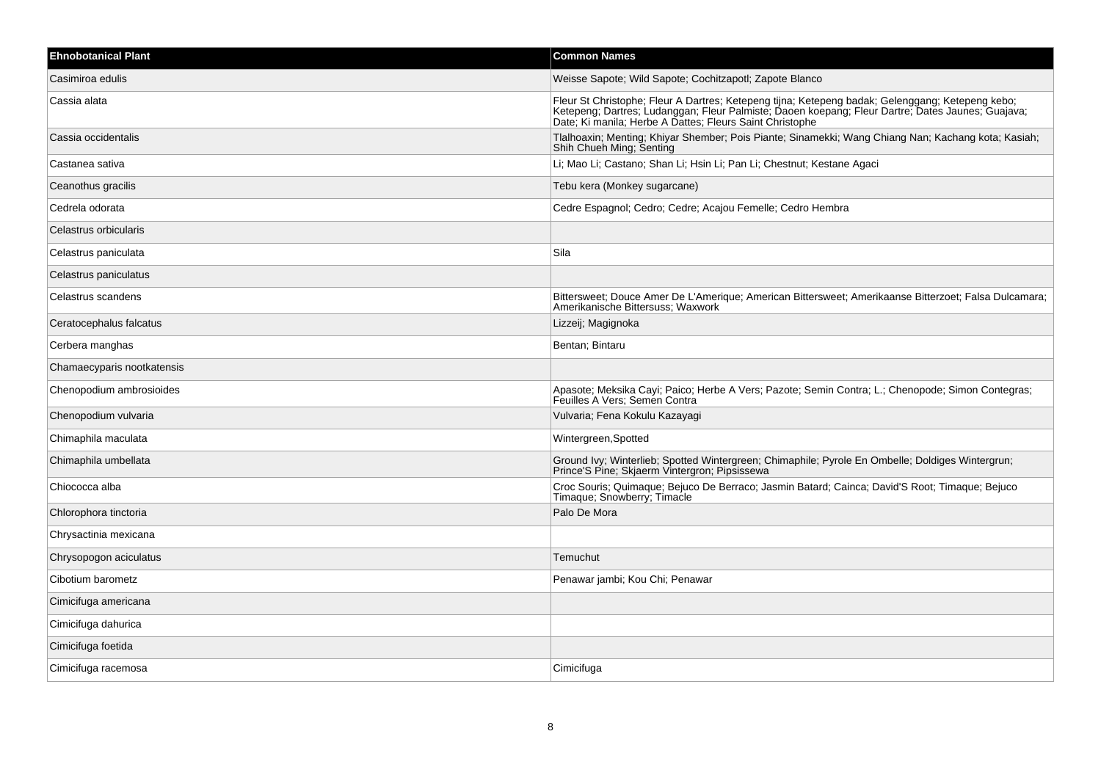| <b>Ehnobotanical Plant</b> | <b>Common Names</b>                                                                                                                                                                                                                  |
|----------------------------|--------------------------------------------------------------------------------------------------------------------------------------------------------------------------------------------------------------------------------------|
| Casimiroa edulis           | Weisse Sapote; Wild Sapote; Cochitzapotl; Zapote Blanco                                                                                                                                                                              |
| Cassia alata               | Fleur St Christophe; Fleur A Dartres; Ketepeng tijna; Ketepeng badak; Gelenggang; Ketepeng kebo;<br>Ketepeng; Dartres; Ludanggan; Fleur Palmiste; Daoen koepang; Fleur Dartre; Dates Jaunes; Guajava;<br>Date; Ki manila; Herbe A Da |
| Cassia occidentalis        | Tlalhoaxin; Menting; Khiyar Shember; Pois Piante; Sinamekki; Wang Chiang Nan; Kachang kota; Kasiah;<br>Shih Chueh Ming; Senting                                                                                                      |
| Castanea sativa            | Li; Mao Li; Castano; Shan Li; Hsin Li; Pan Li; Chestnut; Kestane Agaci                                                                                                                                                               |
| Ceanothus gracilis         | Tebu kera (Monkey sugarcane)                                                                                                                                                                                                         |
| Cedrela odorata            | Cedre Espagnol; Cedro; Cedre; Acajou Femelle; Cedro Hembra                                                                                                                                                                           |
| Celastrus orbicularis      |                                                                                                                                                                                                                                      |
| Celastrus paniculata       | Sila                                                                                                                                                                                                                                 |
| Celastrus paniculatus      |                                                                                                                                                                                                                                      |
| Celastrus scandens         | Bittersweet; Douce Amer De L'Amerique; American Bittersweet; Amerikaanse Bitterzoet; Falsa Dulcamara;<br>Amerikanische Bittersuss; Waxwork                                                                                           |
| Ceratocephalus falcatus    | Lizzeij; Magignoka                                                                                                                                                                                                                   |
| Cerbera manghas            | Bentan; Bintaru                                                                                                                                                                                                                      |
| Chamaecyparis nootkatensis |                                                                                                                                                                                                                                      |
| Chenopodium ambrosioides   | Apasote; Meksika Cayi; Paico; Herbe A Vers; Pazote; Semin Contra; L.; Chenopode; Simon Contegras;<br>Feuilles A Vers: Semen Contra                                                                                                   |
| Chenopodium vulvaria       | Vulvaria; Fena Kokulu Kazayagi                                                                                                                                                                                                       |
| Chimaphila maculata        | Wintergreen, Spotted                                                                                                                                                                                                                 |
| Chimaphila umbellata       | Ground Ivy; Winterlieb; Spotted Wintergreen; Chimaphile; Pyrole En Ombelle; Doldiges Wintergrun; Prince'S Pine; Skjaerm Vintergron; Pipsissewa                                                                                       |
| Chiococca alba             | Croc Souris; Quimaque; Bejuco De Berraco; Jasmin Batard; Cainca; David'S Root; Timaque; Bejuco<br>Timaque; Snowberry; Timacle                                                                                                        |
| Chlorophora tinctoria      | Palo De Mora                                                                                                                                                                                                                         |
| Chrysactinia mexicana      |                                                                                                                                                                                                                                      |
| Chrysopogon aciculatus     | Temuchut                                                                                                                                                                                                                             |
| Cibotium barometz          | Penawar jambi; Kou Chi; Penawar                                                                                                                                                                                                      |
| Cimicifuga americana       |                                                                                                                                                                                                                                      |
| Cimicifuga dahurica        |                                                                                                                                                                                                                                      |
| Cimicifuga foetida         |                                                                                                                                                                                                                                      |
| Cimicifuga racemosa        | Cimicifuga                                                                                                                                                                                                                           |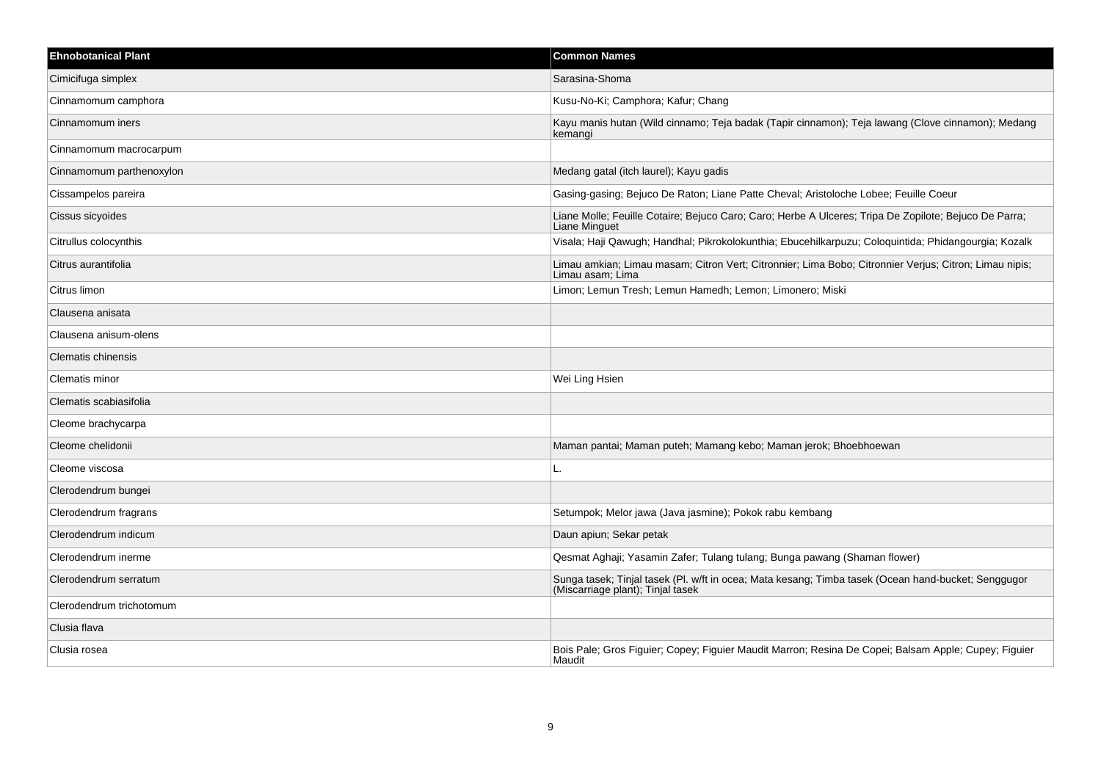| <b>Ehnobotanical Plant</b> | <b>Common Names</b>                                                                                                                      |
|----------------------------|------------------------------------------------------------------------------------------------------------------------------------------|
| Cimicifuga simplex         | Sarasina-Shoma                                                                                                                           |
| Cinnamomum camphora        | Kusu-No-Ki; Camphora; Kafur; Chang                                                                                                       |
| Cinnamomum iners           | Kayu manis hutan (Wild cinnamo; Teja badak (Tapir cinnamon); Teja lawang (Clove cinnamon); Medang<br>kemangi                             |
| Cinnamomum macrocarpum     |                                                                                                                                          |
| Cinnamomum parthenoxylon   | Medang gatal (itch laurel); Kayu gadis                                                                                                   |
| Cissampelos pareira        | Gasing-gasing; Bejuco De Raton; Liane Patte Cheval; Aristoloche Lobee; Feuille Coeur                                                     |
| Cissus sicyoides           | Liane Molle; Feuille Cotaire; Bejuco Caro; Caro; Herbe A Ulceres; Tripa De Zopilote; Bejuco De Parra;<br>Liane Minguet                   |
| Citrullus colocynthis      | Visala; Haji Qawugh; Handhal; Pikrokolokunthia; Ebucehilkarpuzu; Coloquintida; Phidangourgia; Kozalk                                     |
| Citrus aurantifolia        | Limau amkian; Limau masam; Citron Vert; Citronnier; Lima Bobo; Citronnier Verjus; Citron; Limau nipis;<br>Limau asam; Lima               |
| Citrus limon               | Limon; Lemun Tresh; Lemun Hamedh; Lemon; Limonero; Miski                                                                                 |
| Clausena anisata           |                                                                                                                                          |
| Clausena anisum-olens      |                                                                                                                                          |
| <b>Clematis chinensis</b>  |                                                                                                                                          |
| Clematis minor             | Wei Ling Hsien                                                                                                                           |
| Clematis scabiasifolia     |                                                                                                                                          |
| Cleome brachycarpa         |                                                                                                                                          |
| Cleome chelidonii          | Maman pantai; Maman puteh; Mamang kebo; Maman jerok; Bhoebhoewan                                                                         |
| Cleome viscosa             | L.                                                                                                                                       |
| Clerodendrum bungei        |                                                                                                                                          |
| Clerodendrum fragrans      | Setumpok; Melor jawa (Java jasmine); Pokok rabu kembang                                                                                  |
| Clerodendrum indicum       | Daun apiun; Sekar petak                                                                                                                  |
| Clerodendrum inerme        | Qesmat Aghaji; Yasamin Zafer; Tulang tulang; Bunga pawang (Shaman flower)                                                                |
| Clerodendrum serratum      | Sunga tasek; Tinjal tasek (Pl. w/ft in ocea; Mata kesang; Timba tasek (Ocean hand-bucket; Senggugor<br>(Miscarriage plant); Tinjal tasek |
| Clerodendrum trichotomum   |                                                                                                                                          |
| Clusia flava               |                                                                                                                                          |
| Clusia rosea               | Bois Pale; Gros Figuier; Copey; Figuier Maudit Marron; Resina De Copei; Balsam Apple; Cupey; Figuier<br>Maudit                           |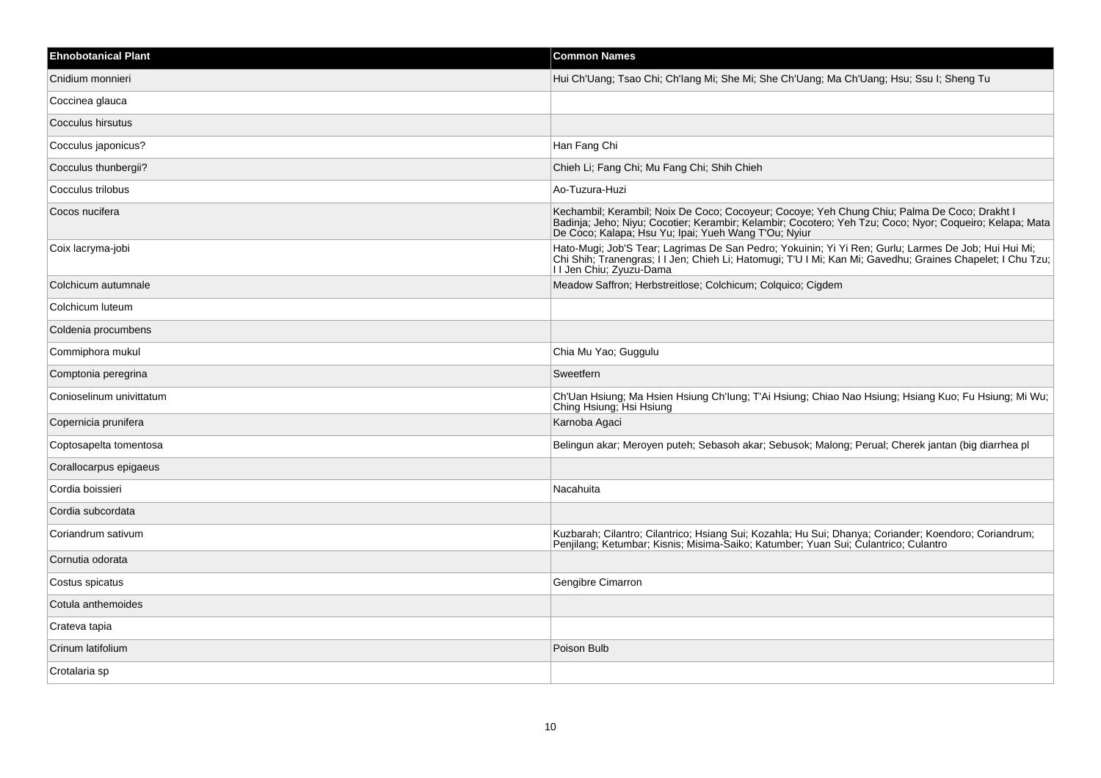| <b>Ehnobotanical Plant</b> | <b>Common Names</b>                                                                                                                                                                                                                                              |
|----------------------------|------------------------------------------------------------------------------------------------------------------------------------------------------------------------------------------------------------------------------------------------------------------|
| Cnidium monnieri           | Hui Ch'Uang; Tsao Chi; Ch'Iang Mi; She Mi; She Ch'Uang; Ma Ch'Uang; Hsu; Ssu I; Sheng Tu                                                                                                                                                                         |
| Coccinea glauca            |                                                                                                                                                                                                                                                                  |
| Cocculus hirsutus          |                                                                                                                                                                                                                                                                  |
| Cocculus japonicus?        | Han Fang Chi                                                                                                                                                                                                                                                     |
| Cocculus thunbergii?       | Chieh Li: Fang Chi: Mu Fang Chi: Shih Chieh                                                                                                                                                                                                                      |
| Cocculus trilobus          | Ao-Tuzura-Huzi                                                                                                                                                                                                                                                   |
| Cocos nucifera             | Kechambil; Kerambil; Noix De Coco; Cocoyeur; Cocoye; Yeh Chung Chiu; Palma De Coco; Drakht I<br>Badinja; Jeho; Niyu; Cocotier; Kerambir; Kelambir; Cocotero; Yeh Tzu; Coco; Nyor; Coqueiro; Kelapa; Mata<br>De Coco; Kalapa; Hsu Yu; Ipai; Yueh Wang T'Ou; Nyiur |
| Coix lacryma-jobi          | Hato-Mugi; Job'S Tear; Lagrimas De San Pedro; Yokuinin; Yi Yi Ren; Gurlu; Larmes De Job; Hui Hui Mi;<br>Chi Shih, Tranengras; İl Jen; Chieh Li; Hatomugi; T'U I Mi; Kan Mi; Gavedhu; Graines Chapelet; I Chu Tzu;<br>I I Jen Chiu; Zyuzu-Dama                    |
| Colchicum autumnale        | Meadow Saffron; Herbstreitlose; Colchicum; Colquico; Cigdem                                                                                                                                                                                                      |
| Colchicum luteum           |                                                                                                                                                                                                                                                                  |
| Coldenia procumbens        |                                                                                                                                                                                                                                                                  |
| Commiphora mukul           | Chia Mu Yao; Guggulu                                                                                                                                                                                                                                             |
| Comptonia peregrina        | Sweetfern                                                                                                                                                                                                                                                        |
| Conioselinum univittatum   | Ch'Uan Hsiung; Ma Hsien Hsiung Ch'Iung; T'Ai Hsiung; Chiao Nao Hsiung; Hsiang Kuo; Fu Hsiung; Mi Wu;<br>Ching Hsiung; Hsi Hsiung                                                                                                                                 |
| Copernicia prunifera       | Karnoba Agaci                                                                                                                                                                                                                                                    |
| Coptosapelta tomentosa     | Belingun akar; Meroyen puteh; Sebasoh akar; Sebusok; Malong; Perual; Cherek jantan (big diarrhea pl                                                                                                                                                              |
| Corallocarpus epigaeus     |                                                                                                                                                                                                                                                                  |
| Cordia boissieri           | Nacahuita                                                                                                                                                                                                                                                        |
| Cordia subcordata          |                                                                                                                                                                                                                                                                  |
| Coriandrum sativum         | Kuzbarah; Cilantro; Cilantrico; Hsiang Sui; Kozahla; Hu Sui; Dhanya; Coriander; Koendoro; Coriandrum;<br>Penjilang; Ketumbar; Kisnis; Misima-Saiko; Katumber; Yuan Sui; Culantrico; Culantro                                                                     |
| Cornutia odorata           |                                                                                                                                                                                                                                                                  |
| Costus spicatus            | Gengibre Cimarron                                                                                                                                                                                                                                                |
| Cotula anthemoides         |                                                                                                                                                                                                                                                                  |
| Crateva tapia              |                                                                                                                                                                                                                                                                  |
| Crinum latifolium          | Poison Bulb                                                                                                                                                                                                                                                      |
| Crotalaria sp              |                                                                                                                                                                                                                                                                  |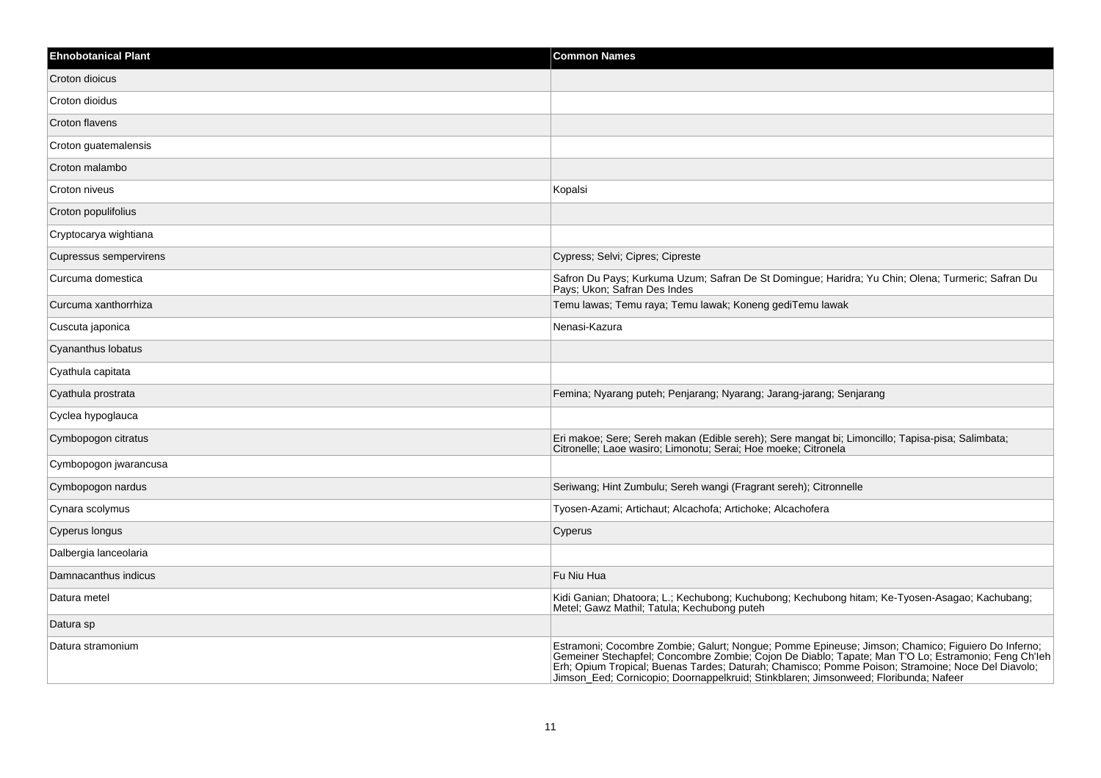| <b>Ehnobotanical Plant</b> | <b>Common Names</b>                                                                                                                                                                                                                                                                                                          |
|----------------------------|------------------------------------------------------------------------------------------------------------------------------------------------------------------------------------------------------------------------------------------------------------------------------------------------------------------------------|
| Croton dioicus             |                                                                                                                                                                                                                                                                                                                              |
| Croton dioidus             |                                                                                                                                                                                                                                                                                                                              |
| Croton flavens             |                                                                                                                                                                                                                                                                                                                              |
| Croton guatemalensis       |                                                                                                                                                                                                                                                                                                                              |
| Croton malambo             |                                                                                                                                                                                                                                                                                                                              |
| Croton niveus              | Kopalsi                                                                                                                                                                                                                                                                                                                      |
| Croton populifolius        |                                                                                                                                                                                                                                                                                                                              |
| Cryptocarya wightiana      |                                                                                                                                                                                                                                                                                                                              |
| Cupressus sempervirens     | Cypress; Selvi; Cipres; Cipreste                                                                                                                                                                                                                                                                                             |
| Curcuma domestica          | Safron Du Pays; Kurkuma Uzum; Safran De St Domingue; Haridra; Yu Chin; Olena; Turmeric; Safran Du<br>Pays; Ukon; Safran Des Indes                                                                                                                                                                                            |
| Curcuma xanthorrhiza       | Temu lawas; Temu raya; Temu lawak; Koneng gediTemu lawak                                                                                                                                                                                                                                                                     |
| Cuscuta japonica           | Nenasi-Kazura                                                                                                                                                                                                                                                                                                                |
| Cyananthus Iobatus         |                                                                                                                                                                                                                                                                                                                              |
| Cyathula capitata          |                                                                                                                                                                                                                                                                                                                              |
| Cyathula prostrata         | Femina; Nyarang puteh; Penjarang; Nyarang; Jarang-jarang; Senjarang                                                                                                                                                                                                                                                          |
| Cyclea hypoglauca          |                                                                                                                                                                                                                                                                                                                              |
| Cymbopogon citratus        | Eri makoe; Sere; Sereh makan (Edible sereh); Sere mangat bi; Limoncillo; Tapisa-pisa; Salimbata;<br>Citronelle; Laoe wasiro; Limonotu; Serai; Hoe moeke; Citronela                                                                                                                                                           |
| Cymbopogon jwarancusa      |                                                                                                                                                                                                                                                                                                                              |
| Cymbopogon nardus          | Seriwang; Hint Zumbulu; Sereh wangi (Fragrant sereh); Citronnelle                                                                                                                                                                                                                                                            |
| Cynara scolymus            | Tyosen-Azami; Artichaut; Alcachofa; Artichoke; Alcachofera                                                                                                                                                                                                                                                                   |
| Cyperus longus             | Cyperus                                                                                                                                                                                                                                                                                                                      |
| Dalbergia lanceolaria      |                                                                                                                                                                                                                                                                                                                              |
| Damnacanthus indicus       | Fu Niu Hua                                                                                                                                                                                                                                                                                                                   |
| Datura metel               | Kidi Ganian; Dhatoora; L.; Kechubong; Kuchubong; Kechubong hitam; Ke-Tyosen-Asagao; Kachubang;<br>Metel; Gawz Mathil; Tatula; Kechubong puteh                                                                                                                                                                                |
| Datura sp                  |                                                                                                                                                                                                                                                                                                                              |
| Datura stramonium          | Estramoni; Cocombre Zombie; Galurt; Nongue; Pomme Epineuse; Jimson; Chamico; Figuiero Do Inferno;<br>Gemeiner Stechapfel; Concombre Zombie; Cojon De Diablo; Tapate; Man T'O Lo; Estramonio; Feng Ch'leh<br>Erh; Opium Tropical; Bue<br>Jimson Eed; Cornicopio; Doornappelkruid; Stinkblaren; Jimsonweed; Floribunda; Nafeer |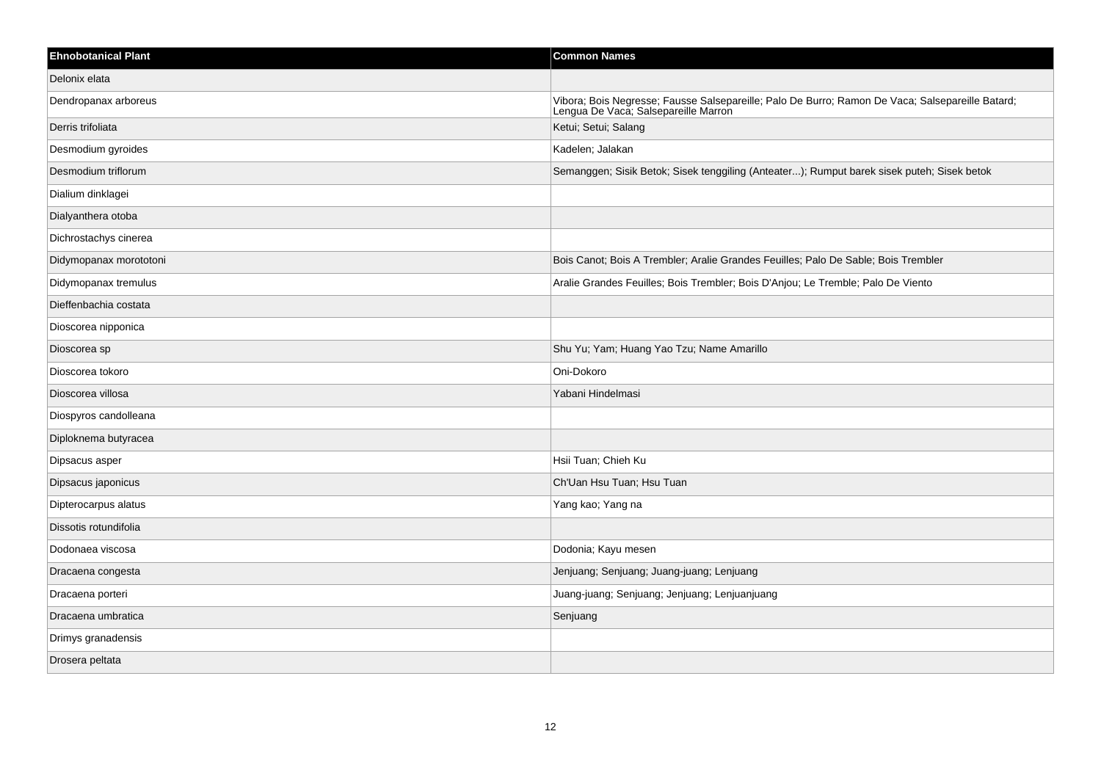| <b>Ehnobotanical Plant</b> | <b>Common Names</b>                                                                                                                      |
|----------------------------|------------------------------------------------------------------------------------------------------------------------------------------|
| Delonix elata              |                                                                                                                                          |
| Dendropanax arboreus       | Vibora; Bois Negresse; Fausse Salsepareille; Palo De Burro; Ramon De Vaca; Salsepareille Batard;<br>Lengua De Vaca; Salsepareille Marron |
| Derris trifoliata          | Ketui; Setui; Salang                                                                                                                     |
| Desmodium gyroides         | Kadelen; Jalakan                                                                                                                         |
| Desmodium triflorum        | Semanggen; Sisik Betok; Sisek tenggiling (Anteater); Rumput barek sisek puteh; Sisek betok                                               |
| Dialium dinklagei          |                                                                                                                                          |
| Dialyanthera otoba         |                                                                                                                                          |
| Dichrostachys cinerea      |                                                                                                                                          |
| Didymopanax morototoni     | Bois Canot; Bois A Trembler; Aralie Grandes Feuilles; Palo De Sable; Bois Trembler                                                       |
| Didymopanax tremulus       | Aralie Grandes Feuilles; Bois Trembler; Bois D'Anjou; Le Tremble; Palo De Viento                                                         |
| Dieffenbachia costata      |                                                                                                                                          |
| Dioscorea nipponica        |                                                                                                                                          |
| Dioscorea sp               | Shu Yu; Yam; Huang Yao Tzu; Name Amarillo                                                                                                |
| Dioscorea tokoro           | Oni-Dokoro                                                                                                                               |
| Dioscorea villosa          | Yabani Hindelmasi                                                                                                                        |
| Diospyros candolleana      |                                                                                                                                          |
| Diploknema butyracea       |                                                                                                                                          |
| Dipsacus asper             | Hsii Tuan; Chieh Ku                                                                                                                      |
| Dipsacus japonicus         | Ch'Uan Hsu Tuan; Hsu Tuan                                                                                                                |
| Dipterocarpus alatus       | Yang kao; Yang na                                                                                                                        |
| Dissotis rotundifolia      |                                                                                                                                          |
| Dodonaea viscosa           | Dodonia; Kayu mesen                                                                                                                      |
| Dracaena congesta          | Jenjuang; Senjuang; Juang-juang; Lenjuang                                                                                                |
| Dracaena porteri           | Juang-juang; Senjuang; Jenjuang; Lenjuanjuang                                                                                            |
| Dracaena umbratica         | Senjuang                                                                                                                                 |
| Drimys granadensis         |                                                                                                                                          |
| Drosera peltata            |                                                                                                                                          |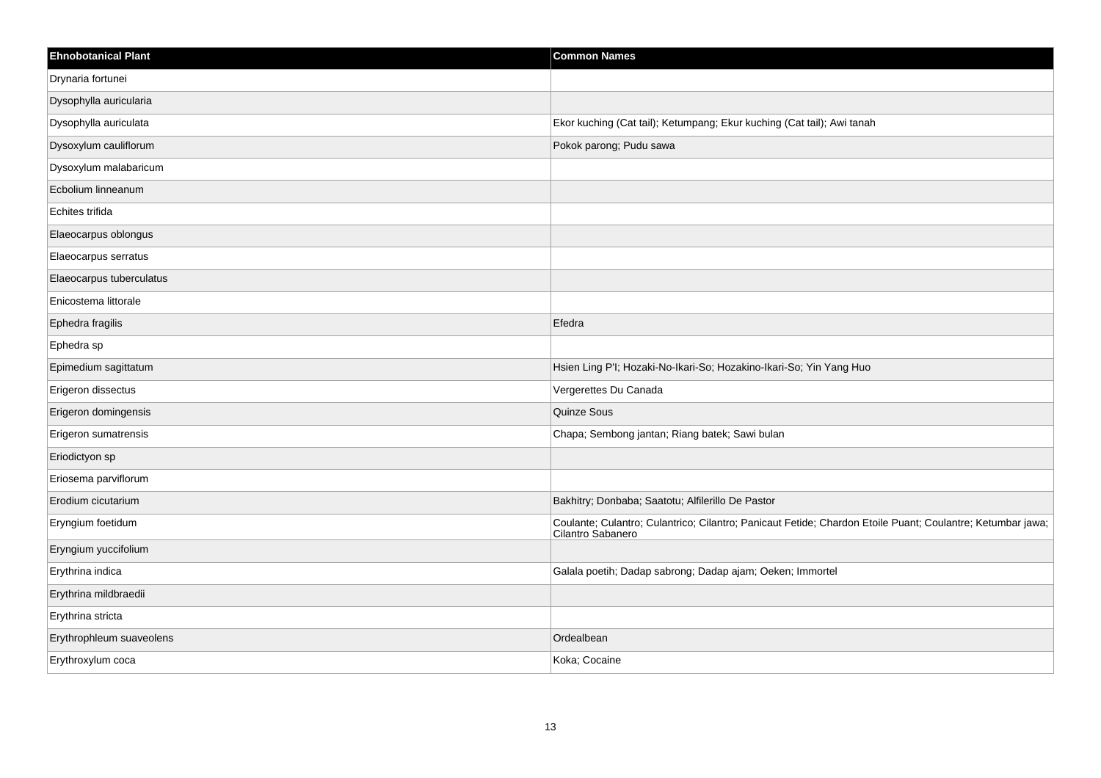| <b>Ehnobotanical Plant</b> | <b>Common Names</b>                                                                                                             |
|----------------------------|---------------------------------------------------------------------------------------------------------------------------------|
| Drynaria fortunei          |                                                                                                                                 |
| Dysophylla auricularia     |                                                                                                                                 |
| Dysophylla auriculata      | Ekor kuching (Cat tail); Ketumpang; Ekur kuching (Cat tail); Awi tanah                                                          |
| Dysoxylum cauliflorum      | Pokok parong; Pudu sawa                                                                                                         |
| Dysoxylum malabaricum      |                                                                                                                                 |
| Ecbolium linneanum         |                                                                                                                                 |
| Echites trifida            |                                                                                                                                 |
| Elaeocarpus oblongus       |                                                                                                                                 |
| Elaeocarpus serratus       |                                                                                                                                 |
| Elaeocarpus tuberculatus   |                                                                                                                                 |
| Enicostema littorale       |                                                                                                                                 |
| Ephedra fragilis           | Efedra                                                                                                                          |
| Ephedra sp                 |                                                                                                                                 |
| Epimedium sagittatum       | Hsien Ling P'l; Hozaki-No-Ikari-So; Hozakino-Ikari-So; Yin Yang Huo                                                             |
| Erigeron dissectus         | Vergerettes Du Canada                                                                                                           |
| Erigeron domingensis       | Quinze Sous                                                                                                                     |
| Erigeron sumatrensis       | Chapa; Sembong jantan; Riang batek; Sawi bulan                                                                                  |
| Eriodictyon sp             |                                                                                                                                 |
| Eriosema parviflorum       |                                                                                                                                 |
| Erodium cicutarium         | Bakhitry; Donbaba; Saatotu; Alfilerillo De Pastor                                                                               |
| Eryngium foetidum          | Coulante; Culantro; Culantrico; Cilantro; Panicaut Fetide; Chardon Etoile Puant; Coulantre; Ketumbar jawa;<br>Cilantro Sabanero |
| Eryngium yuccifolium       |                                                                                                                                 |
| Erythrina indica           | Galala poetih; Dadap sabrong; Dadap ajam; Oeken; Immortel                                                                       |
| Erythrina mildbraedii      |                                                                                                                                 |
| Erythrina stricta          |                                                                                                                                 |
| Erythrophleum suaveolens   | Ordealbean                                                                                                                      |
| Erythroxylum coca          | Koka; Cocaine                                                                                                                   |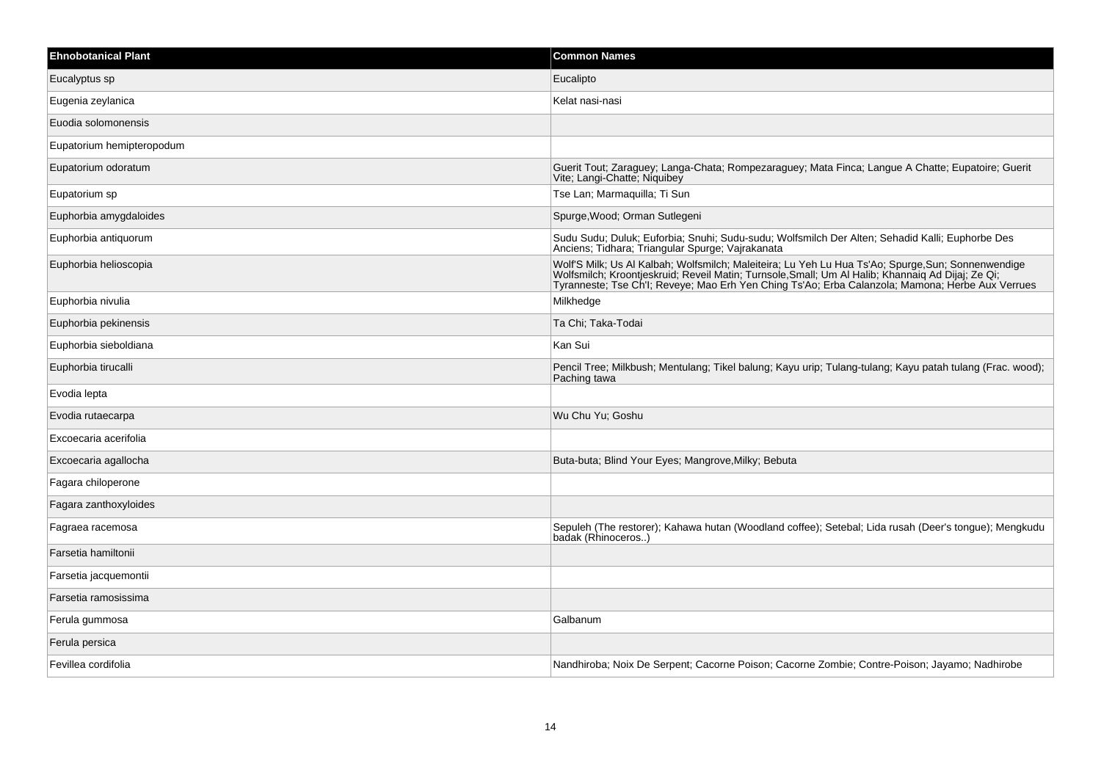| <b>Ehnobotanical Plant</b> | <b>Common Names</b>                                                                                                                                                                                                                                                                                       |
|----------------------------|-----------------------------------------------------------------------------------------------------------------------------------------------------------------------------------------------------------------------------------------------------------------------------------------------------------|
| Eucalyptus sp              | Eucalipto                                                                                                                                                                                                                                                                                                 |
| Eugenia zeylanica          | Kelat nasi-nasi                                                                                                                                                                                                                                                                                           |
| Euodia solomonensis        |                                                                                                                                                                                                                                                                                                           |
| Eupatorium hemipteropodum  |                                                                                                                                                                                                                                                                                                           |
| Eupatorium odoratum        | Guerit Tout; Zaraguey; Langa-Chata; Rompezaraguey; Mata Finca; Langue A Chatte; Eupatoire; Guerit<br>Vite; Langi-Chatte; Niquibey                                                                                                                                                                         |
| Eupatorium sp              | Tse Lan; Marmaquilla; Ti Sun                                                                                                                                                                                                                                                                              |
| Euphorbia amygdaloides     | Spurge, Wood; Orman Sutlegeni                                                                                                                                                                                                                                                                             |
| Euphorbia antiquorum       | Sudu Sudu; Duluk; Euforbia; Snuhi; Sudu-sudu; Wolfsmilch Der Alten; Sehadid Kalli; Euphorbe Des<br>Anciens; Tidhara; Triangular Spurge; Vajrakanata                                                                                                                                                       |
| Euphorbia helioscopia      | Wolf'S Milk; Us Al Kalbah; Wolfsmilch; Maleiteira; Lu Yeh Lu Hua Ts'Ao; Spurge,Sun; Sonnenwendige<br>Wolfsmilch; Kroontjeskruid; Reveil Matin; Turnsole,Small; Um Al Halib; Khannaiq Ad Dijaj; Ze Qi;<br>Tyranneste; Tse Ch'l; Reveye; Mao Erh Yen Ching Ts'Ao; Erba Calanzola; Mamona; Herbe Aux Verrues |
| Euphorbia nivulia          | Milkhedge                                                                                                                                                                                                                                                                                                 |
| Euphorbia pekinensis       | Ta Chi; Taka-Todai                                                                                                                                                                                                                                                                                        |
| Euphorbia sieboldiana      | Kan Sui                                                                                                                                                                                                                                                                                                   |
| Euphorbia tirucalli        | Pencil Tree; Milkbush; Mentulang; Tikel balung; Kayu urip; Tulang-tulang; Kayu patah tulang (Frac. wood);<br>Paching tawa                                                                                                                                                                                 |
| Evodia lepta               |                                                                                                                                                                                                                                                                                                           |
| Evodia rutaecarpa          | Wu Chu Yu; Goshu                                                                                                                                                                                                                                                                                          |
| Excoecaria acerifolia      |                                                                                                                                                                                                                                                                                                           |
| Excoecaria agallocha       | Buta-buta; Blind Your Eyes; Mangrove, Milky; Bebuta                                                                                                                                                                                                                                                       |
| Fagara chiloperone         |                                                                                                                                                                                                                                                                                                           |
| Fagara zanthoxyloides      |                                                                                                                                                                                                                                                                                                           |
| Fagraea racemosa           | Sepuleh (The restorer); Kahawa hutan (Woodland coffee); Setebal; Lida rusah (Deer's tongue); Mengkudu<br>badak (Rhinoceros)                                                                                                                                                                               |
| Farsetia hamiltonii        |                                                                                                                                                                                                                                                                                                           |
| Farsetia jacquemontii      |                                                                                                                                                                                                                                                                                                           |
| Farsetia ramosissima       |                                                                                                                                                                                                                                                                                                           |
| Ferula gummosa             | Galbanum                                                                                                                                                                                                                                                                                                  |
| Ferula persica             |                                                                                                                                                                                                                                                                                                           |
| Fevillea cordifolia        | Nandhiroba; Noix De Serpent; Cacorne Poison; Cacorne Zombie; Contre-Poison; Jayamo; Nadhirobe                                                                                                                                                                                                             |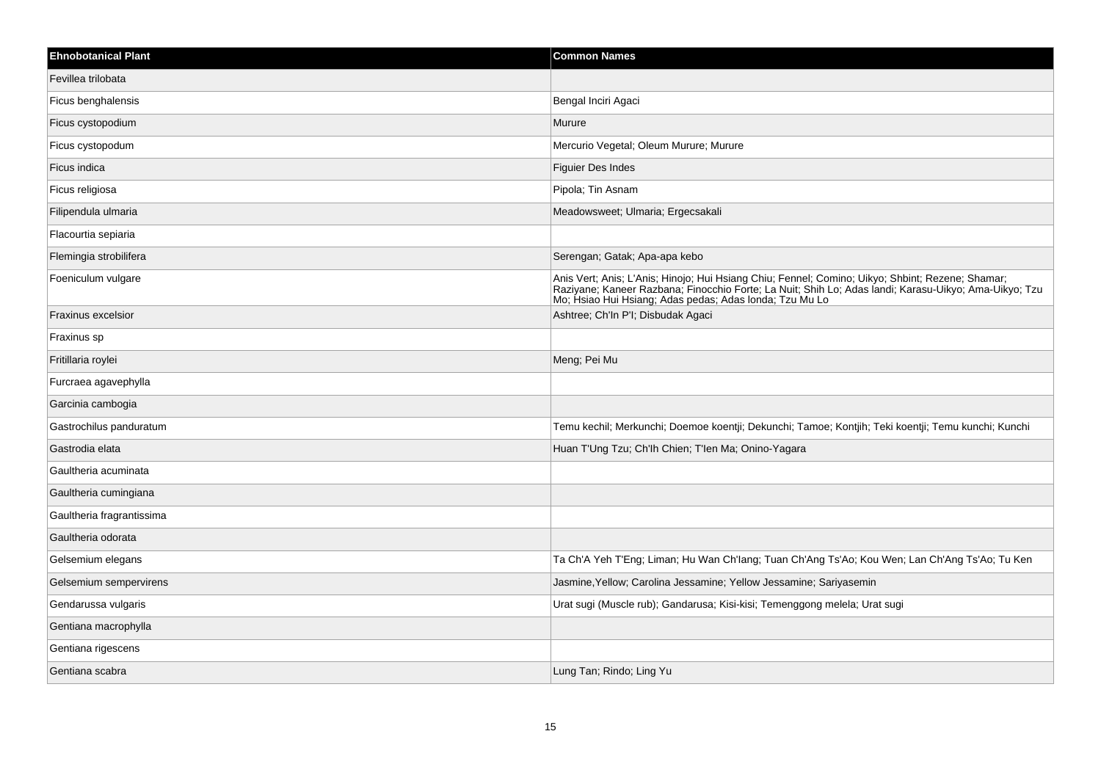| <b>Ehnobotanical Plant</b> | <b>Common Names</b>                                                                                                                                                                                                                                                  |
|----------------------------|----------------------------------------------------------------------------------------------------------------------------------------------------------------------------------------------------------------------------------------------------------------------|
| Fevillea trilobata         |                                                                                                                                                                                                                                                                      |
| Ficus benghalensis         | Bengal Inciri Agaci                                                                                                                                                                                                                                                  |
| Ficus cystopodium          | Murure                                                                                                                                                                                                                                                               |
| Ficus cystopodum           | Mercurio Vegetal; Oleum Murure; Murure                                                                                                                                                                                                                               |
| Ficus indica               | Figuier Des Indes                                                                                                                                                                                                                                                    |
| Ficus religiosa            | Pipola; Tin Asnam                                                                                                                                                                                                                                                    |
| Filipendula ulmaria        | Meadowsweet; Ulmaria; Ergecsakali                                                                                                                                                                                                                                    |
| Flacourtia sepiaria        |                                                                                                                                                                                                                                                                      |
| Flemingia strobilifera     | Serengan; Gatak; Apa-apa kebo                                                                                                                                                                                                                                        |
| Foeniculum vulgare         | Anis Vert; Anis; L'Anis; Hinojo; Hui Hsiang Chiu; Fennel; Comino; Uikyo; Shbint; Rezene; Shamar;<br>Raziyane; Kaneer Razbana; Finocchio Forte; La Nuit; Shih Lo; Adas landi; Karasu-Uikyo; Ama-Uikyo; Tzu<br>Mo; Hsiao Hui Hsiang; Adas pedas; Adas Ionda; Tzu Mu Lo |
| Fraxinus excelsior         | Ashtree; Ch'In P'I; Disbudak Agaci                                                                                                                                                                                                                                   |
| Fraxinus sp                |                                                                                                                                                                                                                                                                      |
| Fritillaria roylei         | Meng; Pei Mu                                                                                                                                                                                                                                                         |
| Furcraea agavephylla       |                                                                                                                                                                                                                                                                      |
| Garcinia cambogia          |                                                                                                                                                                                                                                                                      |
| Gastrochilus panduratum    | Temu kechil; Merkunchi; Doemoe koentji; Dekunchi; Tamoe; Kontjih; Teki koentji; Temu kunchi; Kunchi                                                                                                                                                                  |
| Gastrodia elata            | Huan T'Ung Tzu; Ch'lh Chien; T'len Ma; Onino-Yagara                                                                                                                                                                                                                  |
| Gaultheria acuminata       |                                                                                                                                                                                                                                                                      |
| Gaultheria cumingiana      |                                                                                                                                                                                                                                                                      |
| Gaultheria fragrantissima  |                                                                                                                                                                                                                                                                      |
| Gaultheria odorata         |                                                                                                                                                                                                                                                                      |
| Gelsemium elegans          | Ta Ch'A Yeh T'Eng; Liman; Hu Wan Ch'lang; Tuan Ch'Ang Ts'Ao; Kou Wen; Lan Ch'Ang Ts'Ao; Tu Ken                                                                                                                                                                       |
| Gelsemium sempervirens     | Jasmine, Yellow; Carolina Jessamine; Yellow Jessamine; Sariyasemin                                                                                                                                                                                                   |
| Gendarussa vulgaris        | Urat sugi (Muscle rub); Gandarusa; Kisi-kisi; Temenggong melela; Urat sugi                                                                                                                                                                                           |
| Gentiana macrophylla       |                                                                                                                                                                                                                                                                      |
| Gentiana rigescens         |                                                                                                                                                                                                                                                                      |
| Gentiana scabra            | Lung Tan; Rindo; Ling Yu                                                                                                                                                                                                                                             |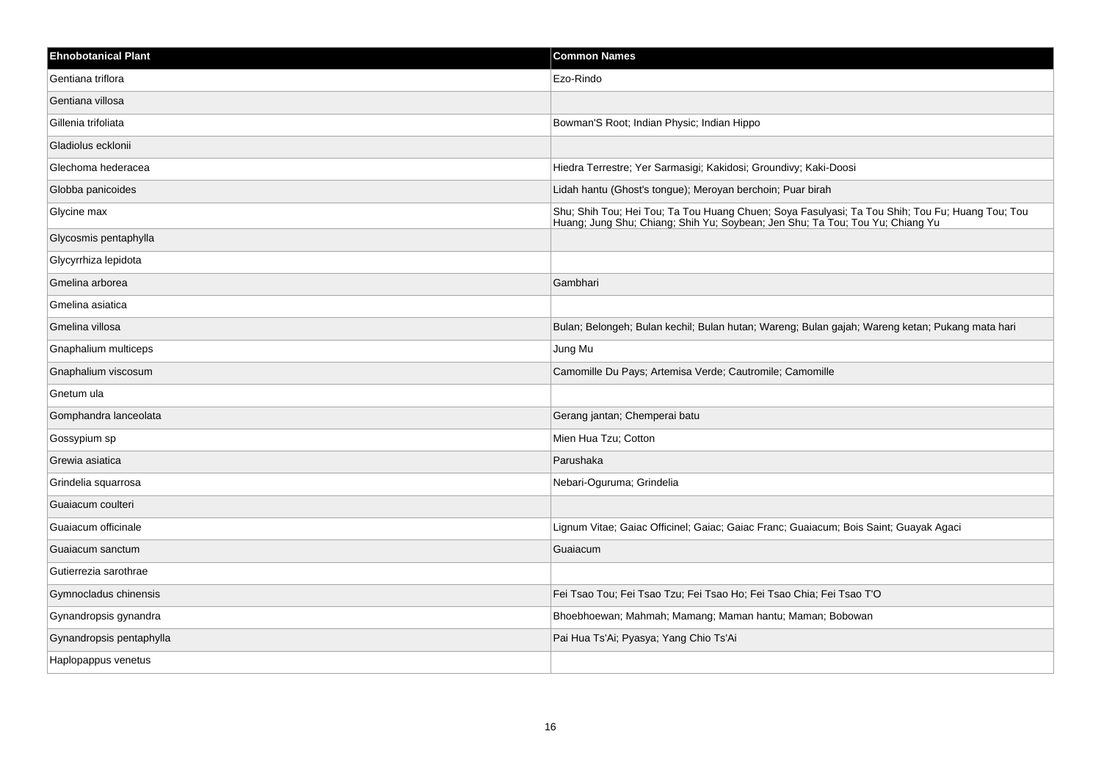| <b>Ehnobotanical Plant</b> | <b>Common Names</b>                                                                                                                                                              |
|----------------------------|----------------------------------------------------------------------------------------------------------------------------------------------------------------------------------|
| Gentiana triflora          | Ezo-Rindo                                                                                                                                                                        |
| Gentiana villosa           |                                                                                                                                                                                  |
| Gillenia trifoliata        | Bowman'S Root; Indian Physic; Indian Hippo                                                                                                                                       |
| Gladiolus ecklonii         |                                                                                                                                                                                  |
| Glechoma hederacea         | Hiedra Terrestre; Yer Sarmasigi; Kakidosi; Groundivy; Kaki-Doosi                                                                                                                 |
| Globba panicoides          | Lidah hantu (Ghost's tongue); Meroyan berchoin; Puar birah                                                                                                                       |
| Glycine max                | Shu; Shih Tou; Hei Tou; Ta Tou Huang Chuen; Soya Fasulyasi; Ta Tou Shih; Tou Fu; Huang Tou; Tou<br>Huang; Jung Shu; Chiang; Shih Yu; Soybean; Jen Shu; Ta Tou; Tou Yu; Chiang Yu |
| Glycosmis pentaphylla      |                                                                                                                                                                                  |
| Glycyrrhiza lepidota       |                                                                                                                                                                                  |
| Gmelina arborea            | Gambhari                                                                                                                                                                         |
| Gmelina asiatica           |                                                                                                                                                                                  |
| Gmelina villosa            | Bulan; Belongeh; Bulan kechil; Bulan hutan; Wareng; Bulan gajah; Wareng ketan; Pukang mata hari                                                                                  |
| Gnaphalium multiceps       | Jung Mu                                                                                                                                                                          |
| Gnaphalium viscosum        | Camomille Du Pays; Artemisa Verde; Cautromile; Camomille                                                                                                                         |
| Gnetum ula                 |                                                                                                                                                                                  |
| Gomphandra lanceolata      | Gerang jantan; Chemperai batu                                                                                                                                                    |
| Gossypium sp               | Mien Hua Tzu; Cotton                                                                                                                                                             |
| Grewia asiatica            | Parushaka                                                                                                                                                                        |
| Grindelia squarrosa        | Nebari-Oguruma; Grindelia                                                                                                                                                        |
| Guaiacum coulteri          |                                                                                                                                                                                  |
| Guaiacum officinale        | Lignum Vitae; Gaiac Officinel; Gaiac; Gaiac Franc; Guaiacum; Bois Saint; Guayak Agaci                                                                                            |
| Guaiacum sanctum           | Guaiacum                                                                                                                                                                         |
| Gutierrezia sarothrae      |                                                                                                                                                                                  |
| Gymnocladus chinensis      | Fei Tsao Tou; Fei Tsao Tzu; Fei Tsao Ho; Fei Tsao Chia; Fei Tsao T'O                                                                                                             |
| Gynandropsis gynandra      | Bhoebhoewan; Mahmah; Mamang; Maman hantu; Maman; Bobowan                                                                                                                         |
| Gynandropsis pentaphylla   | Pai Hua Ts'Ai; Pyasya; Yang Chio Ts'Ai                                                                                                                                           |
| Haplopappus venetus        |                                                                                                                                                                                  |
|                            |                                                                                                                                                                                  |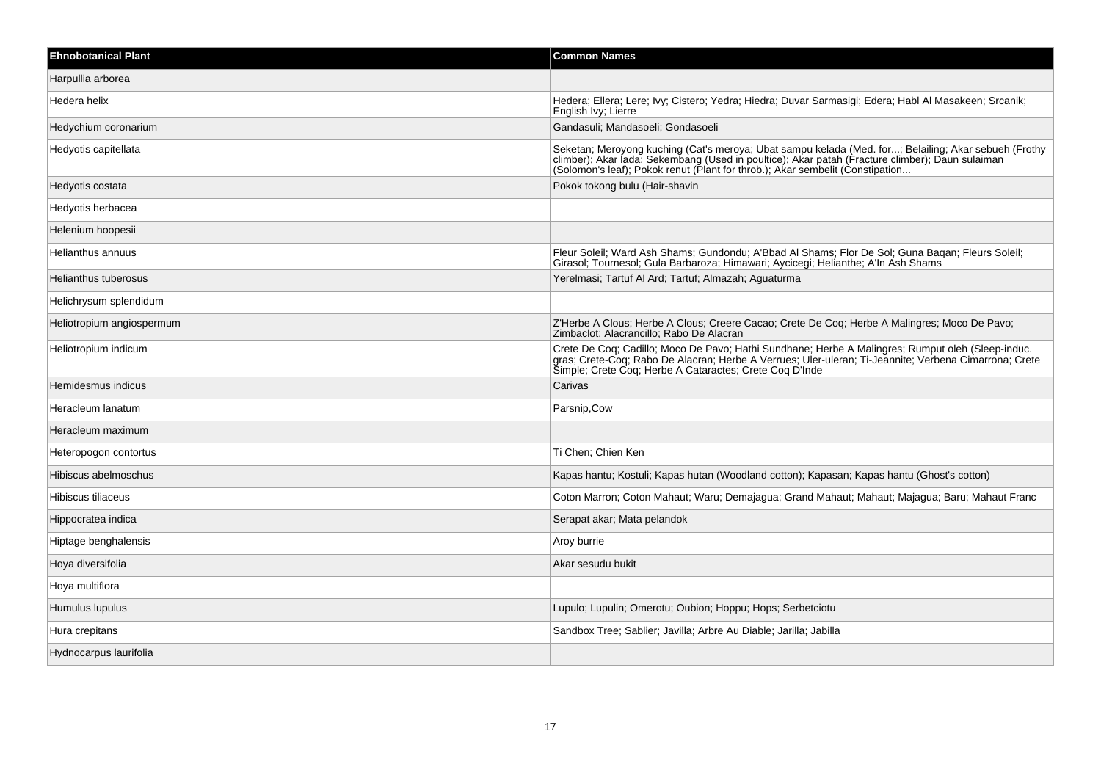| <b>Ehnobotanical Plant</b> | <b>Common Names</b>                                                                                                                                                                                                                                                                      |
|----------------------------|------------------------------------------------------------------------------------------------------------------------------------------------------------------------------------------------------------------------------------------------------------------------------------------|
| Harpullia arborea          |                                                                                                                                                                                                                                                                                          |
| Hedera helix               | Hedera; Ellera; Lere; Ivy; Cistero; Yedra; Hiedra; Duvar Sarmasigi; Edera; Habl Al Masakeen; Srcanik;<br>English Ivy; Lierre                                                                                                                                                             |
| Hedychium coronarium       | Gandasuli; Mandasoeli; Gondasoeli                                                                                                                                                                                                                                                        |
| Hedyotis capitellata       | Seketan; Meroyong kuching (Cat's meroya; Ubat sampu kelada (Med. for; Belailing; Akar sebueh (Frothy<br>climber); Akar lada; Sekembang (Used in poultice); Akar patah (Fracture climber); Daun sulaiman<br>(Solomon's leaf); Pokok renut (Plant for throb.); Akar sembelit (Constipation |
| Hedyotis costata           | Pokok tokong bulu (Hair-shavin                                                                                                                                                                                                                                                           |
| Hedyotis herbacea          |                                                                                                                                                                                                                                                                                          |
| Helenium hoopesii          |                                                                                                                                                                                                                                                                                          |
| Helianthus annuus          | Fleur Soleil; Ward Ash Shams; Gundondu; A'Bbad Al Shams; Flor De Sol; Guna Baqan; Fleurs Soleil;<br>Girasol; Tournesol; Gula Barbaroza; Himawari; Aycicegi; Helianthe; A'ln Ash Shams                                                                                                    |
| Helianthus tuberosus       | Yerelmasi; Tartuf Al Ard; Tartuf; Almazah; Aguaturma                                                                                                                                                                                                                                     |
| Helichrysum splendidum     |                                                                                                                                                                                                                                                                                          |
| Heliotropium angiospermum  | Z'Herbe A Clous; Herbe A Clous; Creere Cacao; Crete De Coq; Herbe A Malingres; Moco De Pavo;<br>Zimbaclot; Alacrancillo; Rabo De Alacran                                                                                                                                                 |
| Heliotropium indicum       | Crete De Coq; Cadillo; Moco De Pavo; Hathi Sundhane; Herbe A Malingres; Rumput oleh (Sleep-induc.<br>gras; Crete-Coq; Rabo De Alacran; Herbe A Verrues; Uler-uleran; Ti-Jeannite; Verbena Cimarrona; Crete<br>Simple; Crete Coq; Herbe A Cataractes; Crete Coq D'Inde                    |
| Hemidesmus indicus         | Carivas                                                                                                                                                                                                                                                                                  |
| Heracleum lanatum          | Parsnip, Cow                                                                                                                                                                                                                                                                             |
| Heracleum maximum          |                                                                                                                                                                                                                                                                                          |
| Heteropogon contortus      | Ti Chen; Chien Ken                                                                                                                                                                                                                                                                       |
| Hibiscus abelmoschus       | Kapas hantu; Kostuli; Kapas hutan (Woodland cotton); Kapasan; Kapas hantu (Ghost's cotton)                                                                                                                                                                                               |
| Hibiscus tiliaceus         | Coton Marron; Coton Mahaut; Waru; Demajagua; Grand Mahaut; Mahaut; Majagua; Baru; Mahaut Franc                                                                                                                                                                                           |
| Hippocratea indica         | Serapat akar; Mata pelandok                                                                                                                                                                                                                                                              |
| Hiptage benghalensis       | Aroy burrie                                                                                                                                                                                                                                                                              |
| Hoya diversifolia          | Akar sesudu bukit                                                                                                                                                                                                                                                                        |
| Hoya multiflora            |                                                                                                                                                                                                                                                                                          |
| Humulus lupulus            | Lupulo; Lupulin; Omerotu; Oubion; Hoppu; Hops; Serbetciotu                                                                                                                                                                                                                               |
| Hura crepitans             | Sandbox Tree; Sablier; Javilla; Arbre Au Diable; Jarilla; Jabilla                                                                                                                                                                                                                        |
| Hydnocarpus laurifolia     |                                                                                                                                                                                                                                                                                          |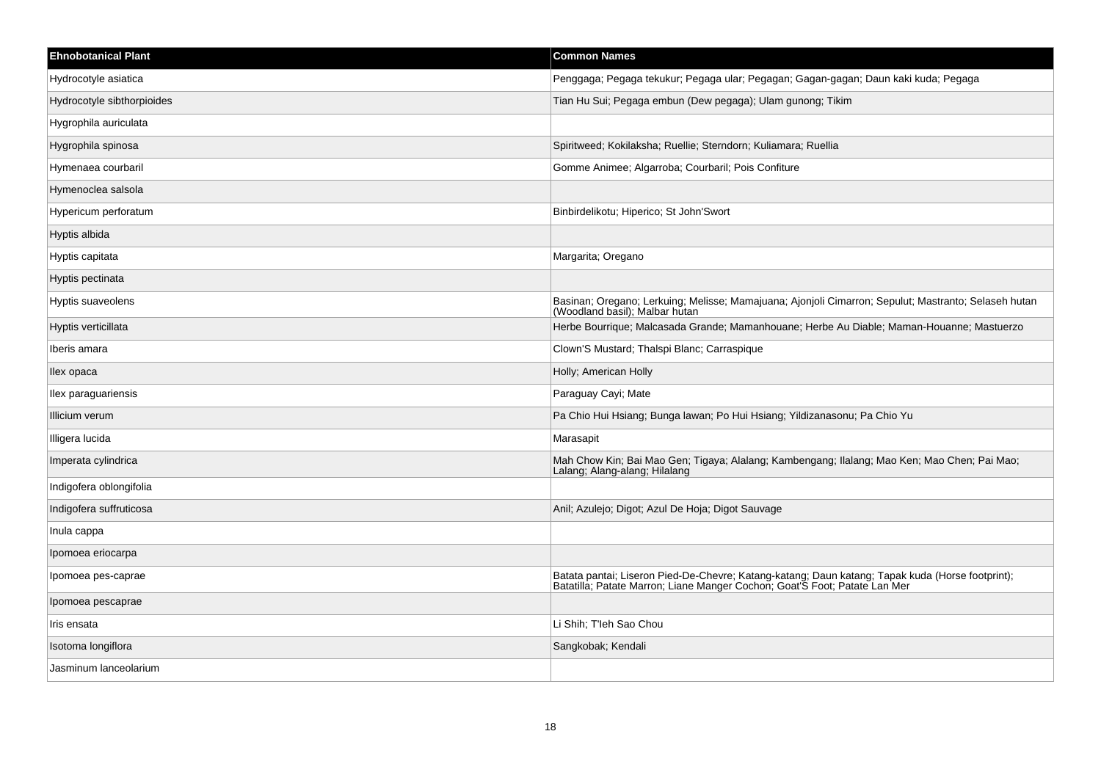| <b>Ehnobotanical Plant</b> | <b>Common Names</b>                                                                                                                                                         |
|----------------------------|-----------------------------------------------------------------------------------------------------------------------------------------------------------------------------|
| Hydrocotyle asiatica       | Penggaga; Pegaga tekukur; Pegaga ular; Pegagan; Gagan-gagan; Daun kaki kuda; Pegaga                                                                                         |
| Hydrocotyle sibthorpioides | Tian Hu Sui; Pegaga embun (Dew pegaga); Ulam gunong; Tikim                                                                                                                  |
| Hygrophila auriculata      |                                                                                                                                                                             |
| Hygrophila spinosa         | Spiritweed; Kokilaksha; Ruellie; Sterndorn; Kuliamara; Ruellia                                                                                                              |
| Hymenaea courbaril         | Gomme Animee; Algarroba; Courbaril; Pois Confiture                                                                                                                          |
| Hymenoclea salsola         |                                                                                                                                                                             |
| Hypericum perforatum       | Binbirdelikotu; Hiperico; St John'Swort                                                                                                                                     |
| Hyptis albida              |                                                                                                                                                                             |
| Hyptis capitata            | Margarita; Oregano                                                                                                                                                          |
| Hyptis pectinata           |                                                                                                                                                                             |
| Hyptis suaveolens          | Basinan; Oregano; Lerkuing; Melisse; Mamajuana; Ajonjoli Cimarron; Sepulut; Mastranto; Selaseh hutan<br>(Woodland basil); Malbar hutan                                      |
| Hyptis verticillata        | Herbe Bourrique; Malcasada Grande; Mamanhouane; Herbe Au Diable; Maman-Houanne; Mastuerzo                                                                                   |
| Iberis amara               | Clown'S Mustard; Thalspi Blanc; Carraspique                                                                                                                                 |
| llex opaca                 | Holly; American Holly                                                                                                                                                       |
| Ilex paraguariensis        | Paraguay Cayi; Mate                                                                                                                                                         |
| Illicium verum             | Pa Chio Hui Hsiang; Bunga lawan; Po Hui Hsiang; Yildizanasonu; Pa Chio Yu                                                                                                   |
| Illigera lucida            | Marasapit                                                                                                                                                                   |
| Imperata cylindrica        | Mah Chow Kin; Bai Mao Gen; Tigaya; Alalang; Kambengang; Ilalang; Mao Ken; Mao Chen; Pai Mao;<br>Lalang: Alang-alang: Hilalang                                               |
| Indigofera oblongifolia    |                                                                                                                                                                             |
| Indigofera suffruticosa    | Anil; Azulejo; Digot; Azul De Hoja; Digot Sauvage                                                                                                                           |
| Inula cappa                |                                                                                                                                                                             |
| Ipomoea eriocarpa          |                                                                                                                                                                             |
| Ipomoea pes-caprae         | Batata pantai; Liseron Pied-De-Chevre; Katang-katang; Daun katang; Tapak kuda (Horse footprint); Batatilla; Patate Marron; Liane Manger Cochon; Goat'S Foot; Patate Lan Mer |
| Ipomoea pescaprae          |                                                                                                                                                                             |
| Iris ensata                | Li Shih; T'leh Sao Chou                                                                                                                                                     |
| Isotoma longiflora         | Sangkobak; Kendali                                                                                                                                                          |
| Jasminum lanceolarium      |                                                                                                                                                                             |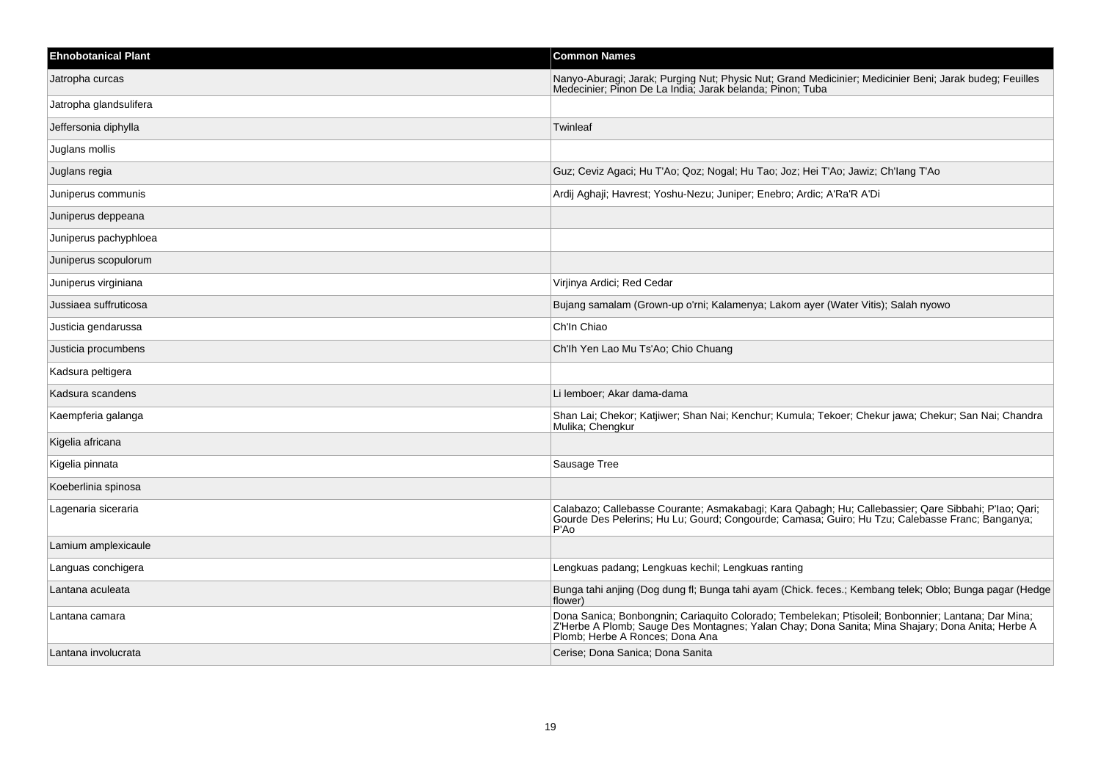| <b>Ehnobotanical Plant</b> | <b>Common Names</b>                                                                                                                                                                                                                        |
|----------------------------|--------------------------------------------------------------------------------------------------------------------------------------------------------------------------------------------------------------------------------------------|
| Jatropha curcas            | Nanyo-Aburagi; Jarak; Purging Nut; Physic Nut; Grand Medicinier; Medicinier Beni; Jarak budeg; Feuilles<br>Medecinier; Pinon De La India; Jarak belanda; Pinon; Tuba                                                                       |
| Jatropha glandsulifera     |                                                                                                                                                                                                                                            |
| Jeffersonia diphylla       | Twinleaf                                                                                                                                                                                                                                   |
| Juglans mollis             |                                                                                                                                                                                                                                            |
| Juglans regia              | Guz; Ceviz Agaci; Hu T'Ao; Qoz; Nogal; Hu Tao; Joz; Hei T'Ao; Jawiz; Ch'lang T'Ao                                                                                                                                                          |
| Juniperus communis         | Ardij Aghaji; Havrest; Yoshu-Nezu; Juniper; Enebro; Ardic; A'Ra'R A'Di                                                                                                                                                                     |
| Juniperus deppeana         |                                                                                                                                                                                                                                            |
| Juniperus pachyphloea      |                                                                                                                                                                                                                                            |
| Juniperus scopulorum       |                                                                                                                                                                                                                                            |
| Juniperus virginiana       | Virjinya Ardici; Red Cedar                                                                                                                                                                                                                 |
| Jussiaea suffruticosa      | Bujang samalam (Grown-up o'rni; Kalamenya; Lakom ayer (Water Vitis); Salah nyowo                                                                                                                                                           |
| Justicia gendarussa        | Ch'In Chiao                                                                                                                                                                                                                                |
| Justicia procumbens        | Ch'lh Yen Lao Mu Ts'Ao; Chio Chuang                                                                                                                                                                                                        |
| Kadsura peltigera          |                                                                                                                                                                                                                                            |
| Kadsura scandens           | Li lemboer; Akar dama-dama                                                                                                                                                                                                                 |
| Kaempferia galanga         | Shan Lai; Chekor; Katjiwer; Shan Nai; Kenchur; Kumula; Tekoer; Chekur jawa; Chekur; San Nai; Chandra<br>Mulika; Chengkur                                                                                                                   |
| Kigelia africana           |                                                                                                                                                                                                                                            |
| Kigelia pinnata            | Sausage Tree                                                                                                                                                                                                                               |
| Koeberlinia spinosa        |                                                                                                                                                                                                                                            |
| Lagenaria siceraria        | Calabazo; Callebasse Courante; Asmakabagi; Kara Qabagh; Hu; Callebassier; Qare Sibbahi; P'lao; Qari;<br>Gourde Des Pelerins; Hu Lu; Gourd; Congourde; Camasa; Guiro; Hu Tzu; Calebasse Franc; Banganya;<br>P'Ao                            |
| Lamium amplexicaule        |                                                                                                                                                                                                                                            |
| Languas conchigera         | Lengkuas padang; Lengkuas kechil; Lengkuas ranting                                                                                                                                                                                         |
| Lantana aculeata           | Bunga tahi anjing (Dog dung fl; Bunga tahi ayam (Chick. feces.; Kembang telek; Oblo; Bunga pagar (Hedge<br>flower)                                                                                                                         |
| Lantana camara             | Dona Sanica; Bonbongnin; Cariaquito Colorado; Tembelekan; Ptisoleil; Bonbonnier; Lantana; Dar Mina;<br>Z'Herbe A Plomb; Sauge Des Montagnes; Yalan Chay; Dona Sanita; Mina Shajary; Dona Anita; Herbe A<br>Plomb; Herbe A Ronces; Dona Ana |
| Lantana involucrata        | Cerise; Dona Sanica; Dona Sanita                                                                                                                                                                                                           |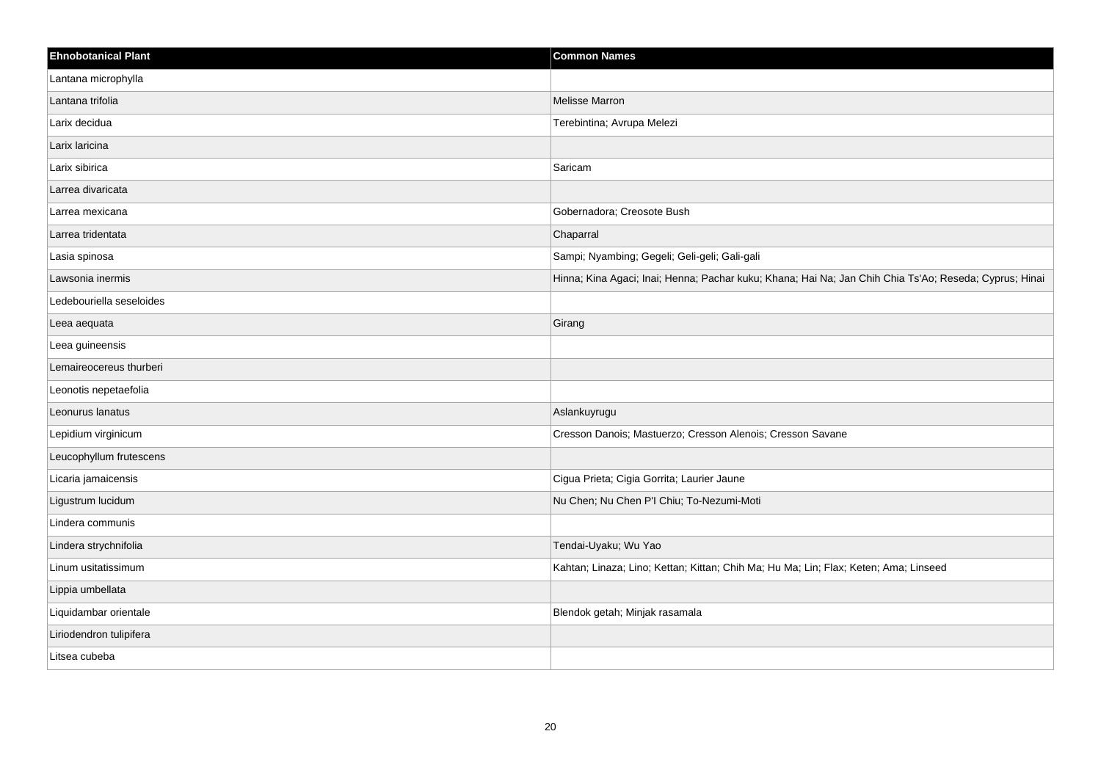| <b>Ehnobotanical Plant</b> | <b>Common Names</b>                                                                                    |
|----------------------------|--------------------------------------------------------------------------------------------------------|
| Lantana microphylla        |                                                                                                        |
| Lantana trifolia           | <b>Melisse Marron</b>                                                                                  |
| Larix decidua              | Terebintina; Avrupa Melezi                                                                             |
| Larix laricina             |                                                                                                        |
| Larix sibirica             | Saricam                                                                                                |
| Larrea divaricata          |                                                                                                        |
| Larrea mexicana            | Gobernadora; Creosote Bush                                                                             |
| Larrea tridentata          | Chaparral                                                                                              |
| Lasia spinosa              | Sampi; Nyambing; Gegeli; Geli-geli; Gali-gali                                                          |
| Lawsonia inermis           | Hinna; Kina Agaci; Inai; Henna; Pachar kuku; Khana; Hai Na; Jan Chih Chia Ts'Ao; Reseda; Cyprus; Hinai |
| Ledebouriella seseloides   |                                                                                                        |
| Leea aequata               | Girang                                                                                                 |
| Leea guineensis            |                                                                                                        |
| Lemaireocereus thurberi    |                                                                                                        |
| Leonotis nepetaefolia      |                                                                                                        |
| Leonurus lanatus           | Aslankuyrugu                                                                                           |
| Lepidium virginicum        | Cresson Danois; Mastuerzo; Cresson Alenois; Cresson Savane                                             |
| Leucophyllum frutescens    |                                                                                                        |
| Licaria jamaicensis        | Cigua Prieta; Cigia Gorrita; Laurier Jaune                                                             |
| Ligustrum lucidum          | Nu Chen; Nu Chen P'l Chiu; To-Nezumi-Moti                                                              |
| Lindera communis           |                                                                                                        |
| Lindera strychnifolia      | Tendai-Uyaku; Wu Yao                                                                                   |
| Linum usitatissimum        | Kahtan; Linaza; Lino; Kettan; Kittan; Chih Ma; Hu Ma; Lin; Flax; Keten; Ama; Linseed                   |
| Lippia umbellata           |                                                                                                        |
| Liquidambar orientale      | Blendok getah; Minjak rasamala                                                                         |
| Liriodendron tulipifera    |                                                                                                        |
| Litsea cubeba              |                                                                                                        |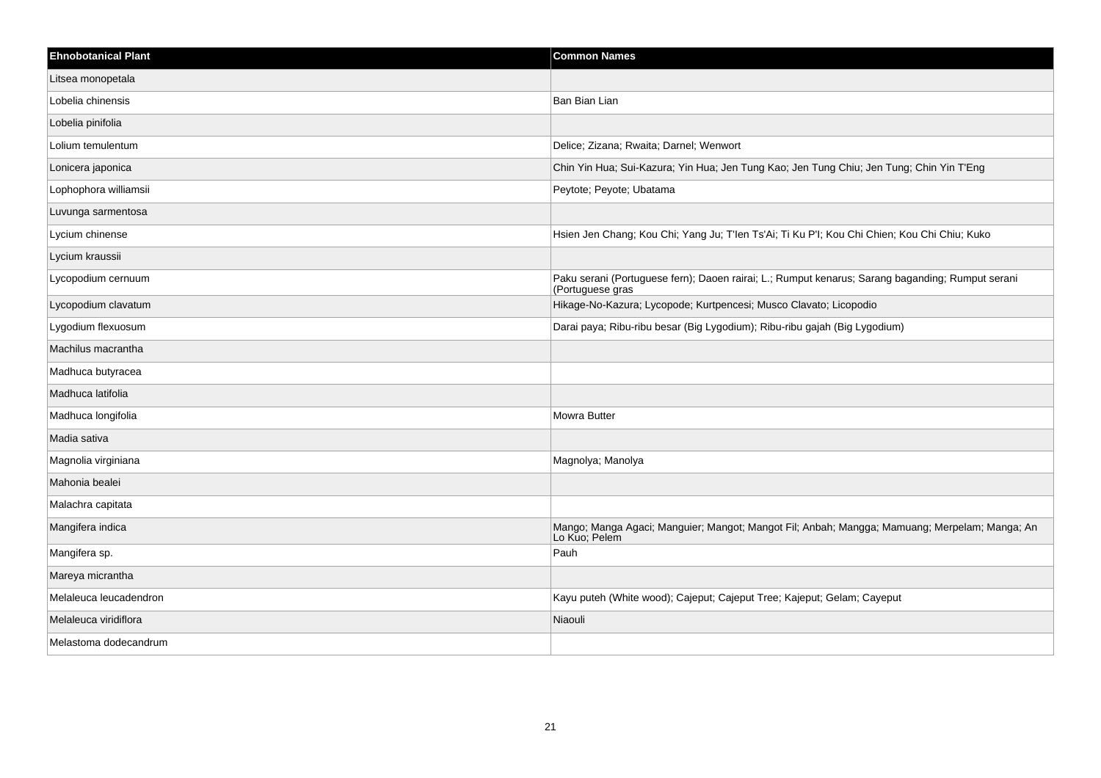| <b>Ehnobotanical Plant</b> | <b>Common Names</b>                                                                                                  |
|----------------------------|----------------------------------------------------------------------------------------------------------------------|
| Litsea monopetala          |                                                                                                                      |
| Lobelia chinensis          | Ban Bian Lian                                                                                                        |
| Lobelia pinifolia          |                                                                                                                      |
| Lolium temulentum          | Delice; Zizana; Rwaita; Darnel; Wenwort                                                                              |
| Lonicera japonica          | Chin Yin Hua; Sui-Kazura; Yin Hua; Jen Tung Kao; Jen Tung Chiu; Jen Tung; Chin Yin T'Eng                             |
| Lophophora williamsii      | Peytote; Peyote; Ubatama                                                                                             |
| Luvunga sarmentosa         |                                                                                                                      |
| Lycium chinense            | Hsien Jen Chang; Kou Chi; Yang Ju; T'len Ts'Ai; Ti Ku P'l; Kou Chi Chien; Kou Chi Chiu; Kuko                         |
| Lycium kraussii            |                                                                                                                      |
| Lycopodium cernuum         | Paku serani (Portuguese fern); Daoen rairai; L.; Rumput kenarus; Sarang baganding; Rumput serani<br>(Portuguese gras |
| Lycopodium clavatum        | Hikage-No-Kazura; Lycopode; Kurtpencesi; Musco Clavato; Licopodio                                                    |
| Lygodium flexuosum         | Darai paya; Ribu-ribu besar (Big Lygodium); Ribu-ribu gajah (Big Lygodium)                                           |
| Machilus macrantha         |                                                                                                                      |
| Madhuca butyracea          |                                                                                                                      |
| Madhuca latifolia          |                                                                                                                      |
| Madhuca longifolia         | Mowra Butter                                                                                                         |
| Madia sativa               |                                                                                                                      |
| Magnolia virginiana        | Magnolya; Manolya                                                                                                    |
| Mahonia bealei             |                                                                                                                      |
| Malachra capitata          |                                                                                                                      |
| Mangifera indica           | Mango; Manga Agaci; Manguier; Mangot; Mangot Fil; Anbah; Mangga; Mamuang; Merpelam; Manga; An<br>Lo Kuo; Pelem       |
| Mangifera sp.              | Pauh                                                                                                                 |
| Mareya micrantha           |                                                                                                                      |
| Melaleuca leucadendron     | Kayu puteh (White wood); Cajeput; Cajeput Tree; Kajeput; Gelam; Cayeput                                              |
| Melaleuca viridiflora      | Niaouli                                                                                                              |
| Melastoma dodecandrum      |                                                                                                                      |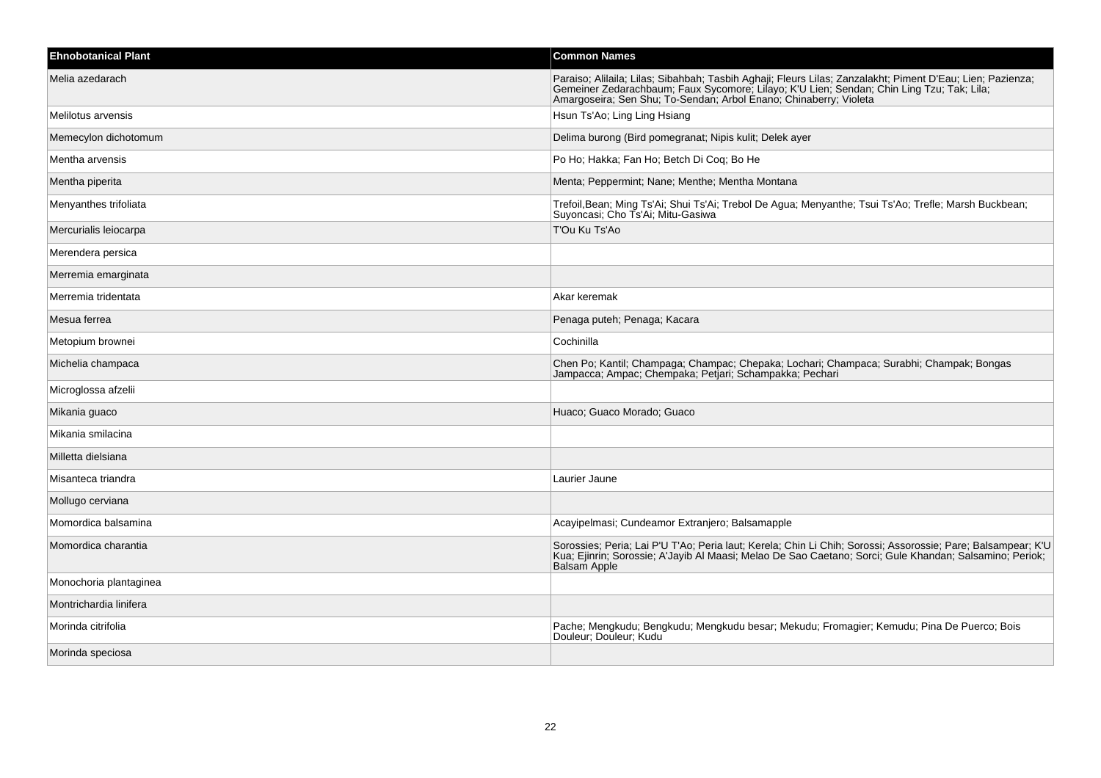| <b>Ehnobotanical Plant</b> | <b>Common Names</b>                                                                                                                                                                                                                                                          |
|----------------------------|------------------------------------------------------------------------------------------------------------------------------------------------------------------------------------------------------------------------------------------------------------------------------|
| Melia azedarach            | Paraiso; Alilaila; Lilas; Sibahbah; Tasbih Aghaji; Fleurs Lilas; Zanzalakht; Piment D'Eau; Lien; Pazienza;<br>Gemeiner Zedarachbaum; Faux Sycomore; Lilayo; K'U Lien; Sendan; Chin Ling Tzu; Tak; Lila;<br>Amargoseira; Sen Shu; To-Sendan; Arbol Enano; Chinaberry; Violeta |
| Melilotus arvensis         | Hsun Ts'Ao; Ling Ling Hsiang                                                                                                                                                                                                                                                 |
| Memecylon dichotomum       | Delima burong (Bird pomegranat; Nipis kulit; Delek ayer                                                                                                                                                                                                                      |
| Mentha arvensis            | Po Ho; Hakka; Fan Ho; Betch Di Coq; Bo He                                                                                                                                                                                                                                    |
| Mentha piperita            | Menta; Peppermint; Nane; Menthe; Mentha Montana                                                                                                                                                                                                                              |
| Menyanthes trifoliata      | Trefoil, Bean; Ming Ts'Ai; Shui Ts'Ai; Trebol De Agua; Menyanthe; Tsui Ts'Ao; Trefle; Marsh Buckbean;<br>Suyoncasi; Cho Ts'Ai; Mitu-Gasiwa                                                                                                                                   |
| Mercurialis leiocarpa      | T'Ou Ku Ts'Ao                                                                                                                                                                                                                                                                |
| Merendera persica          |                                                                                                                                                                                                                                                                              |
| Merremia emarginata        |                                                                                                                                                                                                                                                                              |
| Merremia tridentata        | Akar keremak                                                                                                                                                                                                                                                                 |
| Mesua ferrea               | Penaga puteh; Penaga; Kacara                                                                                                                                                                                                                                                 |
| Metopium brownei           | Cochinilla                                                                                                                                                                                                                                                                   |
| Michelia champaca          | Chen Po; Kantil; Champaga; Champac; Chepaka; Lochari; Champaca; Surabhi; Champak; Bongas<br>Jampacca; Ampac; Chempaka; Petjari; Schampakka; Pechari                                                                                                                          |
| Microglossa afzelii        |                                                                                                                                                                                                                                                                              |
| Mikania guaco              | Huaco; Guaco Morado; Guaco                                                                                                                                                                                                                                                   |
| Mikania smilacina          |                                                                                                                                                                                                                                                                              |
| Milletta dielsiana         |                                                                                                                                                                                                                                                                              |
| Misanteca triandra         | Laurier Jaune                                                                                                                                                                                                                                                                |
| Mollugo cerviana           |                                                                                                                                                                                                                                                                              |
| Momordica balsamina        | Acayipelmasi; Cundeamor Extranjero; Balsamapple                                                                                                                                                                                                                              |
| Momordica charantia        | Sorossies; Peria; Lai P'U T'Ao; Peria laut; Kerela; Chin Li Chih; Sorossi; Assorossie; Pare; Balsampear; K'L<br>Kua; Ejinrin; Sorossie; A'Jayib Al Maasi; Melao De Sao Caetano; Sorci; Gule Khandan; Salsamino; Periok;<br>Balsam Apple                                      |
| Monochoria plantaginea     |                                                                                                                                                                                                                                                                              |
| Montrichardia linifera     |                                                                                                                                                                                                                                                                              |
| Morinda citrifolia         | Pache; Mengkudu; Bengkudu; Mengkudu besar; Mekudu; Fromagier; Kemudu; Pina De Puerco; Bois<br>Douleur; Douleur; Kudu                                                                                                                                                         |
| Morinda speciosa           |                                                                                                                                                                                                                                                                              |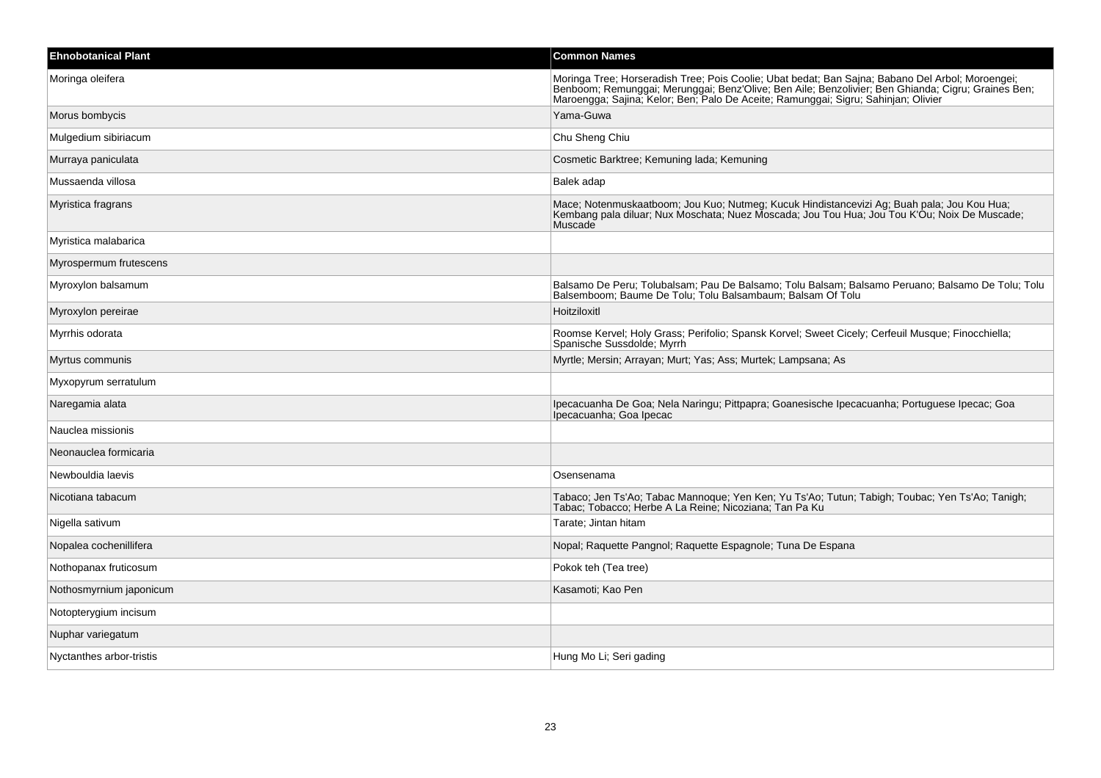| <b>Ehnobotanical Plant</b> | <b>Common Names</b>                                                                                                                                                                                                                                                                          |
|----------------------------|----------------------------------------------------------------------------------------------------------------------------------------------------------------------------------------------------------------------------------------------------------------------------------------------|
| Moringa oleifera           | Moringa Tree; Horseradish Tree; Pois Coolie; Ubat bedat; Ban Sajna; Babano Del Arbol; Moroengei;<br>Benboom; Remunggai; Merunggai; Benz'Olive; Ben Aile; Benzolivier; Ben Ghianda; Cigru; Graines Ben;<br>Maroengga; Sajina; Kelor; Ben; Palo De Aceite; Ramunggai; Sigru; Sahinjan; Olivier |
| Morus bombycis             | Yama-Guwa                                                                                                                                                                                                                                                                                    |
| Mulgedium sibiriacum       | Chu Sheng Chiu                                                                                                                                                                                                                                                                               |
| Murraya paniculata         | Cosmetic Barktree; Kemuning lada; Kemuning                                                                                                                                                                                                                                                   |
| Mussaenda villosa          | Balek adap                                                                                                                                                                                                                                                                                   |
| Myristica fragrans         | Mace; Notenmuskaatboom; Jou Kuo; Nutmeg; Kucuk Hindistancevizi Ag; Buah pala; Jou Kou Hua;<br>Kembang pala diluar; Nux Moschata; Nuez Moscada; Jou Tou Hua; Jou Tou K'Ou; Noix De Muscade;<br>Muscade                                                                                        |
| Myristica malabarica       |                                                                                                                                                                                                                                                                                              |
| Myrospermum frutescens     |                                                                                                                                                                                                                                                                                              |
| Myroxylon balsamum         | Balsamo De Peru; Tolubalsam; Pau De Balsamo; Tolu Balsam; Balsamo Peruano; Balsamo De Tolu; Tolu<br>Balsemboom; Baume De Tolu; Tolu Balsambaum; Balsam Of Tolu                                                                                                                               |
| Myroxylon pereirae         | Hoitziloxitl                                                                                                                                                                                                                                                                                 |
| Myrrhis odorata            | Roomse Kervel; Holy Grass; Perifolio; Spansk Korvel; Sweet Cicely; Cerfeuil Musque; Finocchiella;<br>Spanische Sussdolde; Myrrh                                                                                                                                                              |
| Myrtus communis            | Myrtle; Mersin; Arrayan; Murt; Yas; Ass; Murtek; Lampsana; As                                                                                                                                                                                                                                |
| Myxopyrum serratulum       |                                                                                                                                                                                                                                                                                              |
| Naregamia alata            | Ipecacuanha De Goa; Nela Naringu; Pittpapra; Goanesische Ipecacuanha; Portuguese Ipecac; Goa<br>Ipecacuanha; Goa Ipecac                                                                                                                                                                      |
| Nauclea missionis          |                                                                                                                                                                                                                                                                                              |
| Neonauclea formicaria      |                                                                                                                                                                                                                                                                                              |
| Newbouldia laevis          | Osensenama                                                                                                                                                                                                                                                                                   |
| Nicotiana tabacum          | Tabaco; Jen Ts'Ao; Tabac Mannoque; Yen Ken; Yu Ts'Ao; Tutun; Tabigh; Toubac; Yen Ts'Ao; Tanigh;<br>Tabac; Tobacco; Herbe A La Reine; Nicoziana; Tan Pa Ku                                                                                                                                    |
| Nigella sativum            | Tarate; Jintan hitam                                                                                                                                                                                                                                                                         |
| Nopalea cochenillifera     | Nopal; Raquette Pangnol; Raquette Espagnole; Tuna De Espana                                                                                                                                                                                                                                  |
| Nothopanax fruticosum      | Pokok teh (Tea tree)                                                                                                                                                                                                                                                                         |
| Nothosmyrnium japonicum    | Kasamoti; Kao Pen                                                                                                                                                                                                                                                                            |
| Notopterygium incisum      |                                                                                                                                                                                                                                                                                              |
| Nuphar variegatum          |                                                                                                                                                                                                                                                                                              |
| Nyctanthes arbor-tristis   | Hung Mo Li; Seri gading                                                                                                                                                                                                                                                                      |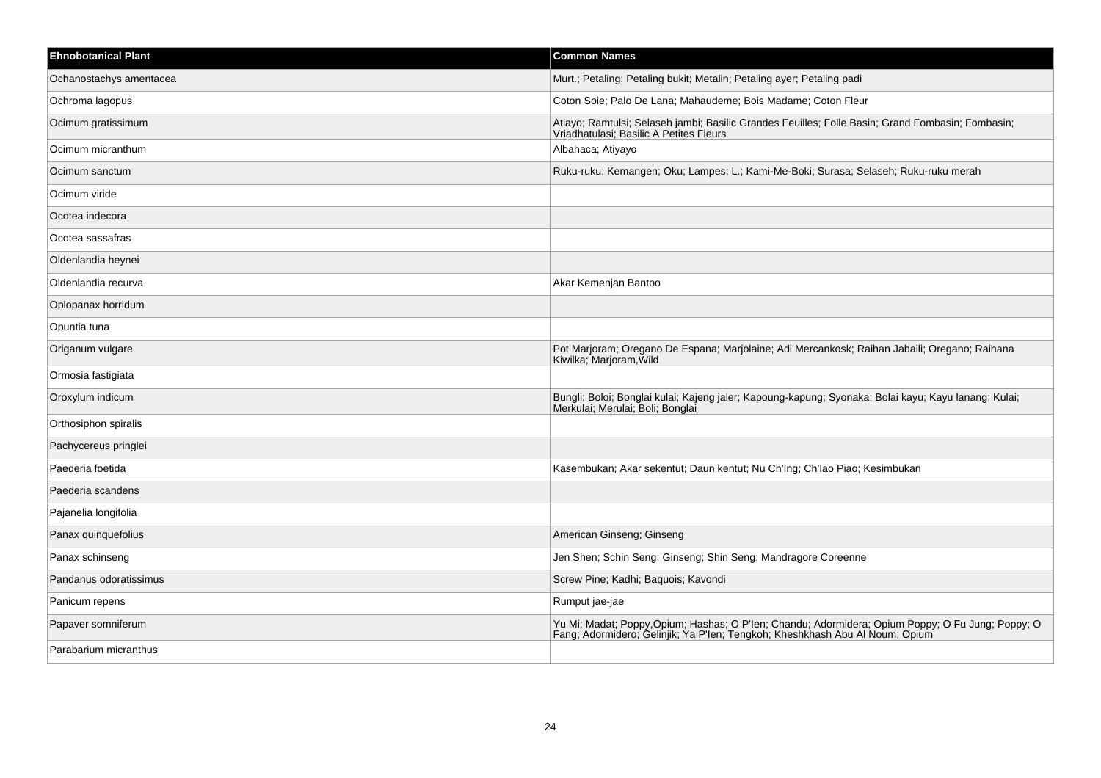| <b>Ehnobotanical Plant</b> | <b>Common Names</b>                                                                                                                                                               |
|----------------------------|-----------------------------------------------------------------------------------------------------------------------------------------------------------------------------------|
| Ochanostachys amentacea    | Murt.; Petaling; Petaling bukit; Metalin; Petaling ayer; Petaling padi                                                                                                            |
| Ochroma lagopus            | Coton Soie; Palo De Lana; Mahaudeme; Bois Madame; Coton Fleur                                                                                                                     |
| Ocimum gratissimum         | Atiayo; Ramtulsi; Selaseh jambi; Basilic Grandes Feuilles; Folle Basin; Grand Fombasin; Fombasin;<br>Vriadhatulasi; Basilic A Petites Fleurs                                      |
| Ocimum micranthum          | Albahaca; Atiyayo                                                                                                                                                                 |
| Ocimum sanctum             | Ruku-ruku; Kemangen; Oku; Lampes; L.; Kami-Me-Boki; Surasa; Selaseh; Ruku-ruku merah                                                                                              |
| Ocimum viride              |                                                                                                                                                                                   |
| Ocotea indecora            |                                                                                                                                                                                   |
| Ocotea sassafras           |                                                                                                                                                                                   |
| Oldenlandia heynei         |                                                                                                                                                                                   |
| Oldenlandia recurva        | Akar Kemenjan Bantoo                                                                                                                                                              |
| Oplopanax horridum         |                                                                                                                                                                                   |
| Opuntia tuna               |                                                                                                                                                                                   |
| Origanum vulgare           | Pot Marjoram; Oregano De Espana; Marjolaine; Adi Mercankosk; Raihan Jabaili; Oregano; Raihana<br>Kiwilka, Marjoram, Wild                                                          |
| Ormosia fastigiata         |                                                                                                                                                                                   |
| Oroxylum indicum           | Bungli; Boloi; Bonglai kulai; Kajeng jaler; Kapoung-kapung; Syonaka; Bolai kayu; Kayu lanang; Kulai;<br>Merkulai, Merulai, Boli, Bonglai                                          |
| Orthosiphon spiralis       |                                                                                                                                                                                   |
| Pachycereus pringlei       |                                                                                                                                                                                   |
| Paederia foetida           | Kasembukan; Akar sekentut; Daun kentut; Nu Ch'Ing; Ch'Iao Piao; Kesimbukan                                                                                                        |
| Paederia scandens          |                                                                                                                                                                                   |
| Pajanelia longifolia       |                                                                                                                                                                                   |
| Panax quinquefolius        | American Ginseng; Ginseng                                                                                                                                                         |
| Panax schinseng            | Jen Shen; Schin Seng; Ginseng; Shin Seng; Mandragore Coreenne                                                                                                                     |
| Pandanus odoratissimus     | Screw Pine; Kadhi; Baquois; Kavondi                                                                                                                                               |
| Panicum repens             | Rumput jae-jae                                                                                                                                                                    |
| Papaver somniferum         | Yu Mi; Madat; Poppy, Opium; Hashas; O P'len; Chandu; Adormidera; Opium Poppy; O Fu Jung; Poppy; O<br>Fang; Adormidero; Gelinjik; Ya P'len; Tengkoh; Kheshkhash Abu Al Noum; Opium |
| Parabarium micranthus      |                                                                                                                                                                                   |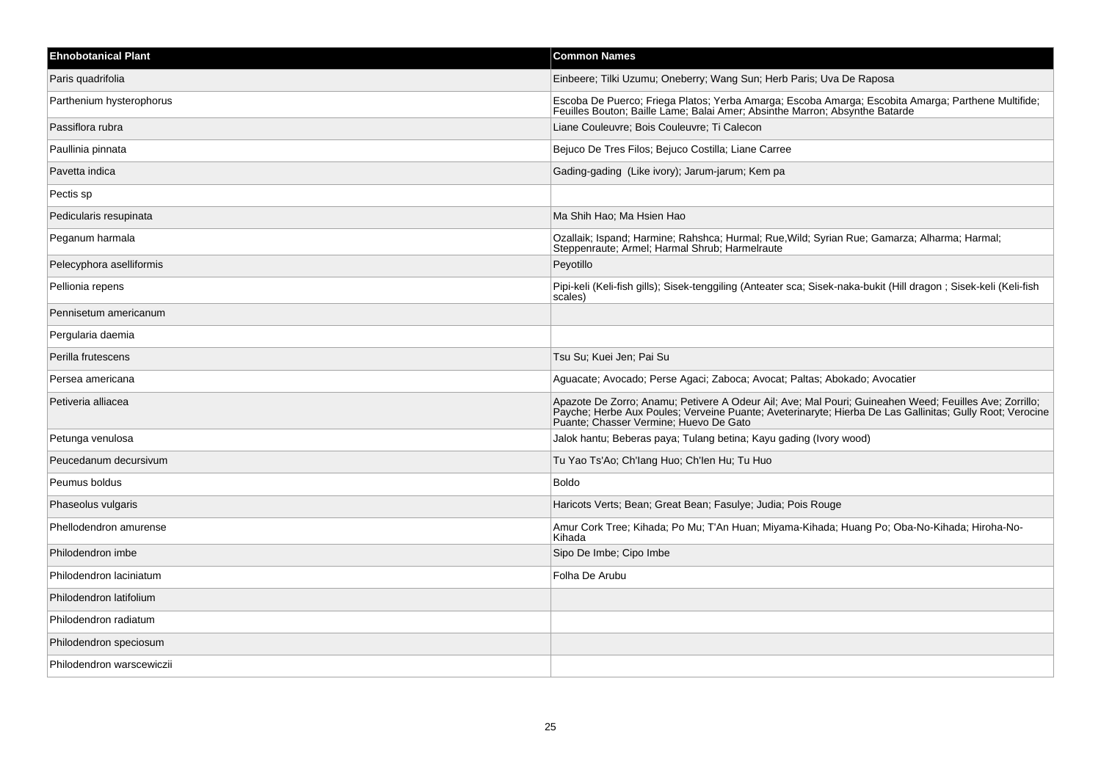| <b>Ehnobotanical Plant</b> | <b>Common Names</b>                                                                                                                                                                                                                                          |
|----------------------------|--------------------------------------------------------------------------------------------------------------------------------------------------------------------------------------------------------------------------------------------------------------|
| Paris quadrifolia          | Einbeere; Tilki Uzumu; Oneberry; Wang Sun; Herb Paris; Uva De Raposa                                                                                                                                                                                         |
| Parthenium hysterophorus   | Escoba De Puerco; Friega Platos; Yerba Amarga; Escoba Amarga; Escobita Amarga; Parthene Multifide;<br>Feuilles Bouton; Baille Lame; Balai Amer; Absinthe Marron; Absynthe Batarde                                                                            |
| Passiflora rubra           | Liane Couleuvre; Bois Couleuvre; Ti Calecon                                                                                                                                                                                                                  |
| Paullinia pinnata          | Bejuco De Tres Filos; Bejuco Costilla; Liane Carree                                                                                                                                                                                                          |
| Pavetta indica             | Gading-gading (Like ivory); Jarum-jarum; Kem pa                                                                                                                                                                                                              |
| Pectis sp                  |                                                                                                                                                                                                                                                              |
| Pedicularis resupinata     | Ma Shih Hao; Ma Hsien Hao                                                                                                                                                                                                                                    |
| Peganum harmala            | Ozallaik; Ispand; Harmine; Rahshca; Hurmal; Rue, Wild; Syrian Rue; Gamarza; Alharma; Harmal;<br>Steppenraute, Armel, Harmal Shrub, Harmelraute                                                                                                               |
| Pelecyphora aselliformis   | Peyotillo                                                                                                                                                                                                                                                    |
| Pellionia repens           | Pipi-keli (Keli-fish gills); Sisek-tenggiling (Anteater sca; Sisek-naka-bukit (Hill dragon; Sisek-keli (Keli-fish<br>scales)                                                                                                                                 |
| Pennisetum americanum      |                                                                                                                                                                                                                                                              |
| Pergularia daemia          |                                                                                                                                                                                                                                                              |
| Perilla frutescens         | Tsu Su: Kuei Jen: Pai Su                                                                                                                                                                                                                                     |
| Persea americana           | Aguacate; Avocado; Perse Agaci; Zaboca; Avocat; Paltas; Abokado; Avocatier                                                                                                                                                                                   |
| Petiveria alliacea         | Apazote De Zorro; Anamu; Petivere A Odeur Ail; Ave; Mal Pouri; Guineahen Weed; Feuilles Ave; Zorrillo;<br>Payche; Herbe Aux Poules; Verveine Puante; Aveterinaryte; Hierba De Las Gallinitas; Gully Root; Verocine<br>Puante; Chasser Vermine; Huevo De Gato |
| Petunga venulosa           | Jalok hantu; Beberas paya; Tulang betina; Kayu gading (Ivory wood)                                                                                                                                                                                           |
| Peucedanum decursivum      | Tu Yao Ts'Ao; Ch'lang Huo; Ch'len Hu; Tu Huo                                                                                                                                                                                                                 |
| Peumus boldus              | <b>Boldo</b>                                                                                                                                                                                                                                                 |
| Phaseolus vulgaris         | Haricots Verts; Bean; Great Bean; Fasulye; Judia; Pois Rouge                                                                                                                                                                                                 |
| Phellodendron amurense     | Amur Cork Tree; Kihada; Po Mu; T'An Huan; Miyama-Kihada; Huang Po; Oba-No-Kihada; Hiroha-No-<br>Kihada                                                                                                                                                       |
| Philodendron imbe          | Sipo De Imbe; Cipo Imbe                                                                                                                                                                                                                                      |
| Philodendron laciniatum    | Folha De Arubu                                                                                                                                                                                                                                               |
| Philodendron latifolium    |                                                                                                                                                                                                                                                              |
| Philodendron radiatum      |                                                                                                                                                                                                                                                              |
| Philodendron speciosum     |                                                                                                                                                                                                                                                              |
| Philodendron warscewiczii  |                                                                                                                                                                                                                                                              |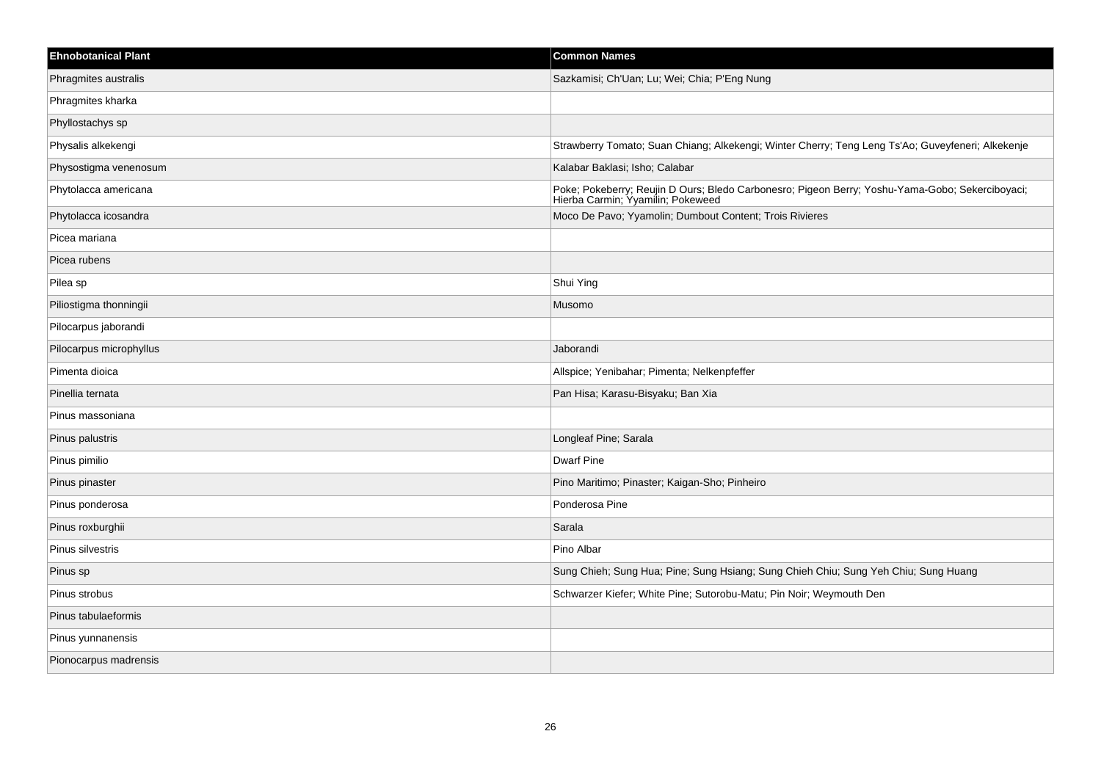| <b>Ehnobotanical Plant</b> | <b>Common Names</b>                                                                                                                  |
|----------------------------|--------------------------------------------------------------------------------------------------------------------------------------|
| Phragmites australis       | Sazkamisi; Ch'Uan; Lu; Wei; Chia; P'Eng Nung                                                                                         |
| Phragmites kharka          |                                                                                                                                      |
| Phyllostachys sp           |                                                                                                                                      |
| Physalis alkekengi         | Strawberry Tomato; Suan Chiang; Alkekengi; Winter Cherry; Teng Leng Ts'Ao; Guveyfeneri; Alkekenje                                    |
| Physostigma venenosum      | Kalabar Baklasi; Isho; Calabar                                                                                                       |
| Phytolacca americana       | Poke; Pokeberry; Reujin D Ours; Bledo Carbonesro; Pigeon Berry; Yoshu-Yama-Gobo; Sekerciboyaci;<br>Hierba Carmin; Yyamilin; Pokeweed |
| Phytolacca icosandra       | Moco De Pavo; Yyamolin; Dumbout Content; Trois Rivieres                                                                              |
| Picea mariana              |                                                                                                                                      |
| Picea rubens               |                                                                                                                                      |
| Pilea sp                   | Shui Ying                                                                                                                            |
| Piliostigma thonningii     | Musomo                                                                                                                               |
| Pilocarpus jaborandi       |                                                                                                                                      |
| Pilocarpus microphyllus    | Jaborandi                                                                                                                            |
| Pimenta dioica             | Allspice; Yenibahar; Pimenta; Nelkenpfeffer                                                                                          |
| Pinellia ternata           | Pan Hisa; Karasu-Bisyaku; Ban Xia                                                                                                    |
| Pinus massoniana           |                                                                                                                                      |
| Pinus palustris            | Longleaf Pine; Sarala                                                                                                                |
| Pinus pimilio              | <b>Dwarf Pine</b>                                                                                                                    |
| Pinus pinaster             | Pino Maritimo; Pinaster; Kaigan-Sho; Pinheiro                                                                                        |
| Pinus ponderosa            | Ponderosa Pine                                                                                                                       |
| Pinus roxburghii           | Sarala                                                                                                                               |
| Pinus silvestris           | Pino Albar                                                                                                                           |
| Pinus sp                   | Sung Chieh; Sung Hua; Pine; Sung Hsiang; Sung Chieh Chiu; Sung Yeh Chiu; Sung Huang                                                  |
| Pinus strobus              | Schwarzer Kiefer; White Pine; Sutorobu-Matu; Pin Noir; Weymouth Den                                                                  |
| Pinus tabulaeformis        |                                                                                                                                      |
| Pinus yunnanensis          |                                                                                                                                      |
| Pionocarpus madrensis      |                                                                                                                                      |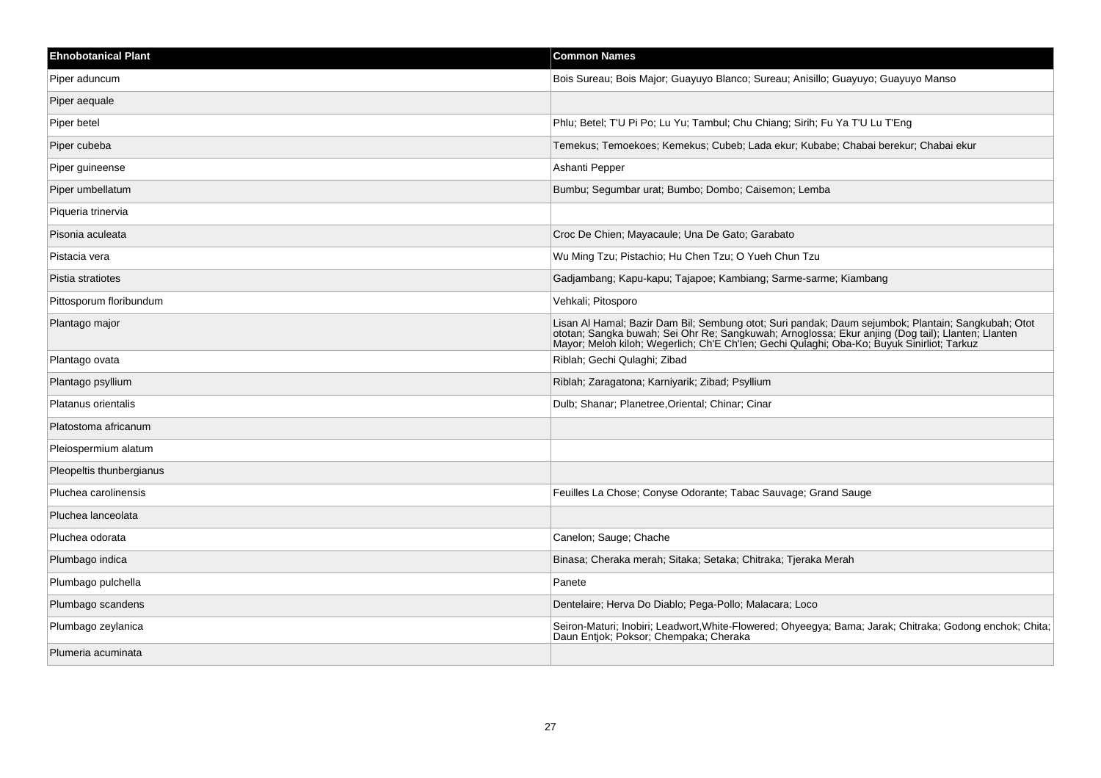| <b>Ehnobotanical Plant</b> | <b>Common Names</b>                                                                                                                                                                                                               |
|----------------------------|-----------------------------------------------------------------------------------------------------------------------------------------------------------------------------------------------------------------------------------|
| Piper aduncum              | Bois Sureau; Bois Major; Guayuyo Blanco; Sureau; Anisillo; Guayuyo; Guayuyo Manso                                                                                                                                                 |
| Piper aequale              |                                                                                                                                                                                                                                   |
| Piper betel                | Phlu; Betel; T'U Pi Po; Lu Yu; Tambul; Chu Chiang; Sirih; Fu Ya T'U Lu T'Eng                                                                                                                                                      |
| Piper cubeba               | Temekus; Temoekoes; Kemekus; Cubeb; Lada ekur; Kubabe; Chabai berekur; Chabai ekur                                                                                                                                                |
| Piper guineense            | Ashanti Pepper                                                                                                                                                                                                                    |
| Piper umbellatum           | Bumbu; Segumbar urat; Bumbo; Dombo; Caisemon; Lemba                                                                                                                                                                               |
| Piqueria trinervia         |                                                                                                                                                                                                                                   |
| Pisonia aculeata           | Croc De Chien; Mayacaule; Una De Gato; Garabato                                                                                                                                                                                   |
| Pistacia vera              | Wu Ming Tzu; Pistachio; Hu Chen Tzu; O Yueh Chun Tzu                                                                                                                                                                              |
| Pistia stratiotes          | Gadjambang; Kapu-kapu; Tajapoe; Kambiang; Sarme-sarme; Kiambang                                                                                                                                                                   |
| Pittosporum floribundum    | Vehkali; Pitosporo                                                                                                                                                                                                                |
| Plantago major             | Lisan Al Hamal; Bazir Dam Bil; Sembung otot; Suri pandak; Daum sejumbok; Plantain; Sangkubah; Otot ototan; Sangkubah; Otot ototan; Sangka buwah; Sei Ohr Re; Sangkuwah; Arnoglossa; Ekur anjing (Dog tail); Llanten; Llanten<br>M |
| Plantago ovata             | Riblah; Gechi Qulaghi; Zibad                                                                                                                                                                                                      |
| Plantago psyllium          | Riblah; Zaragatona; Karniyarik; Zibad; Psyllium                                                                                                                                                                                   |
| Platanus orientalis        | Dulb; Shanar; Planetree, Oriental; Chinar; Cinar                                                                                                                                                                                  |
| Platostoma africanum       |                                                                                                                                                                                                                                   |
| Pleiospermium alatum       |                                                                                                                                                                                                                                   |
| Pleopeltis thunbergianus   |                                                                                                                                                                                                                                   |
| Pluchea carolinensis       | Feuilles La Chose; Conyse Odorante; Tabac Sauvage; Grand Sauge                                                                                                                                                                    |
| Pluchea lanceolata         |                                                                                                                                                                                                                                   |
| Pluchea odorata            | Canelon; Sauge; Chache                                                                                                                                                                                                            |
| Plumbago indica            | Binasa; Cheraka merah; Sitaka; Setaka; Chitraka; Tjeraka Merah                                                                                                                                                                    |
| Plumbago pulchella         | Panete                                                                                                                                                                                                                            |
| Plumbago scandens          | Dentelaire; Herva Do Diablo; Pega-Pollo; Malacara; Loco                                                                                                                                                                           |
| Plumbago zeylanica         | Seiron-Maturi; Inobiri; Leadwort, White-Flowered; Ohyeegya; Bama; Jarak; Chitraka; Godong enchok; Chita; Daun Entjok; Poksor; Chempaka; Cheraka                                                                                   |
| Plumeria acuminata         |                                                                                                                                                                                                                                   |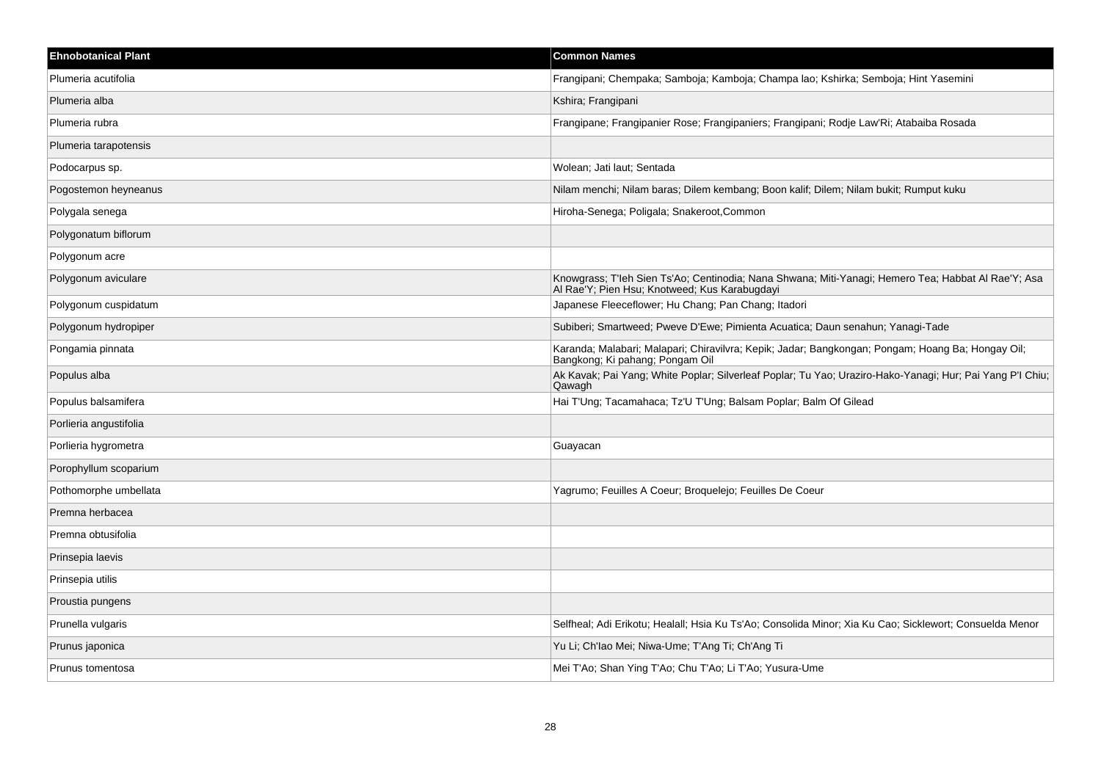| <b>Ehnobotanical Plant</b> | <b>Common Names</b>                                                                                                                                  |
|----------------------------|------------------------------------------------------------------------------------------------------------------------------------------------------|
| Plumeria acutifolia        | Frangipani; Chempaka; Samboja; Kamboja; Champa lao; Kshirka; Semboja; Hint Yasemini                                                                  |
| Plumeria alba              | Kshira; Frangipani                                                                                                                                   |
| Plumeria rubra             | Frangipane; Frangipanier Rose; Frangipaniers; Frangipani; Rodje Law'Ri; Atabaiba Rosada                                                              |
| Plumeria tarapotensis      |                                                                                                                                                      |
| Podocarpus sp.             | Wolean; Jati laut; Sentada                                                                                                                           |
| Pogostemon heyneanus       | Nilam menchi; Nilam baras; Dilem kembang; Boon kalif; Dilem; Nilam bukit; Rumput kuku                                                                |
| Polygala senega            | Hiroha-Senega; Poligala; Snakeroot, Common                                                                                                           |
| Polygonatum biflorum       |                                                                                                                                                      |
| Polygonum acre             |                                                                                                                                                      |
| Polygonum aviculare        | Knowgrass; T'leh Sien Ts'Ao; Centinodia; Nana Shwana; Miti-Yanagi; Hemero Tea; Habbat Al Rae'Y; Asa<br>Al Rae'Y; Pien Hsu; Knotweed; Kus Karabugdayi |
| Polygonum cuspidatum       | Japanese Fleeceflower; Hu Chang; Pan Chang; Itadori                                                                                                  |
| Polygonum hydropiper       | Subiberi; Smartweed; Pweve D'Ewe; Pimienta Acuatica; Daun senahun; Yanagi-Tade                                                                       |
| Pongamia pinnata           | Karanda; Malabari; Malapari; Chiravilvra; Kepik; Jadar; Bangkongan; Pongam; Hoang Ba; Hongay Oil;<br>Bangkong; Ki pahang; Pongam Oil                 |
| Populus alba               | Ak Kavak; Pai Yang; White Poplar; Silverleaf Poplar; Tu Yao; Uraziro-Hako-Yanagi; Hur; Pai Yang P'l Chiu;<br>Qawagh                                  |
| Populus balsamifera        | Hai T'Ung; Tacamahaca; Tz'U T'Ung; Balsam Poplar; Balm Of Gilead                                                                                     |
| Porlieria angustifolia     |                                                                                                                                                      |
| Porlieria hygrometra       | Guayacan                                                                                                                                             |
| Porophyllum scoparium      |                                                                                                                                                      |
| Pothomorphe umbellata      | Yagrumo; Feuilles A Coeur; Broquelejo; Feuilles De Coeur                                                                                             |
| Premna herbacea            |                                                                                                                                                      |
| Premna obtusifolia         |                                                                                                                                                      |
| Prinsepia laevis           |                                                                                                                                                      |
| Prinsepia utilis           |                                                                                                                                                      |
| Proustia pungens           |                                                                                                                                                      |
| Prunella vulgaris          | Selfheal; Adi Erikotu; Healall; Hsia Ku Ts'Ao; Consolida Minor; Xia Ku Cao; Sicklewort; Consuelda Menor                                              |
| Prunus japonica            | Yu Li; Ch'lao Mei; Niwa-Ume; T'Ang Ti; Ch'Ang Ti                                                                                                     |
| Prunus tomentosa           | Mei T'Ao; Shan Ying T'Ao; Chu T'Ao; Li T'Ao; Yusura-Ume                                                                                              |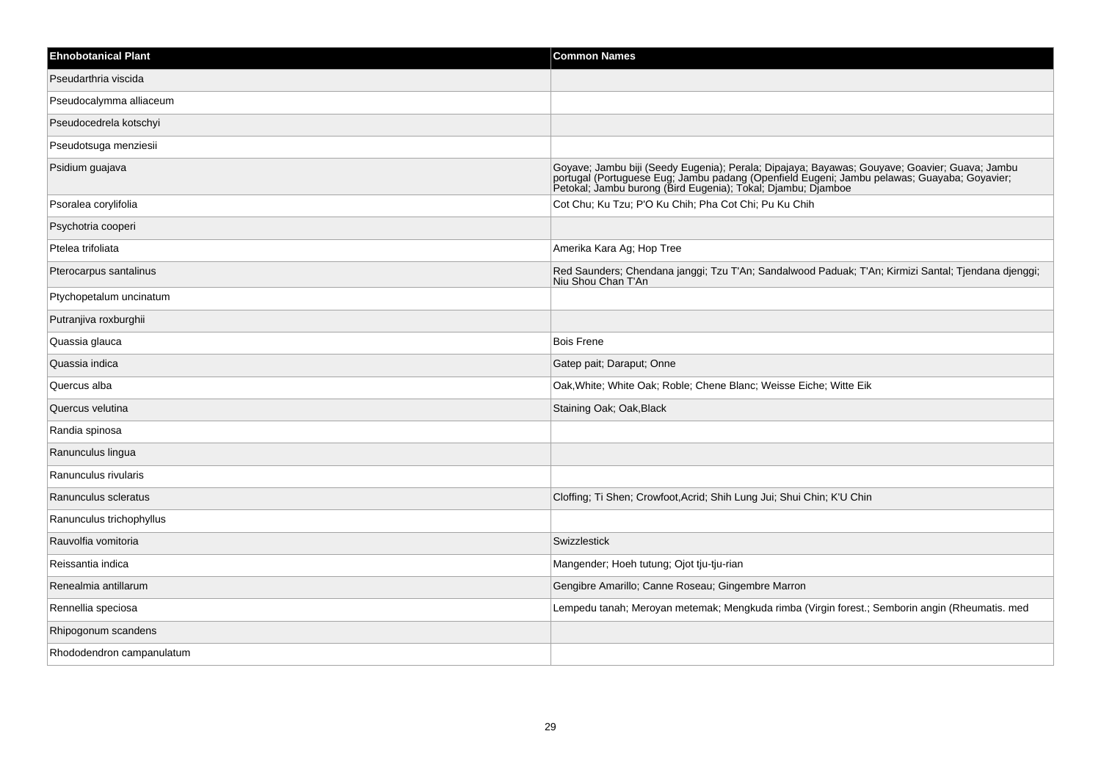| <b>Ehnobotanical Plant</b> | <b>Common Names</b>                                                                                                                                                                                                            |
|----------------------------|--------------------------------------------------------------------------------------------------------------------------------------------------------------------------------------------------------------------------------|
| Pseudarthria viscida       |                                                                                                                                                                                                                                |
| Pseudocalymma alliaceum    |                                                                                                                                                                                                                                |
| Pseudocedrela kotschyi     |                                                                                                                                                                                                                                |
| Pseudotsuga menziesii      |                                                                                                                                                                                                                                |
| Psidium guajava            | Goyave; Jambu biji (Seedy Eugenia); Perala; Dipajaya; Bayawas; Gouyave; Goavier; Guava; Jambu portugal (Portuguese Eug; Jambu padang (Openfield Eugeni; Jambu pelawas; Guayaba; Goyavier; Petokal; Jambu burong (Bird Eugenia) |
| Psoralea corylifolia       | Cot Chu; Ku Tzu; P'O Ku Chih; Pha Cot Chi; Pu Ku Chih                                                                                                                                                                          |
| Psychotria cooperi         |                                                                                                                                                                                                                                |
| Ptelea trifoliata          | Amerika Kara Ag; Hop Tree                                                                                                                                                                                                      |
| Pterocarpus santalinus     | Red Saunders; Chendana janggi; Tzu T'An; Sandalwood Paduak; T'An; Kirmizi Santal; Tjendana djenggi;<br>Niu Shou Chan T'An                                                                                                      |
| Ptychopetalum uncinatum    |                                                                                                                                                                                                                                |
| Putranjiva roxburghii      |                                                                                                                                                                                                                                |
| Quassia glauca             | <b>Bois Frene</b>                                                                                                                                                                                                              |
| Quassia indica             | Gatep pait; Daraput; Onne                                                                                                                                                                                                      |
| Quercus alba               | Oak, White; White Oak; Roble; Chene Blanc; Weisse Eiche; Witte Eik                                                                                                                                                             |
| Quercus velutina           | Staining Oak; Oak, Black                                                                                                                                                                                                       |
| Randia spinosa             |                                                                                                                                                                                                                                |
| Ranunculus lingua          |                                                                                                                                                                                                                                |
| Ranunculus rivularis       |                                                                                                                                                                                                                                |
| Ranunculus scleratus       | Cloffing; Ti Shen; Crowfoot, Acrid; Shih Lung Jui; Shui Chin; K'U Chin                                                                                                                                                         |
| Ranunculus trichophyllus   |                                                                                                                                                                                                                                |
| Rauvolfia vomitoria        | Swizzlestick                                                                                                                                                                                                                   |
| Reissantia indica          | Mangender; Hoeh tutung; Ojot tju-tju-rian                                                                                                                                                                                      |
| Renealmia antillarum       | Gengibre Amarillo; Canne Roseau; Gingembre Marron                                                                                                                                                                              |
| Rennellia speciosa         | Lempedu tanah; Meroyan metemak; Mengkuda rimba (Virgin forest.; Semborin angin (Rheumatis. med                                                                                                                                 |
| Rhipogonum scandens        |                                                                                                                                                                                                                                |
| Rhododendron campanulatum  |                                                                                                                                                                                                                                |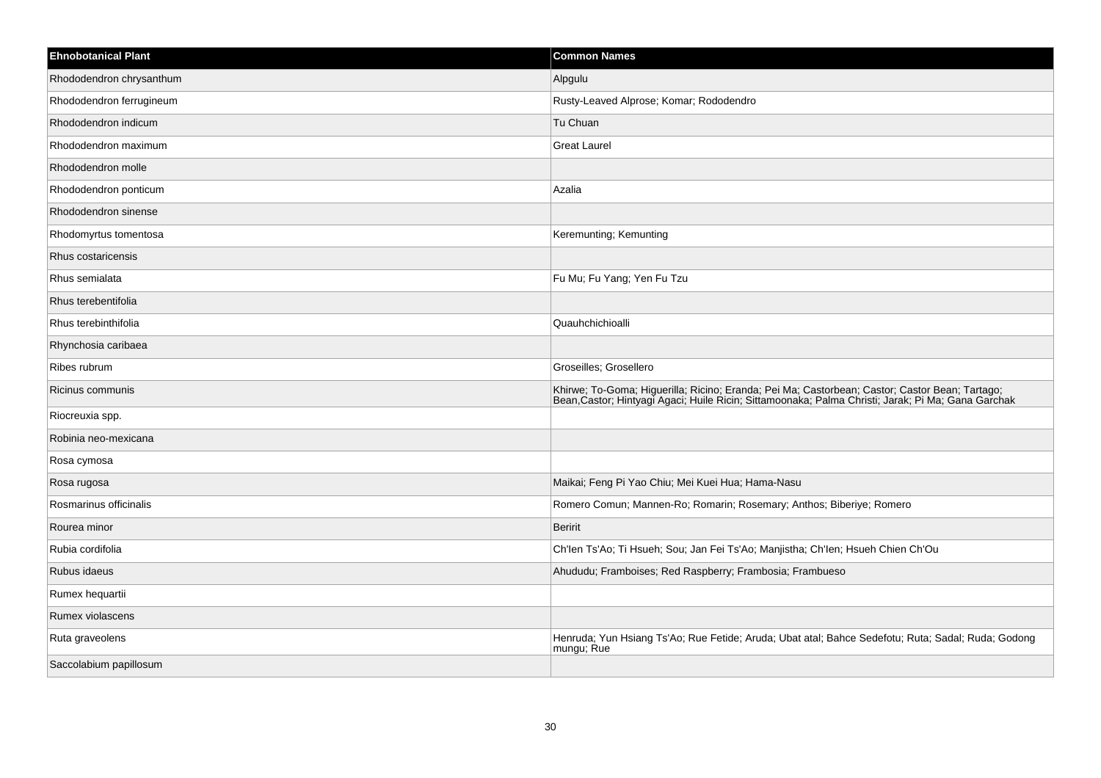| <b>Ehnobotanical Plant</b> | <b>Common Names</b>                                                                                                                                                                                 |
|----------------------------|-----------------------------------------------------------------------------------------------------------------------------------------------------------------------------------------------------|
| Rhododendron chrysanthum   | Alpgulu                                                                                                                                                                                             |
| Rhododendron ferrugineum   | Rusty-Leaved Alprose; Komar; Rododendro                                                                                                                                                             |
| Rhododendron indicum       | Tu Chuan                                                                                                                                                                                            |
| Rhododendron maximum       | <b>Great Laurel</b>                                                                                                                                                                                 |
| Rhododendron molle         |                                                                                                                                                                                                     |
| Rhododendron ponticum      | Azalia                                                                                                                                                                                              |
| Rhododendron sinense       |                                                                                                                                                                                                     |
| Rhodomyrtus tomentosa      | Keremunting; Kemunting                                                                                                                                                                              |
| Rhus costaricensis         |                                                                                                                                                                                                     |
| Rhus semialata             | Fu Mu; Fu Yang; Yen Fu Tzu                                                                                                                                                                          |
| Rhus terebentifolia        |                                                                                                                                                                                                     |
| Rhus terebinthifolia       | Quauhchichioalli                                                                                                                                                                                    |
| Rhynchosia caribaea        |                                                                                                                                                                                                     |
| Ribes rubrum               | Groseilles; Grosellero                                                                                                                                                                              |
| Ricinus communis           | Khirwe; To-Goma; Higuerilla; Ricino; Eranda; Pei Ma; Castorbean; Castor; Castor Bean; Tartago;<br>Bean,Castor; Hintyagi Agaci; Huile Ricin; Sittamoonaka; Palma Christi; Jarak; Pi Ma; Gana Garchak |
| Riocreuxia spp.            |                                                                                                                                                                                                     |
| Robinia neo-mexicana       |                                                                                                                                                                                                     |
| Rosa cymosa                |                                                                                                                                                                                                     |
| Rosa rugosa                | Maikai; Feng Pi Yao Chiu; Mei Kuei Hua; Hama-Nasu                                                                                                                                                   |
| Rosmarinus officinalis     | Romero Comun; Mannen-Ro; Romarin; Rosemary; Anthos; Biberiye; Romero                                                                                                                                |
| Rourea minor               | <b>Beririt</b>                                                                                                                                                                                      |
| Rubia cordifolia           | Ch'len Ts'Ao; Ti Hsueh; Sou; Jan Fei Ts'Ao; Manjistha; Ch'len; Hsueh Chien Ch'Ou                                                                                                                    |
| Rubus idaeus               | Ahududu; Framboises; Red Raspberry; Frambosia; Frambueso                                                                                                                                            |
| Rumex hequartii            |                                                                                                                                                                                                     |
| Rumex violascens           |                                                                                                                                                                                                     |
| Ruta graveolens            | Henruda; Yun Hsiang Ts'Ao; Rue Fetide; Aruda; Ubat atal; Bahce Sedefotu; Ruta; Sadal; Ruda; Godong<br>mungu; Rue                                                                                    |
| Saccolabium papillosum     |                                                                                                                                                                                                     |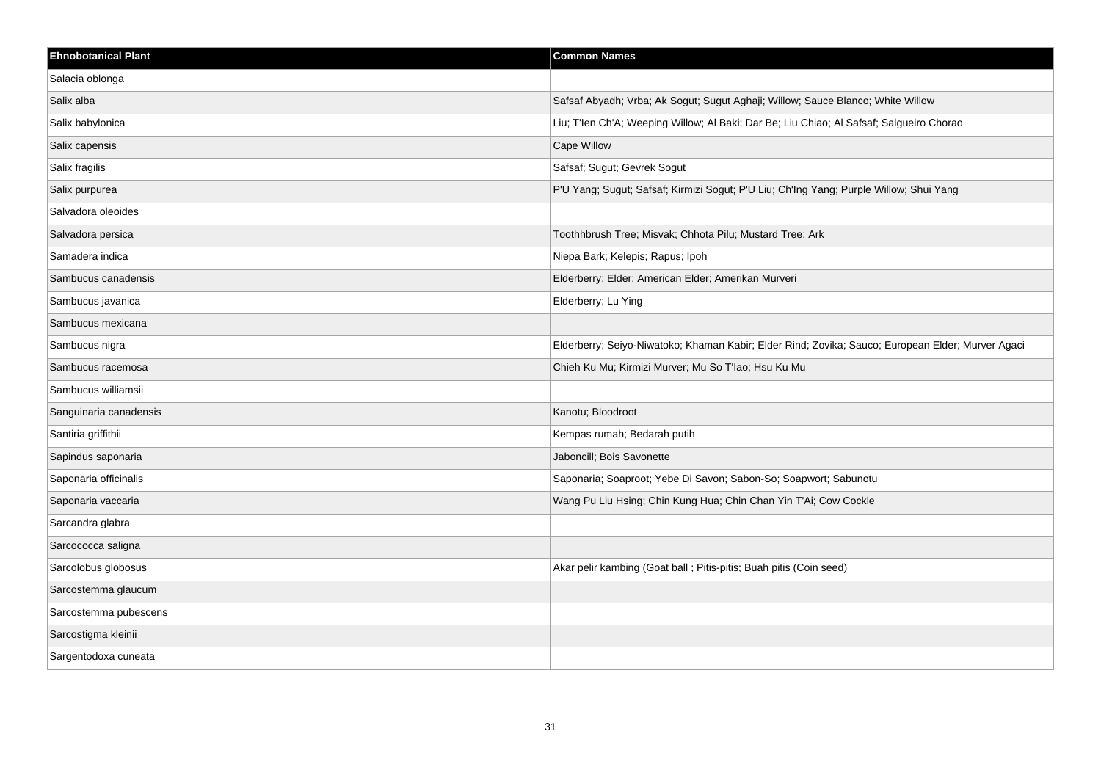| <b>Ehnobotanical Plant</b> | <b>Common Names</b>                                                                               |
|----------------------------|---------------------------------------------------------------------------------------------------|
| Salacia oblonga            |                                                                                                   |
| Salix alba                 | Safsaf Abyadh; Vrba; Ak Sogut; Sugut Aghaji; Willow; Sauce Blanco; White Willow                   |
| Salix babylonica           | Liu; T'len Ch'A; Weeping Willow; Al Baki; Dar Be; Liu Chiao; Al Safsaf; Salgueiro Chorao          |
| Salix capensis             | Cape Willow                                                                                       |
| Salix fragilis             | Safsaf; Sugut; Gevrek Sogut                                                                       |
| Salix purpurea             | P'U Yang; Sugut; Safsaf; Kirmizi Sogut; P'U Liu; Ch'Ing Yang; Purple Willow; Shui Yang            |
| Salvadora oleoides         |                                                                                                   |
| Salvadora persica          | Toothhbrush Tree; Misvak; Chhota Pilu; Mustard Tree; Ark                                          |
| Samadera indica            | Niepa Bark; Kelepis; Rapus; Ipoh                                                                  |
| Sambucus canadensis        | Elderberry; Elder; American Elder; Amerikan Murveri                                               |
| Sambucus javanica          | Elderberry; Lu Ying                                                                               |
| Sambucus mexicana          |                                                                                                   |
| Sambucus nigra             | Elderberry; Seiyo-Niwatoko; Khaman Kabir; Elder Rind; Zovika; Sauco; European Elder; Murver Agaci |
| Sambucus racemosa          | Chieh Ku Mu; Kirmizi Murver; Mu So T'lao; Hsu Ku Mu                                               |
| Sambucus williamsii        |                                                                                                   |
| Sanguinaria canadensis     | Kanotu; Bloodroot                                                                                 |
| Santiria griffithii        | Kempas rumah; Bedarah putih                                                                       |
| Sapindus saponaria         | Jaboncill; Bois Savonette                                                                         |
| Saponaria officinalis      | Saponaria; Soaproot; Yebe Di Savon; Sabon-So; Soapwort; Sabunotu                                  |
| Saponaria vaccaria         | Wang Pu Liu Hsing; Chin Kung Hua; Chin Chan Yin T'Ai; Cow Cockle                                  |
| Sarcandra glabra           |                                                                                                   |
| Sarcococca saligna         |                                                                                                   |
| Sarcolobus globosus        | Akar pelir kambing (Goat ball ; Pitis-pitis; Buah pitis (Coin seed)                               |
| Sarcostemma glaucum        |                                                                                                   |
| Sarcostemma pubescens      |                                                                                                   |
| Sarcostigma kleinii        |                                                                                                   |
| Sargentodoxa cuneata       |                                                                                                   |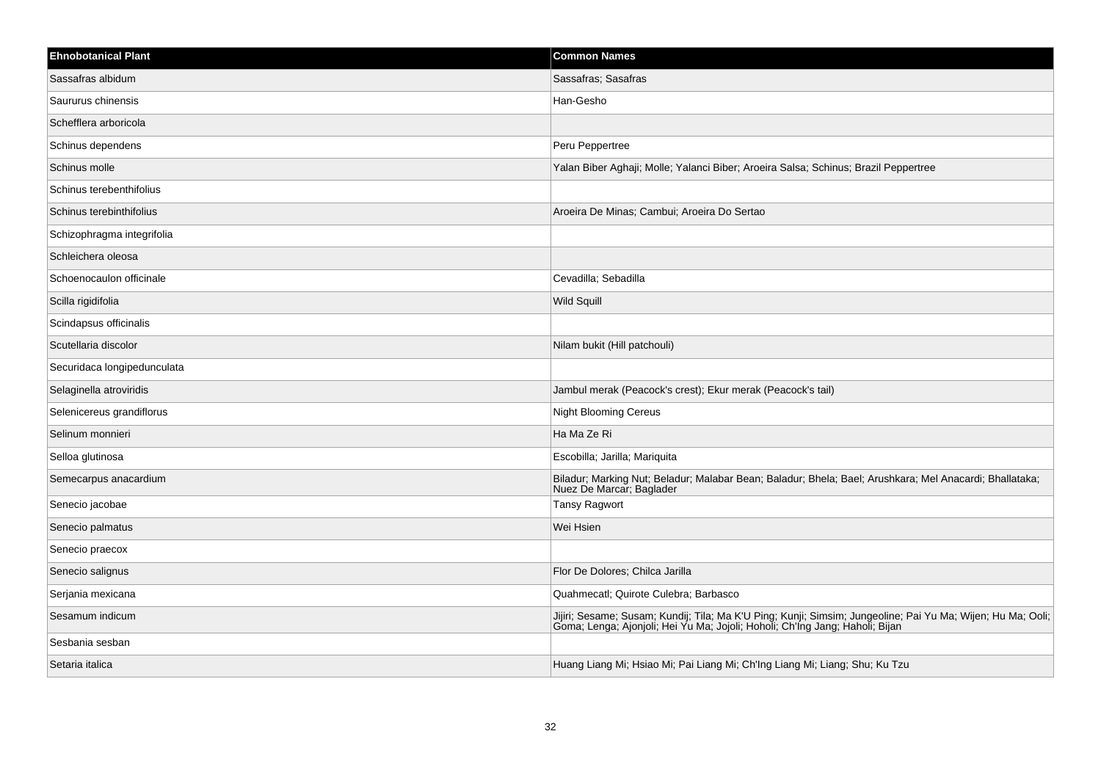| <b>Ehnobotanical Plant</b>  | <b>Common Names</b>                                                                                                                                                                      |
|-----------------------------|------------------------------------------------------------------------------------------------------------------------------------------------------------------------------------------|
| Sassafras albidum           | Sassafras; Sasafras                                                                                                                                                                      |
| Saururus chinensis          | Han-Gesho                                                                                                                                                                                |
| Schefflera arboricola       |                                                                                                                                                                                          |
| Schinus dependens           | Peru Peppertree                                                                                                                                                                          |
| Schinus molle               | Yalan Biber Aghaji; Molle; Yalanci Biber; Aroeira Salsa; Schinus; Brazil Peppertree                                                                                                      |
| Schinus terebenthifolius    |                                                                                                                                                                                          |
| Schinus terebinthifolius    | Aroeira De Minas; Cambui; Aroeira Do Sertao                                                                                                                                              |
| Schizophragma integrifolia  |                                                                                                                                                                                          |
| Schleichera oleosa          |                                                                                                                                                                                          |
| Schoenocaulon officinale    | Cevadilla; Sebadilla                                                                                                                                                                     |
| Scilla rigidifolia          | <b>Wild Squill</b>                                                                                                                                                                       |
| Scindapsus officinalis      |                                                                                                                                                                                          |
| Scutellaria discolor        | Nilam bukit (Hill patchouli)                                                                                                                                                             |
| Securidaca longipedunculata |                                                                                                                                                                                          |
| Selaginella atroviridis     | Jambul merak (Peacock's crest); Ekur merak (Peacock's tail)                                                                                                                              |
| Selenicereus grandiflorus   | <b>Night Blooming Cereus</b>                                                                                                                                                             |
| Selinum monnieri            | Ha Ma Ze Ri                                                                                                                                                                              |
| Selloa glutinosa            | Escobilla; Jarilla; Mariquita                                                                                                                                                            |
| Semecarpus anacardium       | Biladur; Marking Nut; Beladur; Malabar Bean; Baladur; Bhela; Bael; Arushkara; Mel Anacardi; Bhallataka;<br>Nuez De Marcar; Baglader                                                      |
| Senecio jacobae             | <b>Tansy Ragwort</b>                                                                                                                                                                     |
| Senecio palmatus            | Wei Hsien                                                                                                                                                                                |
| Senecio praecox             |                                                                                                                                                                                          |
| Senecio salignus            | Flor De Dolores; Chilca Jarilla                                                                                                                                                          |
| Serjania mexicana           | Quahmecatl; Quirote Culebra; Barbasco                                                                                                                                                    |
| Sesamum indicum             | Jijiri; Sesame; Susam; Kundij; Tila; Ma K'U Ping; Kunji; Simsim; Jungeoline; Pai Yu Ma; Wijen; Hu Ma; Ooli; Goma; Lenga; Ajonjoli; Hei Yu Ma; Jojoli; Hoholi; Ch'Ing Jang; Haholi; Bijan |
| Sesbania sesban             |                                                                                                                                                                                          |
| Setaria italica             | Huang Liang Mi; Hsiao Mi; Pai Liang Mi; Ch'Ing Liang Mi; Liang; Shu; Ku Tzu                                                                                                              |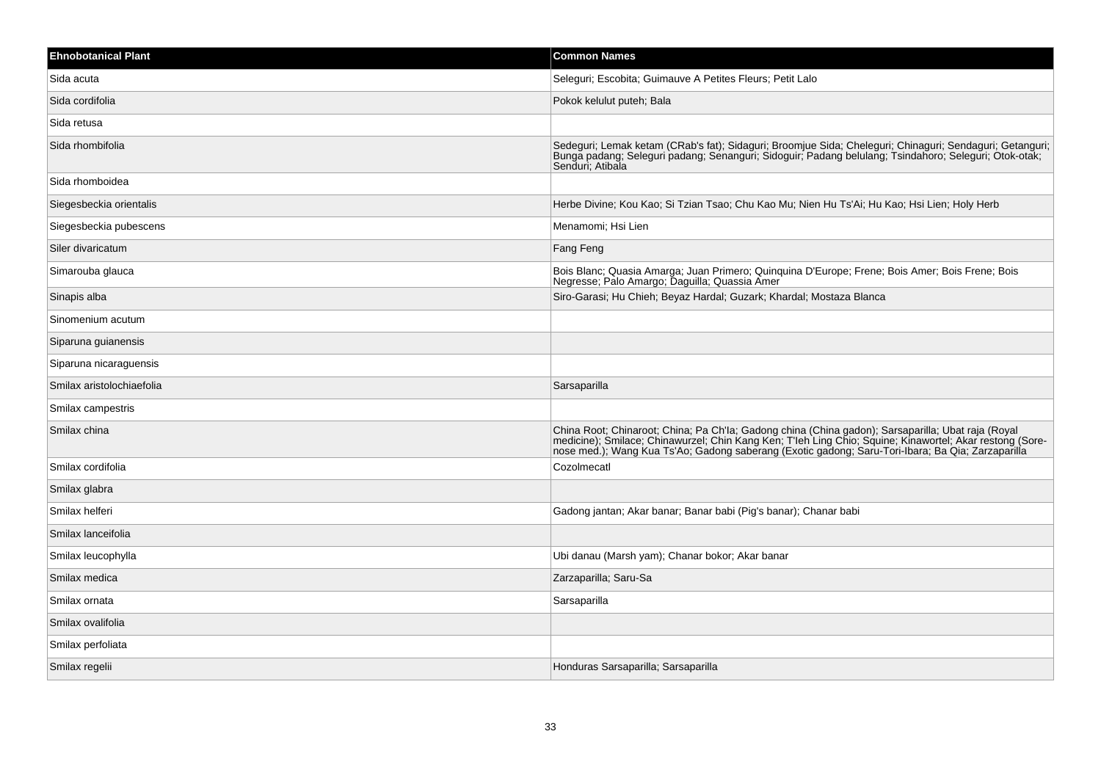| <b>Ehnobotanical Plant</b> | <b>Common Names</b>                                                                                                                                                                                                                                                                                                 |
|----------------------------|---------------------------------------------------------------------------------------------------------------------------------------------------------------------------------------------------------------------------------------------------------------------------------------------------------------------|
| Sida acuta                 | Seleguri; Escobita; Guimauve A Petites Fleurs; Petit Lalo                                                                                                                                                                                                                                                           |
| Sida cordifolia            | Pokok kelulut puteh; Bala                                                                                                                                                                                                                                                                                           |
| Sida retusa                |                                                                                                                                                                                                                                                                                                                     |
| Sida rhombifolia           | Sedeguri; Lemak ketam (CRab's fat); Sidaguri; Broomjue Sida; Cheleguri; Chinaguri; Sendaguri; Getanguri;<br>Bunga padang; Seleguri padang; Senanguri; Sidoguir; Padang belulang; Tsindahoro; Seleguri; Otok-otak;<br>Senduri; Atibala                                                                               |
| Sida rhomboidea            |                                                                                                                                                                                                                                                                                                                     |
| Siegesbeckia orientalis    | Herbe Divine; Kou Kao; Si Tzian Tsao; Chu Kao Mu; Nien Hu Ts'Ai; Hu Kao; Hsi Lien; Holy Herb                                                                                                                                                                                                                        |
| Siegesbeckia pubescens     | Menamomi; Hsi Lien                                                                                                                                                                                                                                                                                                  |
| Siler divaricatum          | Fang Feng                                                                                                                                                                                                                                                                                                           |
| Simarouba glauca           | Bois Blanc; Quasia Amarga; Juan Primero; Quinquina D'Europe; Frene; Bois Amer; Bois Frene; Bois<br>Negresse; Palo Amargo; Daguilla; Quassia Amer                                                                                                                                                                    |
| Sinapis alba               | Siro-Garasi; Hu Chieh; Beyaz Hardal; Guzark; Khardal; Mostaza Blanca                                                                                                                                                                                                                                                |
| Sinomenium acutum          |                                                                                                                                                                                                                                                                                                                     |
| Siparuna guianensis        |                                                                                                                                                                                                                                                                                                                     |
| Siparuna nicaraguensis     |                                                                                                                                                                                                                                                                                                                     |
| Smilax aristolochiaefolia  | Sarsaparilla                                                                                                                                                                                                                                                                                                        |
| Smilax campestris          |                                                                                                                                                                                                                                                                                                                     |
| Smilax china               | China Root; Chinaroot; China; Pa Ch'la; Gadong china (China gadon); Sarsaparilla; Ubat raja (Royal<br>medicine); Smilace; Chinawurzel; Chin Kang Ken; T'leh Ling Chio; Squine; Kinawortel; Akar restong (Sore-<br>nose med.); Wang Kua Ts'Ao; Gadong saberang (Exotic gadong; Saru-Tori-Ibara; Ba Qia; Zarzaparilla |
| Smilax cordifolia          | Cozolmecatl                                                                                                                                                                                                                                                                                                         |
| Smilax glabra              |                                                                                                                                                                                                                                                                                                                     |
| Smilax helferi             | Gadong jantan; Akar banar; Banar babi (Pig's banar); Chanar babi                                                                                                                                                                                                                                                    |
| Smilax lanceifolia         |                                                                                                                                                                                                                                                                                                                     |
| Smilax leucophylla         | Ubi danau (Marsh yam); Chanar bokor; Akar banar                                                                                                                                                                                                                                                                     |
| Smilax medica              | Zarzaparilla; Saru-Sa                                                                                                                                                                                                                                                                                               |
| Smilax ornata              | Sarsaparilla                                                                                                                                                                                                                                                                                                        |
| Smilax ovalifolia          |                                                                                                                                                                                                                                                                                                                     |
| Smilax perfoliata          |                                                                                                                                                                                                                                                                                                                     |
| Smilax regelii             | Honduras Sarsaparilla; Sarsaparilla                                                                                                                                                                                                                                                                                 |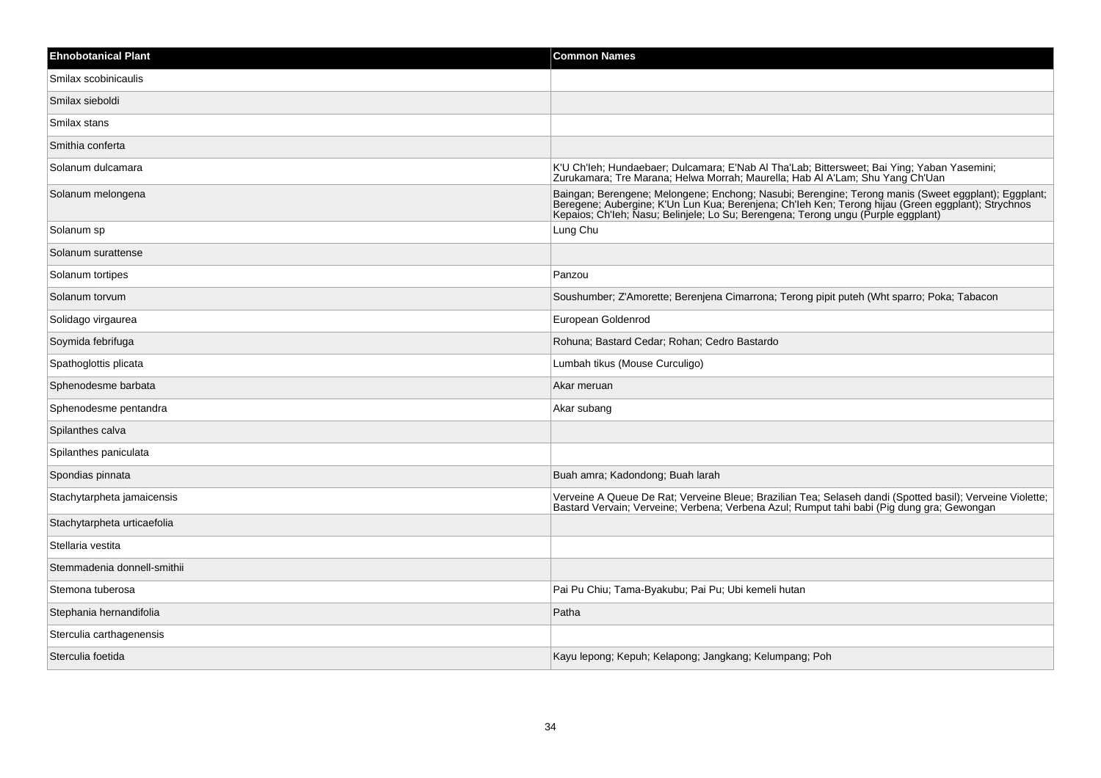| <b>Ehnobotanical Plant</b>  | <b>Common Names</b>                                                                                                                                                                                                                                                                            |
|-----------------------------|------------------------------------------------------------------------------------------------------------------------------------------------------------------------------------------------------------------------------------------------------------------------------------------------|
| Smilax scobinicaulis        |                                                                                                                                                                                                                                                                                                |
| Smilax sieboldi             |                                                                                                                                                                                                                                                                                                |
| Smilax stans                |                                                                                                                                                                                                                                                                                                |
| Smithia conferta            |                                                                                                                                                                                                                                                                                                |
| Solanum dulcamara           | K'U Ch'leh; Hundaebaer; Dulcamara; E'Nab Al Tha'Lab; Bittersweet; Bai Ying; Yaban Yasemini; Zurukamara; Tre Marana; Helwa Morrah; Maurella; Hab Al A'Lam; Shu Yang Ch'Uan                                                                                                                      |
| Solanum melongena           | Baingan; Berengene; Melongene; Enchong; Nasubi; Berengine; Terong manis (Sweet eggplant); Eggplant;<br>Beregene: Aubergine; K'Un Lun Kua; Berenjena; Ch'leh Ken; Terong hijau (Green eggplant); Strychnos<br>Kepaios; Ch'leh; Nasu; Belinjele; Lo Su; Berengena; Terong ungu (Purple eggplant) |
| Solanum sp                  | Lung Chu                                                                                                                                                                                                                                                                                       |
| Solanum surattense          |                                                                                                                                                                                                                                                                                                |
| Solanum tortipes            | Panzou                                                                                                                                                                                                                                                                                         |
| Solanum torvum              | Soushumber: Z'Amorette: Berenjena Cimarrona: Terong pipit puteh (Wht sparro: Poka: Tabacon                                                                                                                                                                                                     |
| Solidago virgaurea          | European Goldenrod                                                                                                                                                                                                                                                                             |
| Soymida febrifuga           | Rohuna; Bastard Cedar; Rohan; Cedro Bastardo                                                                                                                                                                                                                                                   |
| Spathoglottis plicata       | Lumbah tikus (Mouse Curculigo)                                                                                                                                                                                                                                                                 |
| Sphenodesme barbata         | Akar meruan                                                                                                                                                                                                                                                                                    |
| Sphenodesme pentandra       | Akar subang                                                                                                                                                                                                                                                                                    |
| Spilanthes calva            |                                                                                                                                                                                                                                                                                                |
| Spilanthes paniculata       |                                                                                                                                                                                                                                                                                                |
| Spondias pinnata            | Buah amra; Kadondong; Buah larah                                                                                                                                                                                                                                                               |
| Stachytarpheta jamaicensis  | Verveine A Queue De Rat; Verveine Bleue; Brazilian Tea; Selaseh dandi (Spotted basil); Verveine Violette;<br>Bastard Vervain; Verveine; Verbena; Verbena Azul; Rumput tahi babi (Pig dung gra; Gewongan                                                                                        |
| Stachytarpheta urticaefolia |                                                                                                                                                                                                                                                                                                |
| Stellaria vestita           |                                                                                                                                                                                                                                                                                                |
| Stemmadenia donnell-smithii |                                                                                                                                                                                                                                                                                                |
| Stemona tuberosa            | Pai Pu Chiu; Tama-Byakubu; Pai Pu; Ubi kemeli hutan                                                                                                                                                                                                                                            |
| Stephania hernandifolia     | Patha                                                                                                                                                                                                                                                                                          |
| Sterculia carthagenensis    |                                                                                                                                                                                                                                                                                                |
| Sterculia foetida           | Kayu lepong; Kepuh; Kelapong; Jangkang; Kelumpang; Poh                                                                                                                                                                                                                                         |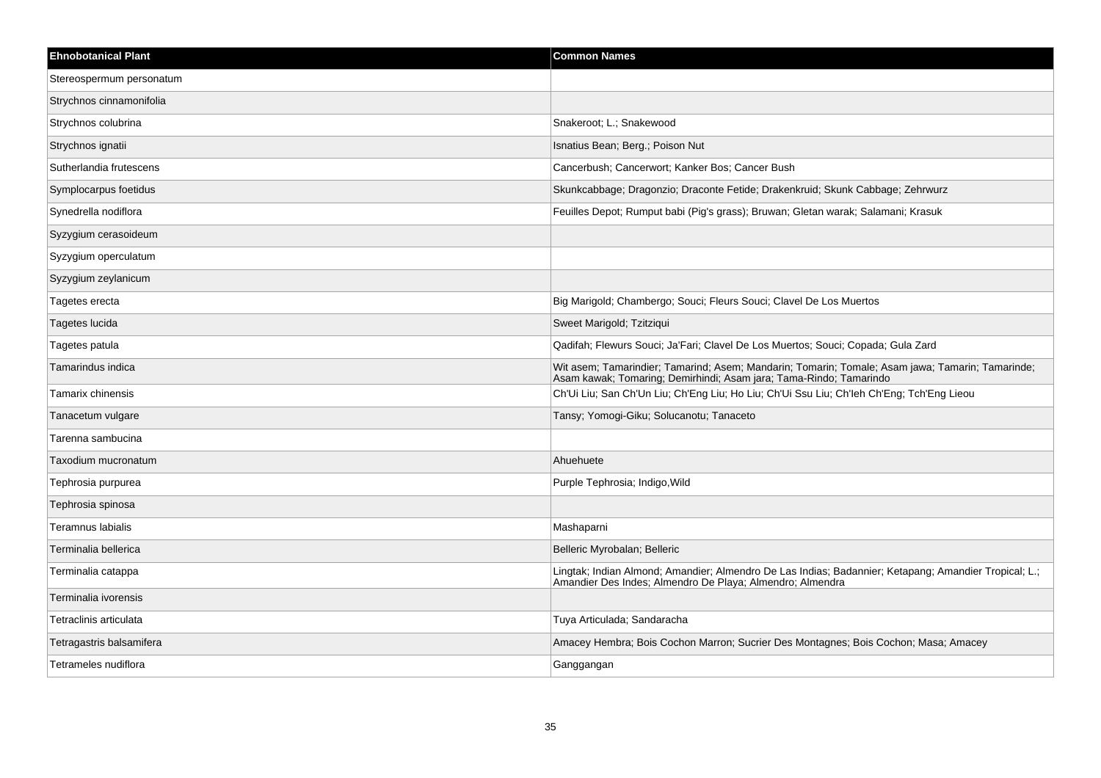| <b>Ehnobotanical Plant</b> | <b>Common Names</b>                                                                                                                                                    |
|----------------------------|------------------------------------------------------------------------------------------------------------------------------------------------------------------------|
| Stereospermum personatum   |                                                                                                                                                                        |
| Strychnos cinnamonifolia   |                                                                                                                                                                        |
| Strychnos colubrina        | Snakeroot; L.; Snakewood                                                                                                                                               |
| Strychnos ignatii          | Isnatius Bean; Berg.; Poison Nut                                                                                                                                       |
| Sutherlandia frutescens    | Cancerbush; Cancerwort; Kanker Bos; Cancer Bush                                                                                                                        |
| Symplocarpus foetidus      | Skunkcabbage; Dragonzio; Draconte Fetide; Drakenkruid; Skunk Cabbage; Zehrwurz                                                                                         |
| Synedrella nodiflora       | Feuilles Depot; Rumput babi (Pig's grass); Bruwan; Gletan warak; Salamani; Krasuk                                                                                      |
| Syzygium cerasoideum       |                                                                                                                                                                        |
| Syzygium operculatum       |                                                                                                                                                                        |
| Syzygium zeylanicum        |                                                                                                                                                                        |
| Tagetes erecta             | Big Marigold; Chambergo; Souci; Fleurs Souci; Clavel De Los Muertos                                                                                                    |
| Tagetes lucida             | Sweet Marigold; Tzitziqui                                                                                                                                              |
| Tagetes patula             | Qadifah; Flewurs Souci; Ja'Fari; Clavel De Los Muertos; Souci; Copada; Gula Zard                                                                                       |
| Tamarindus indica          | Wit asem; Tamarindier; Tamarind; Asem; Mandarin; Tomarin; Tomale; Asam jawa; Tamarin; Tamarinde;<br>Asam kawak; Tomaring; Demirhindi; Asam jara; Tama-Rindo; Tamarindo |
| Tamarix chinensis          | Ch'Ui Liu; San Ch'Un Liu; Ch'Eng Liu; Ho Liu; Ch'Ui Ssu Liu; Ch'leh Ch'Eng; Tch'Eng Lieou                                                                              |
| Tanacetum vulgare          | Tansy; Yomogi-Giku; Solucanotu; Tanaceto                                                                                                                               |
| Tarenna sambucina          |                                                                                                                                                                        |
| Taxodium mucronatum        | Ahuehuete                                                                                                                                                              |
| Tephrosia purpurea         | Purple Tephrosia; Indigo, Wild                                                                                                                                         |
| Tephrosia spinosa          |                                                                                                                                                                        |
| Teramnus labialis          | Mashaparni                                                                                                                                                             |
| Terminalia bellerica       | Belleric Myrobalan; Belleric                                                                                                                                           |
| Terminalia catappa         | Lingtak; Indian Almond; Amandier; Almendro De Las Indias; Badannier; Ketapang; Amandier Tropical; L.;<br>Amandier Des Indes; Almendro De Playa; Almendro; Almendra     |
| Terminalia ivorensis       |                                                                                                                                                                        |
| Tetraclinis articulata     | Tuya Articulada; Sandaracha                                                                                                                                            |
| Tetragastris balsamifera   | Amacey Hembra; Bois Cochon Marron; Sucrier Des Montagnes; Bois Cochon; Masa; Amacey                                                                                    |
| Tetrameles nudiflora       | Ganggangan                                                                                                                                                             |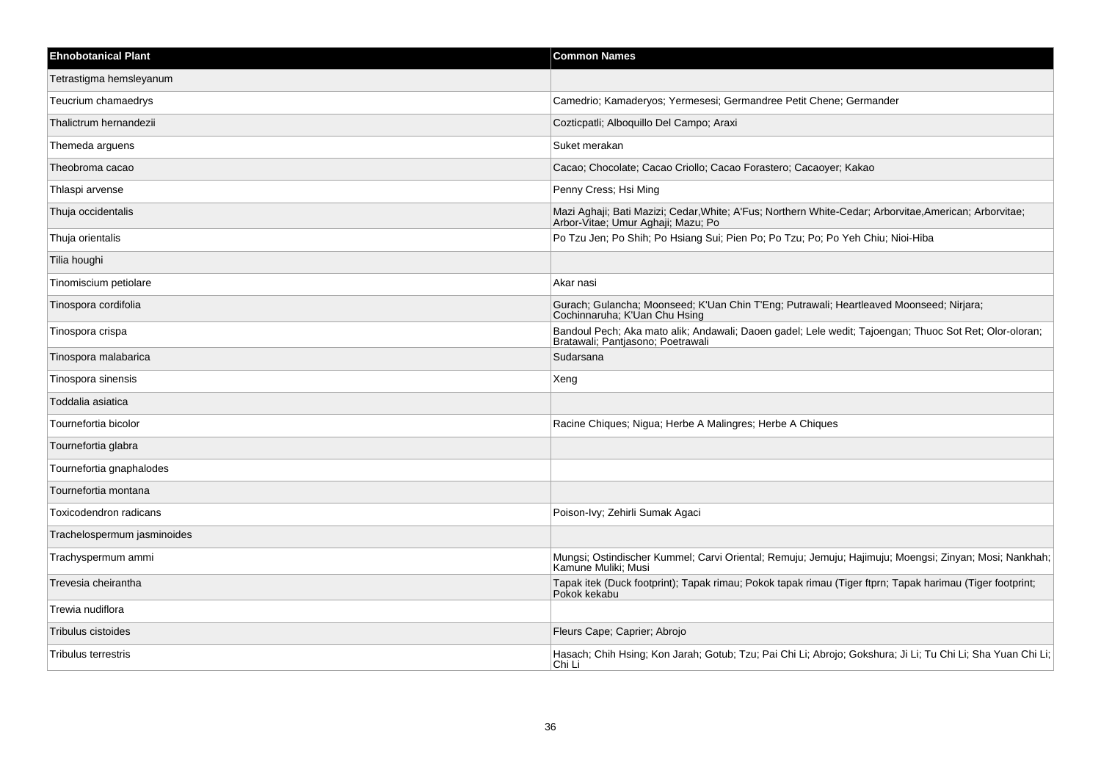| <b>Ehnobotanical Plant</b>  | <b>Common Names</b>                                                                                                                          |
|-----------------------------|----------------------------------------------------------------------------------------------------------------------------------------------|
| Tetrastigma hemsleyanum     |                                                                                                                                              |
| Teucrium chamaedrys         | Camedrio; Kamaderyos; Yermesesi; Germandree Petit Chene; Germander                                                                           |
| Thalictrum hernandezii      | Cozticpatli; Alboquillo Del Campo; Araxi                                                                                                     |
| Themeda arguens             | Suket merakan                                                                                                                                |
| Theobroma cacao             | Cacao; Chocolate; Cacao Criollo; Cacao Forastero; Cacaoyer; Kakao                                                                            |
| Thlaspi arvense             | Penny Cress; Hsi Ming                                                                                                                        |
| Thuja occidentalis          | Mazi Aghaji; Bati Mazizi; Cedar, White; A'Fus; Northern White-Cedar; Arborvitae, American; Arborvitae;<br>Arbor-Vitae; Umur Aghaji; Mazu; Po |
| Thuja orientalis            | Po Tzu Jen; Po Shih; Po Hsiang Sui; Pien Po; Po Tzu; Po; Po Yeh Chiu; Nioi-Hiba                                                              |
| Tilia houghi                |                                                                                                                                              |
| Tinomiscium petiolare       | Akar nasi                                                                                                                                    |
| Tinospora cordifolia        | Gurach; Gulancha; Moonseed; K'Uan Chin T'Eng; Putrawali; Heartleaved Moonseed; Nirjara;<br>Cochinnaruha; K'Uan Chu Hsing                     |
| Tinospora crispa            | Bandoul Pech; Aka mato alik; Andawali; Daoen gadel; Lele wedit; Tajoengan; Thuoc Sot Ret; Olor-oloran;<br>Bratawali; Pantjasono; Poetrawali  |
| Tinospora malabarica        | Sudarsana                                                                                                                                    |
| Tinospora sinensis          | Xeng                                                                                                                                         |
| Toddalia asiatica           |                                                                                                                                              |
| Tournefortia bicolor        | Racine Chiques; Nigua; Herbe A Malingres; Herbe A Chiques                                                                                    |
| Tournefortia glabra         |                                                                                                                                              |
| Tournefortia gnaphalodes    |                                                                                                                                              |
| Tournefortia montana        |                                                                                                                                              |
| Toxicodendron radicans      | Poison-Ivy; Zehirli Sumak Agaci                                                                                                              |
| Trachelospermum jasminoides |                                                                                                                                              |
| Trachyspermum ammi          | Mungsi; Ostindischer Kummel; Carvi Oriental; Remuju; Jemuju; Hajimuju; Moengsi; Zinyan; Mosi; Nankhah;<br>Kamune Muliki; Musi                |
| Trevesia cheirantha         | Tapak itek (Duck footprint); Tapak rimau; Pokok tapak rimau (Tiger ftprn; Tapak harimau (Tiger footprint;<br>Pokok kekabu                    |
| Trewia nudiflora            |                                                                                                                                              |
| Tribulus cistoides          | Fleurs Cape; Caprier; Abrojo                                                                                                                 |
| <b>Tribulus terrestris</b>  | Hasach; Chih Hsing; Kon Jarah; Gotub; Tzu; Pai Chi Li; Abrojo; Gokshura; Ji Li; Tu Chi Li; Sha Yuan Chi Li;<br>Chi Li                        |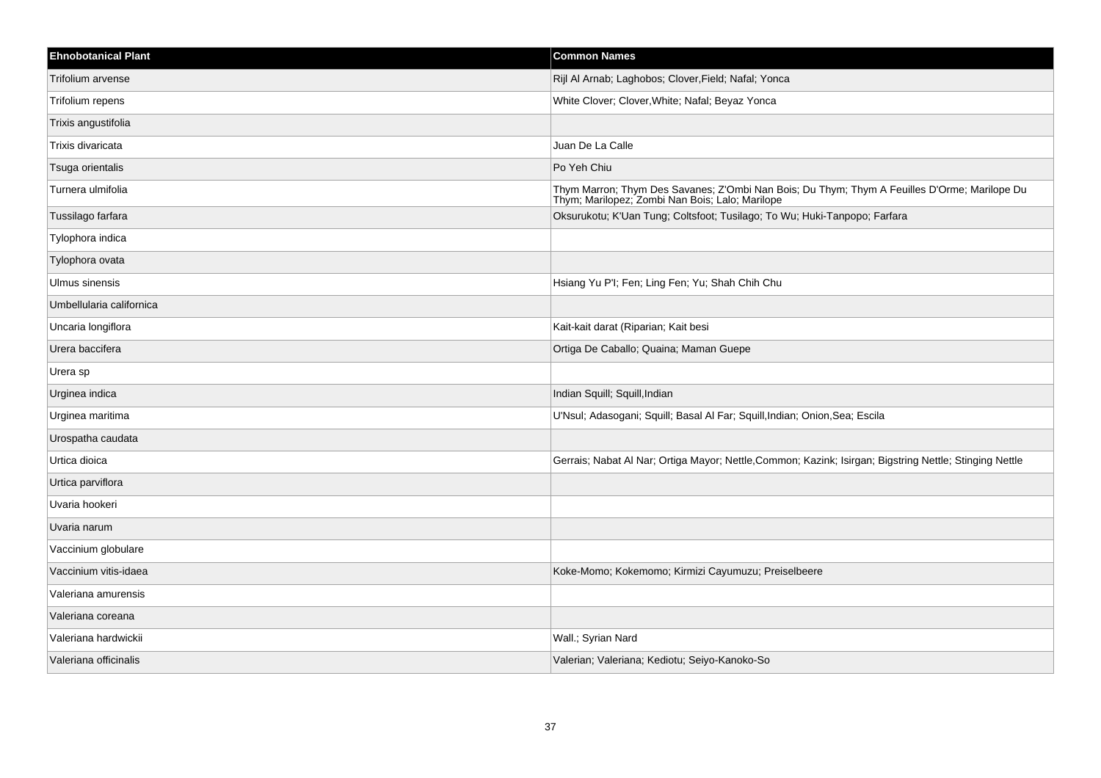| <b>Ehnobotanical Plant</b> | <b>Common Names</b>                                                                                                                             |
|----------------------------|-------------------------------------------------------------------------------------------------------------------------------------------------|
| Trifolium arvense          | Rijl Al Arnab; Laghobos; Clover, Field; Nafal; Yonca                                                                                            |
| Trifolium repens           | White Clover; Clover, White; Nafal; Beyaz Yonca                                                                                                 |
| Trixis angustifolia        |                                                                                                                                                 |
| Trixis divaricata          | Juan De La Calle                                                                                                                                |
| Tsuga orientalis           | Po Yeh Chiu                                                                                                                                     |
| Turnera ulmifolia          | Thym Marron; Thym Des Savanes; Z'Ombi Nan Bois; Du Thym; Thym A Feuilles D'Orme; Marilope Du<br>Thym, Marilopez, Zombi Nan Bois, Lalo, Marilope |
| Tussilago farfara          | Oksurukotu; K'Uan Tung; Coltsfoot; Tusilago; To Wu; Huki-Tanpopo; Farfara                                                                       |
| Tylophora indica           |                                                                                                                                                 |
| Tylophora ovata            |                                                                                                                                                 |
| Ulmus sinensis             | Hsiang Yu P'I; Fen; Ling Fen; Yu; Shah Chih Chu                                                                                                 |
| Umbellularia californica   |                                                                                                                                                 |
| Uncaria longiflora         | Kait-kait darat (Riparian; Kait besi                                                                                                            |
| Urera baccifera            | Ortiga De Caballo; Quaina; Maman Guepe                                                                                                          |
| Urera sp                   |                                                                                                                                                 |
| Urginea indica             | Indian Squill; Squill, Indian                                                                                                                   |
| Urginea maritima           | U'Nsul; Adasogani; Squill; Basal Al Far; Squill, Indian; Onion, Sea; Escila                                                                     |
| Urospatha caudata          |                                                                                                                                                 |
| Urtica dioica              | Gerrais; Nabat Al Nar; Ortiga Mayor; Nettle, Common; Kazink; Isirgan; Bigstring Nettle; Stinging Nettle                                         |
| Urtica parviflora          |                                                                                                                                                 |
| Uvaria hookeri             |                                                                                                                                                 |
| Uvaria narum               |                                                                                                                                                 |
| Vaccinium globulare        |                                                                                                                                                 |
| Vaccinium vitis-idaea      | Koke-Momo; Kokemomo; Kirmizi Cayumuzu; Preiselbeere                                                                                             |
| Valeriana amurensis        |                                                                                                                                                 |
| Valeriana coreana          |                                                                                                                                                 |
| Valeriana hardwickii       | Wall.; Syrian Nard                                                                                                                              |
| Valeriana officinalis      | Valerian; Valeriana; Kediotu; Seiyo-Kanoko-So                                                                                                   |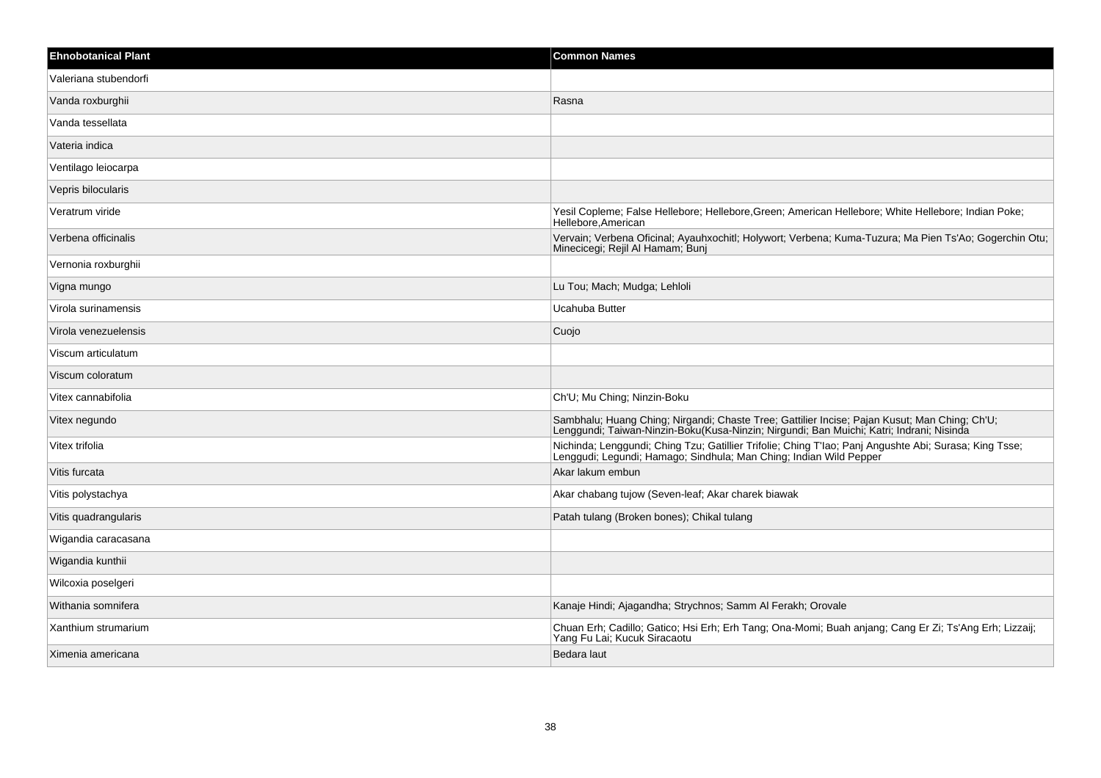| <b>Ehnobotanical Plant</b> | <b>Common Names</b>                                                                                                                                                                       |
|----------------------------|-------------------------------------------------------------------------------------------------------------------------------------------------------------------------------------------|
| Valeriana stubendorfi      |                                                                                                                                                                                           |
| Vanda roxburghii           | Rasna                                                                                                                                                                                     |
| Vanda tessellata           |                                                                                                                                                                                           |
| Vateria indica             |                                                                                                                                                                                           |
| Ventilago leiocarpa        |                                                                                                                                                                                           |
| Vepris bilocularis         |                                                                                                                                                                                           |
| Veratrum viride            | Yesil Copleme; False Hellebore; Hellebore, Green; American Hellebore; White Hellebore; Indian Poke;<br>Hellebore, American                                                                |
| Verbena officinalis        | Vervain; Verbena Oficinal; Ayauhxochitl; Holywort; Verbena; Kuma-Tuzura; Ma Pien Ts'Ao; Gogerchin Otu;<br>Minecicegi, Rejil Al Hamam, Bunj                                                |
| Vernonia roxburghii        |                                                                                                                                                                                           |
| Vigna mungo                | Lu Tou; Mach; Mudga; Lehloli                                                                                                                                                              |
| Virola surinamensis        | Ucahuba Butter                                                                                                                                                                            |
| Virola venezuelensis       | Cuojo                                                                                                                                                                                     |
| Viscum articulatum         |                                                                                                                                                                                           |
| Viscum coloratum           |                                                                                                                                                                                           |
| Vitex cannabifolia         | Ch'U; Mu Ching; Ninzin-Boku                                                                                                                                                               |
| Vitex negundo              | Sambhalu; Huang Ching; Nirgandi; Chaste Tree; Gattilier Incise; Pajan Kusut; Man Ching; Ch'U;<br>Lenggundi; Taiwan-Ninzin-Boku(Kusa-Ninzin; Nirgundi; Ban Muichi; Katri; Indrani; Nisinda |
| Vitex trifolia             | Nichinda; Lenggundi; Ching Tzu; Gatillier Trifolie; Ching T'lao; Panj Angushte Abi; Surasa; King Tsse; Lenggudi; Legundi; Hamago; Sindhula; Man Ching; Indian Wild Pepper                 |
| Vitis furcata              | Akar lakum embun                                                                                                                                                                          |
| Vitis polystachya          | Akar chabang tujow (Seven-leaf; Akar charek biawak                                                                                                                                        |
| Vitis quadrangularis       | Patah tulang (Broken bones); Chikal tulang                                                                                                                                                |
| Wigandia caracasana        |                                                                                                                                                                                           |
| Wigandia kunthii           |                                                                                                                                                                                           |
| Wilcoxia poselgeri         |                                                                                                                                                                                           |
| Withania somnifera         | Kanaje Hindi; Ajagandha; Strychnos; Samm Al Ferakh; Orovale                                                                                                                               |
| Xanthium strumarium        | Chuan Erh; Cadillo; Gatico; Hsi Erh; Erh Tang; Ona-Momi; Buah anjang; Cang Er Zi; Ts'Ang Erh; Lizzaij;<br>Yang Fu Lai; Kucuk Siracaotu                                                    |
| Ximenia americana          | Bedara laut                                                                                                                                                                               |